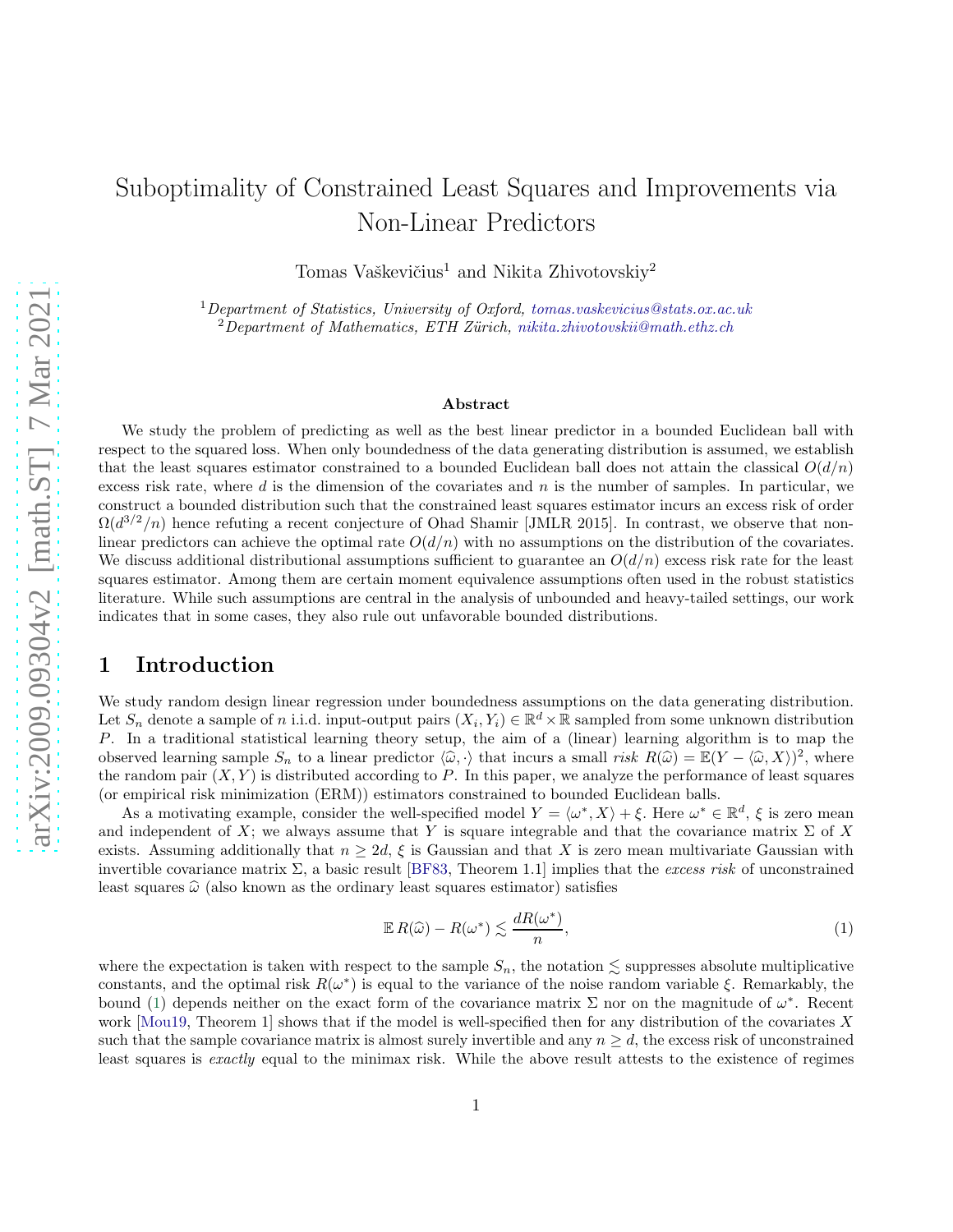# Suboptimality of Constrained Least Squares and Improvements via Non-Linear Predictors

Tomas Vaškevičius<sup>1</sup> and Nikita Zhivotovskiy<sup>2</sup>

 $1$ Department of Statistics, University of Oxford, [tomas.vaskevicius@stats.ox.ac.uk](mailto:tomas.vaskevicius@stats.ox.ac.uk)  $2D$ epartment of Mathematics, ETH Zürich, [nikita.zhivotovskii@math.ethz.ch](mailto:nikita.zhivotovskii@math.ethz.ch)

#### Abstract

We study the problem of predicting as well as the best linear predictor in a bounded Euclidean ball with respect to the squared loss. When only boundedness of the data generating distribution is assumed, we establish that the least squares estimator constrained to a bounded Euclidean ball does not attain the classical  $O(d/n)$ excess risk rate, where  $d$  is the dimension of the covariates and  $n$  is the number of samples. In particular, we construct a bounded distribution such that the constrained least squares estimator incurs an excess risk of order  $\Omega(d^{3/2}/n)$  hence refuting a recent conjecture of Ohad Shamir [JMLR 2015]. In contrast, we observe that nonlinear predictors can achieve the optimal rate  $O(d/n)$  with no assumptions on the distribution of the covariates. We discuss additional distributional assumptions sufficient to guarantee an  $O(d/n)$  excess risk rate for the least squares estimator. Among them are certain moment equivalence assumptions often used in the robust statistics literature. While such assumptions are central in the analysis of unbounded and heavy-tailed settings, our work indicates that in some cases, they also rule out unfavorable bounded distributions.

### 1 Introduction

We study random design linear regression under boundedness assumptions on the data generating distribution. Let  $S_n$  denote a sample of n i.i.d. input-output pairs  $(X_i, Y_i) \in \mathbb{R}^d \times \mathbb{R}$  sampled from some unknown distribution P. In a traditional statistical learning theory setup, the aim of a (linear) learning algorithm is to map the observed learning sample  $S_n$  to a linear predictor  $\langle \hat{\omega}, \cdot \rangle$  that incurs a small risk  $R(\hat{\omega}) = \mathbb{E}(Y - \langle \hat{\omega}, X \rangle)^2$ , where the random pair  $(X, Y)$  is distributed according to P. In this paper, we analyze the performance of least squares (or empirical risk minimization (ERM)) estimators constrained to bounded Euclidean balls.

As a motivating example, consider the well-specified model  $Y = \langle \omega^*, X \rangle + \xi$ . Here  $\omega^* \in \mathbb{R}^d$ ,  $\xi$  is zero mean and independent of X; we always assume that Y is square integrable and that the covariance matrix  $\Sigma$  of X exists. Assuming additionally that  $n \geq 2d$ ,  $\xi$  is Gaussian and that X is zero mean multivariate Gaussian with invertible covariance matrix  $\Sigma$ , a basic result [\[BF83,](#page-21-0) Theorem 1.1] implies that the excess risk of unconstrained least squares  $\hat{\omega}$  (also known as the ordinary least squares estimator) satisfies

<span id="page-0-0"></span>
$$
\mathbb{E} R(\widehat{\omega}) - R(\omega^*) \lesssim \frac{dR(\omega^*)}{n},\tag{1}
$$

where the expectation is taken with respect to the sample  $S_n$ , the notation  $\leq$  suppresses absolute multiplicative constants, and the optimal risk  $R(\omega^*)$  is equal to the variance of the noise random variable  $\xi$ . Remarkably, the bound [\(1\)](#page-0-0) depends neither on the exact form of the covariance matrix  $\Sigma$  nor on the magnitude of  $\omega^*$ . Recent work  $\text{[Moul9]}$ , Theorem 1 shows that if the model is well-specified then for any distribution of the covariates X such that the sample covariance matrix is almost surely invertible and any  $n \geq d$ , the excess risk of unconstrained least squares is exactly equal to the minimax risk. While the above result attests to the existence of regimes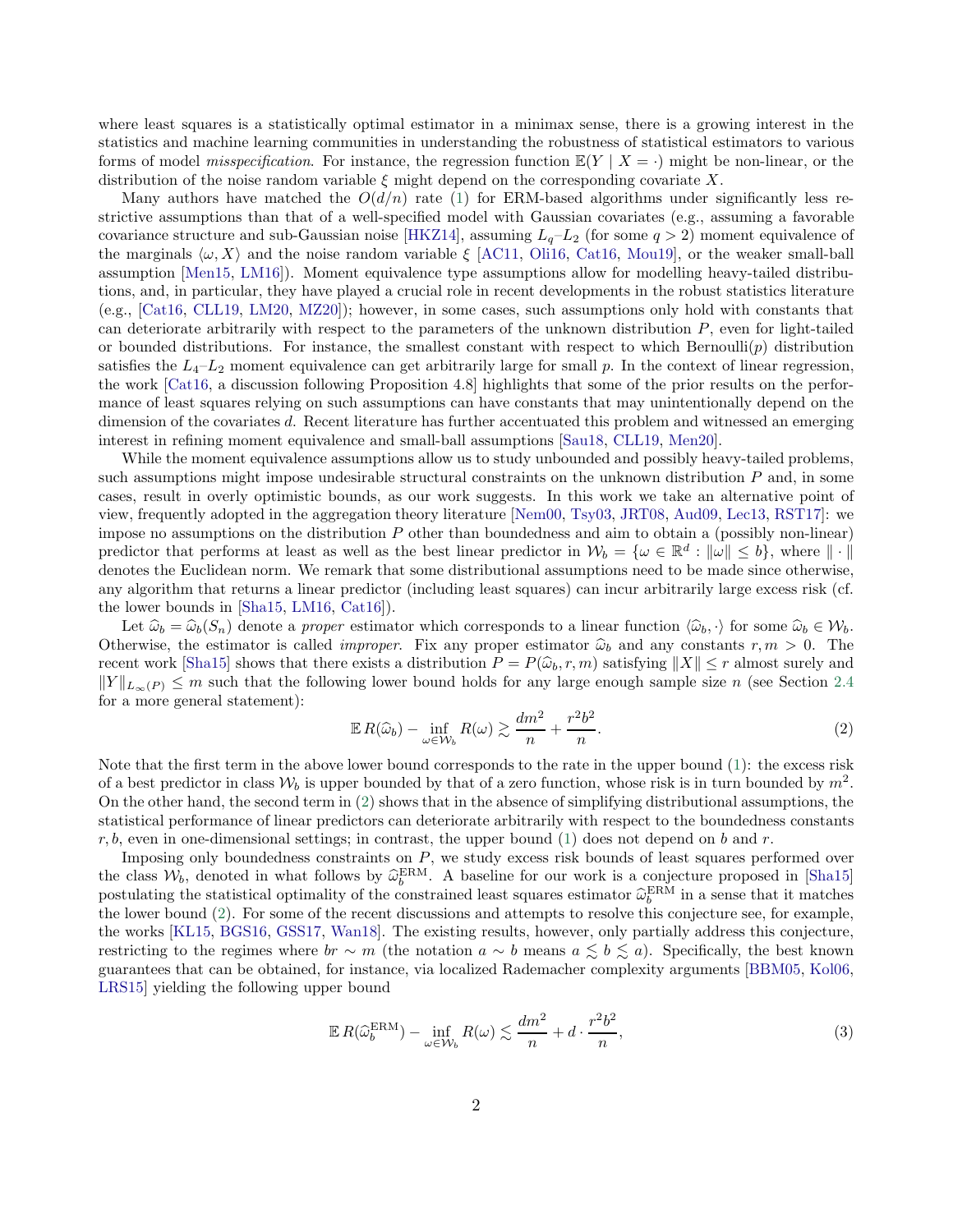where least squares is a statistically optimal estimator in a minimax sense, there is a growing interest in the statistics and machine learning communities in understanding the robustness of statistical estimators to various forms of model *misspecification*. For instance, the regression function  $\mathbb{E}(Y | X = \cdot)$  might be non-linear, or the distribution of the noise random variable  $\xi$  might depend on the corresponding covariate X.

Many authors have matched the  $O(d/n)$  rate [\(1\)](#page-0-0) for ERM-based algorithms under significantly less restrictive assumptions than that of a well-specified model with Gaussian covariates (e.g., assuming a favorable covariance structure and sub-Gaussian noise [\[HKZ14](#page-22-0)], assuming  $L_q-L_2$  (for some  $q>2$ ) moment equivalence of the marginals  $\langle \omega, X \rangle$  and the noise random variable  $\xi$  [\[AC11,](#page-21-1) [Oli16,](#page-23-1) [Cat16](#page-21-2), [Mou19\]](#page-23-0), or the weaker small-ball assumption [\[Men15](#page-23-2), [LM16\]](#page-23-3)). Moment equivalence type assumptions allow for modelling heavy-tailed distributions, and, in particular, they have played a crucial role in recent developments in the robust statistics literature (e.g., [\[Cat16,](#page-21-2) [CLL19,](#page-22-1) [LM20,](#page-23-4) [MZ20](#page-23-5)]); however, in some cases, such assumptions only hold with constants that can deteriorate arbitrarily with respect to the parameters of the unknown distribution  $P$ , even for light-tailed or bounded distributions. For instance, the smallest constant with respect to which Bernoulli $(p)$  distribution satisfies the  $L_4 - L_2$  moment equivalence can get arbitrarily large for small p. In the context of linear regression, the work [\[Cat16,](#page-21-2) a discussion following Proposition 4.8] highlights that some of the prior results on the performance of least squares relying on such assumptions can have constants that may unintentionally depend on the dimension of the covariates d. Recent literature has further accentuated this problem and witnessed an emerging interest in refining moment equivalence and small-ball assumptions [\[Sau18,](#page-23-6) [CLL19,](#page-22-1) [Men20\]](#page-23-7).

While the moment equivalence assumptions allow us to study unbounded and possibly heavy-tailed problems, such assumptions might impose undesirable structural constraints on the unknown distribution P and, in some cases, result in overly optimistic bounds, as our work suggests. In this work we take an alternative point of view, frequently adopted in the aggregation theory literature [\[Nem00,](#page-23-8) [Tsy03,](#page-24-0) [JRT08](#page-22-2), [Aud09](#page-21-3), [Lec13](#page-22-3), [RST17\]](#page-23-9): we impose no assumptions on the distribution  $P$  other than boundedness and aim to obtain a (possibly non-linear) predictor that performs at least as well as the best linear predictor in  $W_b = \{ \omega \in \mathbb{R}^d : ||\omega|| \le b \}$ , where  $|| \cdot ||$ denotes the Euclidean norm. We remark that some distributional assumptions need to be made since otherwise, any algorithm that returns a linear predictor (including least squares) can incur arbitrarily large excess risk (cf. the lower bounds in [\[Sha15,](#page-23-10) [LM16,](#page-23-3) [Cat16](#page-21-2)]).

Let  $\hat{\omega}_b = \hat{\omega}_b(S_n)$  denote a proper estimator which corresponds to a linear function  $\langle \hat{\omega}_b, \cdot \rangle$  for some  $\hat{\omega}_b \in \mathcal{W}_b$ . Otherwise, the estimator is called *improper*. Fix any proper estimator  $\hat{\omega}_b$  and any constants  $r, m > 0$ . The recent work [\[Sha15\]](#page-23-10) shows that there exists a distribution  $P = P(\hat{\omega}_b, r, m)$  satisfying  $||X|| \leq r$  almost surely and  $||Y||_{L_{\infty}(P)} \leq m$  such that the following lower bound holds for any large enough sample size n (see Section [2.4](#page-8-0)) for a more general statement):

<span id="page-1-0"></span>
$$
\mathbb{E}\,R(\widehat{\omega}_b) - \inf_{\omega \in \mathcal{W}_b} R(\omega) \gtrsim \frac{dm^2}{n} + \frac{r^2b^2}{n}.\tag{2}
$$

Note that the first term in the above lower bound corresponds to the rate in the upper bound [\(1\)](#page-0-0): the excess risk of a best predictor in class  $W_b$  is upper bounded by that of a zero function, whose risk is in turn bounded by  $m^2$ . On the other hand, the second term in [\(2\)](#page-1-0) shows that in the absence of simplifying distributional assumptions, the statistical performance of linear predictors can deteriorate arbitrarily with respect to the boundedness constants  $r, b$ , even in one-dimensional settings; in contrast, the upper bound [\(1\)](#page-0-0) does not depend on b and r.

Imposing only boundedness constraints on  $P$ , we study excess risk bounds of least squares performed over the class  $W_b$ , denoted in what follows by  $\hat{\omega}_b^{\text{ERM}}$ . A baseline for our work is a conjecture proposed in [\[Sha15](#page-23-10)] postulating the statistical optimality of the constrained least squares estimator  $\hat{\omega}_b^{\text{ERM}}$  in a sense that it matches the lower bound [\(2\)](#page-1-0). For some of the recent discussions and attempts to resolve this conjecture see, for example, the works [\[KL15](#page-22-4), [BGS16,](#page-21-4) [GSS17,](#page-22-5) [Wan18\]](#page-24-1). The existing results, however, only partially address this conjecture, restricting to the regimes where  $br \sim m$  (the notation  $a \sim b$  means  $a \leq b \leq a$ ). Specifically, the best known guarantees that can be obtained, for instance, via localized Rademacher complexity arguments [\[BBM05,](#page-21-5) [Kol06](#page-22-6), [LRS15](#page-23-11)] yielding the following upper bound

<span id="page-1-1"></span>
$$
\mathbb{E}\,R(\widehat{\omega}_b^{\text{ERM}}) - \inf_{\omega \in \mathcal{W}_b} R(\omega) \lesssim \frac{dm^2}{n} + d \cdot \frac{r^2 b^2}{n},\tag{3}
$$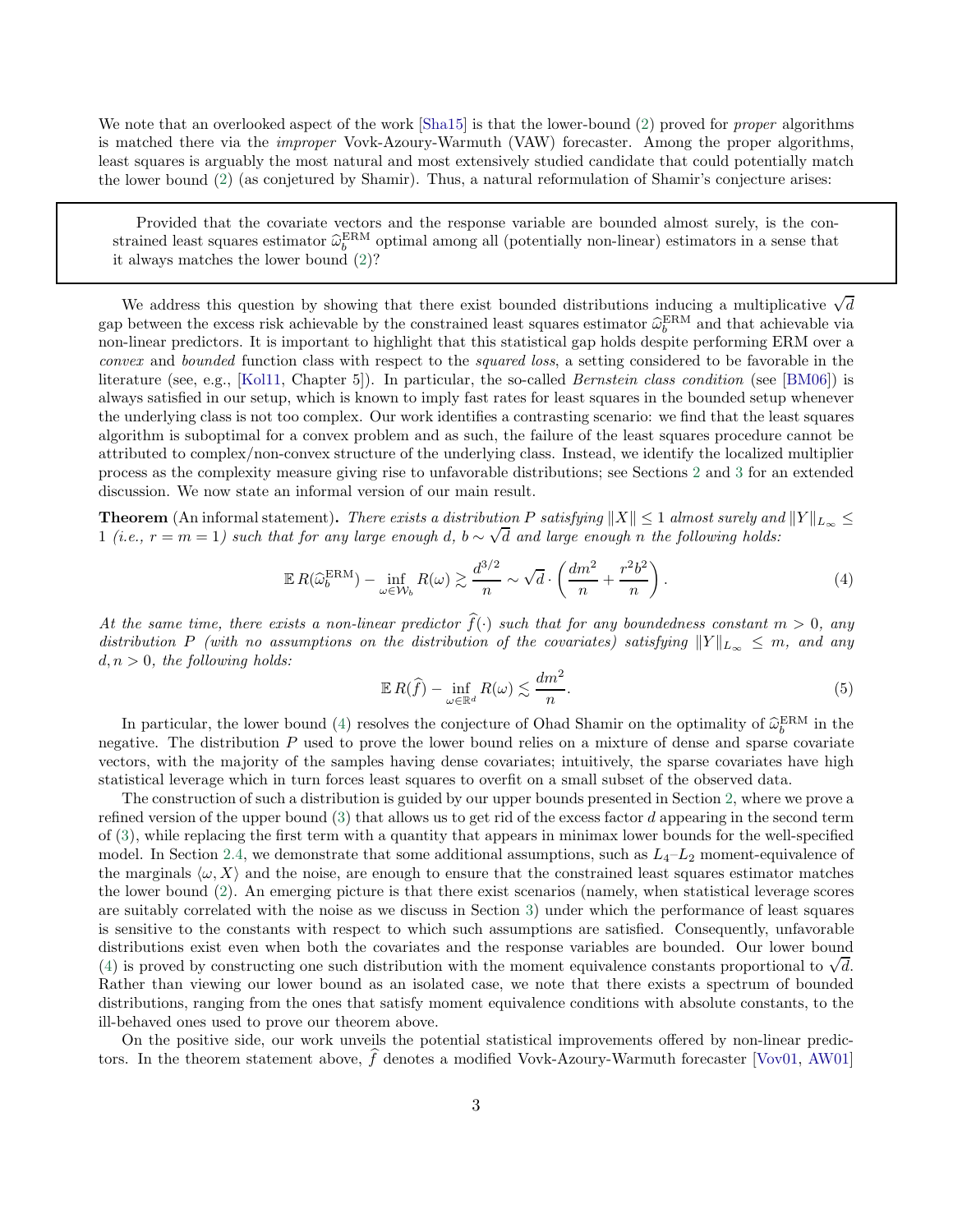We note that an overlooked aspect of the work  $|Sha15|$  is that the lower-bound [\(2\)](#page-1-0) proved for *proper* algorithms is matched there via the *improper* Vovk-Azoury-Warmuth (VAW) forecaster. Among the proper algorithms, least squares is arguably the most natural and most extensively studied candidate that could potentially match the lower bound [\(2\)](#page-1-0) (as conjetured by Shamir). Thus, a natural reformulation of Shamir's conjecture arises:

Provided that the covariate vectors and the response variable are bounded almost surely, is the constrained least squares estimator  $\hat{\omega}_b^{\text{ERM}}$  optimal among all (potentially non-linear) estimators in a sense that it always matches the lower bound [\(2\)](#page-1-0)?

We address this question by showing that there exist bounded distributions inducing a multiplicative  $\sqrt{d}$ gap between the excess risk achievable by the constrained least squares estimator  $\hat{\omega}_b^{\text{ERM}}$  and that achievable via non-linear predictors. It is important to highlight that this statistical gap holds despite performing ERM over a convex and bounded function class with respect to the squared loss, a setting considered to be favorable in the literature (see, e.g., [\[Kol11,](#page-22-7) Chapter 5]). In particular, the so-called *Bernstein class condition* (see [\[BM06\]](#page-21-6)) is always satisfied in our setup, which is known to imply fast rates for least squares in the bounded setup whenever the underlying class is not too complex. Our work identifies a contrasting scenario: we find that the least squares algorithm is suboptimal for a convex problem and as such, the failure of the least squares procedure cannot be attributed to complex/non-convex structure of the underlying class. Instead, we identify the localized multiplier process as the complexity measure giving rise to unfavorable distributions; see Sections [2](#page-6-0) and [3](#page-11-0) for an extended discussion. We now state an informal version of our main result.

**Theorem** (An informal statement). There exists a distribution P satisfying  $||X|| \leq 1$  almost surely and  $||Y||_{L_{\infty}} \leq$ 1 (i.e.,  $r = m = 1$ ) such that for any large enough d,  $b \sim \sqrt{d}$  and large enough n the following holds:

$$
\mathbb{E}\,R(\widehat{\omega}_b^{\text{ERM}}) - \inf_{\omega \in \mathcal{W}_b} R(\omega) \gtrsim \frac{d^{3/2}}{n} \sim \sqrt{d} \cdot \left(\frac{dm^2}{n} + \frac{r^2 b^2}{n}\right). \tag{4}
$$

At the same time, there exists a non-linear predictor  $\hat{f}(\cdot)$  such that for any boundedness constant  $m > 0$ , any distribution P (with no assumptions on the distribution of the covariates) satisfying  $||Y||_{L_{\infty}} \leq m$ , and any  $d, n > 0$ , the following holds:

<span id="page-2-1"></span><span id="page-2-0"></span>
$$
\mathbb{E}\,R(\widehat{f}) - \inf_{\omega \in \mathbb{R}^d} R(\omega) \lesssim \frac{dm^2}{n}.\tag{5}
$$

In particular, the lower bound [\(4\)](#page-2-0) resolves the conjecture of Ohad Shamir on the optimality of  $\hat{\omega}_b^{\text{ERM}}$  in the negative. The distribution  $P$  used to prove the lower bound relies on a mixture of dense and sparse covariate vectors, with the majority of the samples having dense covariates; intuitively, the sparse covariates have high statistical leverage which in turn forces least squares to overfit on a small subset of the observed data.

The construction of such a distribution is guided by our upper bounds presented in Section [2,](#page-6-0) where we prove a refined version of the upper bound  $(3)$  that allows us to get rid of the excess factor d appearing in the second term of [\(3\)](#page-1-1), while replacing the first term with a quantity that appears in minimax lower bounds for the well-specified model. In Section [2.4,](#page-8-0) we demonstrate that some additional assumptions, such as  $L_4-L_2$  moment-equivalence of the marginals  $\langle \omega, X \rangle$  and the noise, are enough to ensure that the constrained least squares estimator matches the lower bound [\(2\)](#page-1-0). An emerging picture is that there exist scenarios (namely, when statistical leverage scores are suitably correlated with the noise as we discuss in Section [3\)](#page-11-0) under which the performance of least squares is sensitive to the constants with respect to which such assumptions are satisfied. Consequently, unfavorable distributions exist even when both the covariates and the response variables are bounded. Our lower bound [\(4\)](#page-2-0) is proved by constructing one such distribution with the moment equivalence constants proportional to  $\sqrt{d}$ . Rather than viewing our lower bound as an isolated case, we note that there exists a spectrum of bounded distributions, ranging from the ones that satisfy moment equivalence conditions with absolute constants, to the ill-behaved ones used to prove our theorem above.

On the positive side, our work unveils the potential statistical improvements offered by non-linear predictors. In the theorem statement above,  $\hat{f}$  denotes a modified Vovk-Azoury-Warmuth forecaster [\[Vov01,](#page-24-2) [AW01](#page-21-7)]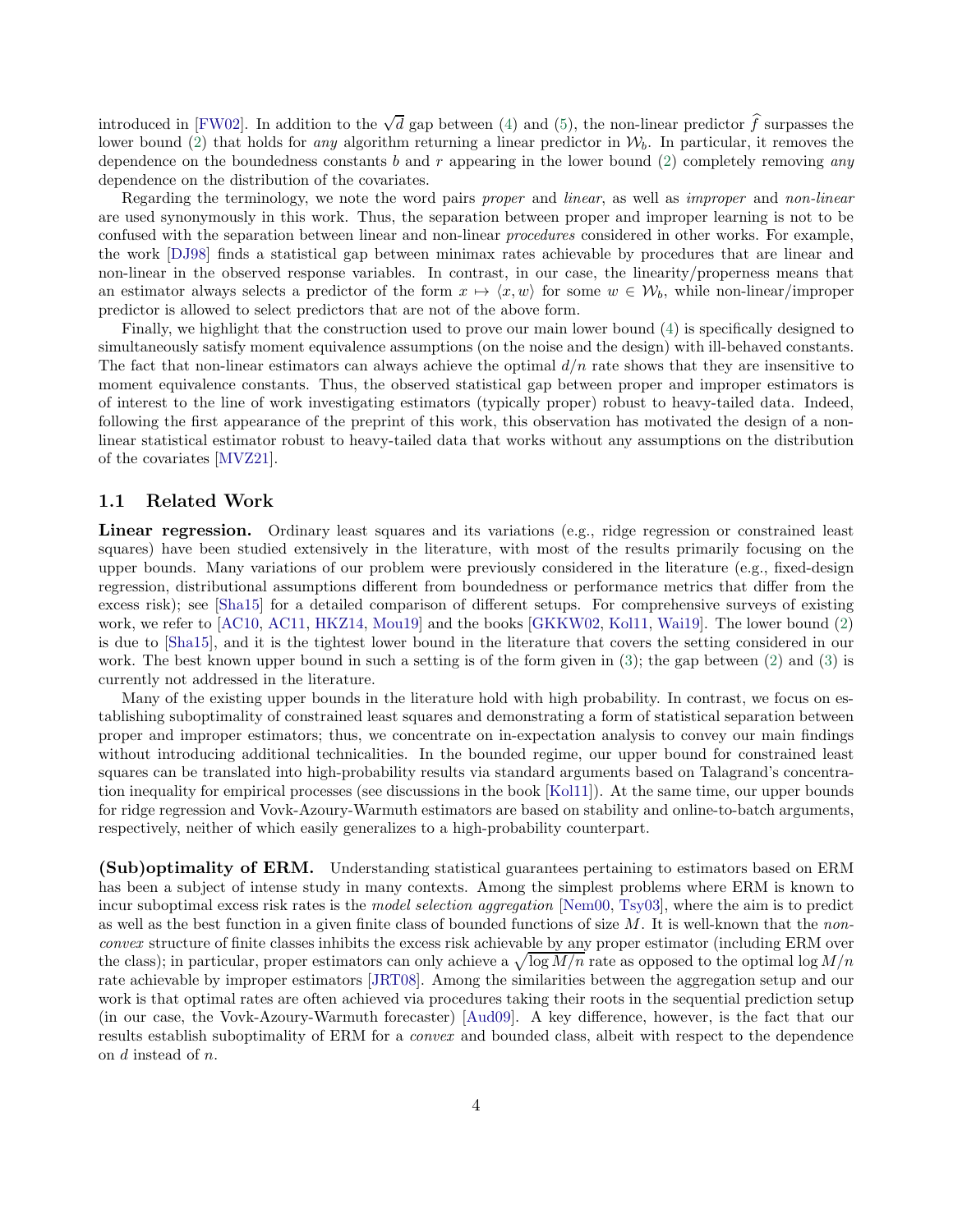introduced in [\[FW02](#page-22-8)]. In addition to the  $\sqrt{d}$  gap between [\(4\)](#page-2-0) and [\(5\)](#page-2-1), the non-linear predictor  $\hat{f}$  surpasses the lower bound [\(2\)](#page-1-0) that holds for any algorithm returning a linear predictor in  $\mathcal{W}_b$ . In particular, it removes the dependence on the boundedness constants  $b$  and  $r$  appearing in the lower bound [\(2\)](#page-1-0) completely removing any dependence on the distribution of the covariates.

Regarding the terminology, we note the word pairs proper and linear, as well as improper and non-linear are used synonymously in this work. Thus, the separation between proper and improper learning is not to be confused with the separation between linear and non-linear *procedures* considered in other works. For example, the work [\[DJ98\]](#page-22-9) finds a statistical gap between minimax rates achievable by procedures that are linear and non-linear in the observed response variables. In contrast, in our case, the linearity/properness means that an estimator always selects a predictor of the form  $x \mapsto \langle x, w \rangle$  for some  $w \in \mathcal{W}_b$ , while non-linear/improper predictor is allowed to select predictors that are not of the above form.

Finally, we highlight that the construction used to prove our main lower bound [\(4\)](#page-2-0) is specifically designed to simultaneously satisfy moment equivalence assumptions (on the noise and the design) with ill-behaved constants. The fact that non-linear estimators can always achieve the optimal  $d/n$  rate shows that they are insensitive to moment equivalence constants. Thus, the observed statistical gap between proper and improper estimators is of interest to the line of work investigating estimators (typically proper) robust to heavy-tailed data. Indeed, following the first appearance of the preprint of this work, this observation has motivated the design of a nonlinear statistical estimator robust to heavy-tailed data that works without any assumptions on the distribution of the covariates [\[MVZ21](#page-23-12)].

#### <span id="page-3-0"></span>1.1 Related Work

Linear regression. Ordinary least squares and its variations (e.g., ridge regression or constrained least squares) have been studied extensively in the literature, with most of the results primarily focusing on the upper bounds. Many variations of our problem were previously considered in the literature (e.g., fixed-design regression, distributional assumptions different from boundedness or performance metrics that differ from the excess risk); see [\[Sha15\]](#page-23-10) for a detailed comparison of different setups. For comprehensive surveys of existing work, we refer to [\[AC10,](#page-21-8) [AC11,](#page-21-1) [HKZ14,](#page-22-0) [Mou19](#page-23-0)] and the books [\[GKKW02,](#page-22-10) [Kol11,](#page-22-7) [Wai19\]](#page-24-3). The lower bound [\(2\)](#page-1-0) is due to [\[Sha15\]](#page-23-10), and it is the tightest lower bound in the literature that covers the setting considered in our work. The best known upper bound in such a setting is of the form given in [\(3\)](#page-1-1); the gap between [\(2\)](#page-1-0) and [\(3\)](#page-1-1) is currently not addressed in the literature.

Many of the existing upper bounds in the literature hold with high probability. In contrast, we focus on establishing suboptimality of constrained least squares and demonstrating a form of statistical separation between proper and improper estimators; thus, we concentrate on in-expectation analysis to convey our main findings without introducing additional technicalities. In the bounded regime, our upper bound for constrained least squares can be translated into high-probability results via standard arguments based on Talagrand's concentration inequality for empirical processes (see discussions in the book [\[Kol11\]](#page-22-7)). At the same time, our upper bounds for ridge regression and Vovk-Azoury-Warmuth estimators are based on stability and online-to-batch arguments, respectively, neither of which easily generalizes to a high-probability counterpart.

(Sub)optimality of ERM. Understanding statistical guarantees pertaining to estimators based on ERM has been a subject of intense study in many contexts. Among the simplest problems where ERM is known to incur suboptimal excess risk rates is the *model selection aggregation* [\[Nem00](#page-23-8), [Tsy03](#page-24-0)], where the aim is to predict as well as the best function in a given finite class of bounded functions of size  $M$ . It is well-known that the nonconvex structure of finite classes inhibits the excess risk achievable by any proper estimator (including ERM over the class); in particular, proper estimators can only achieve a  $\sqrt{\log M/n}$  rate as opposed to the optimal log  $M/n$ rate achievable by improper estimators [\[JRT08\]](#page-22-2). Among the similarities between the aggregation setup and our work is that optimal rates are often achieved via procedures taking their roots in the sequential prediction setup (in our case, the Vovk-Azoury-Warmuth forecaster) [\[Aud09](#page-21-3)]. A key difference, however, is the fact that our results establish suboptimality of ERM for a convex and bounded class, albeit with respect to the dependence on d instead of n.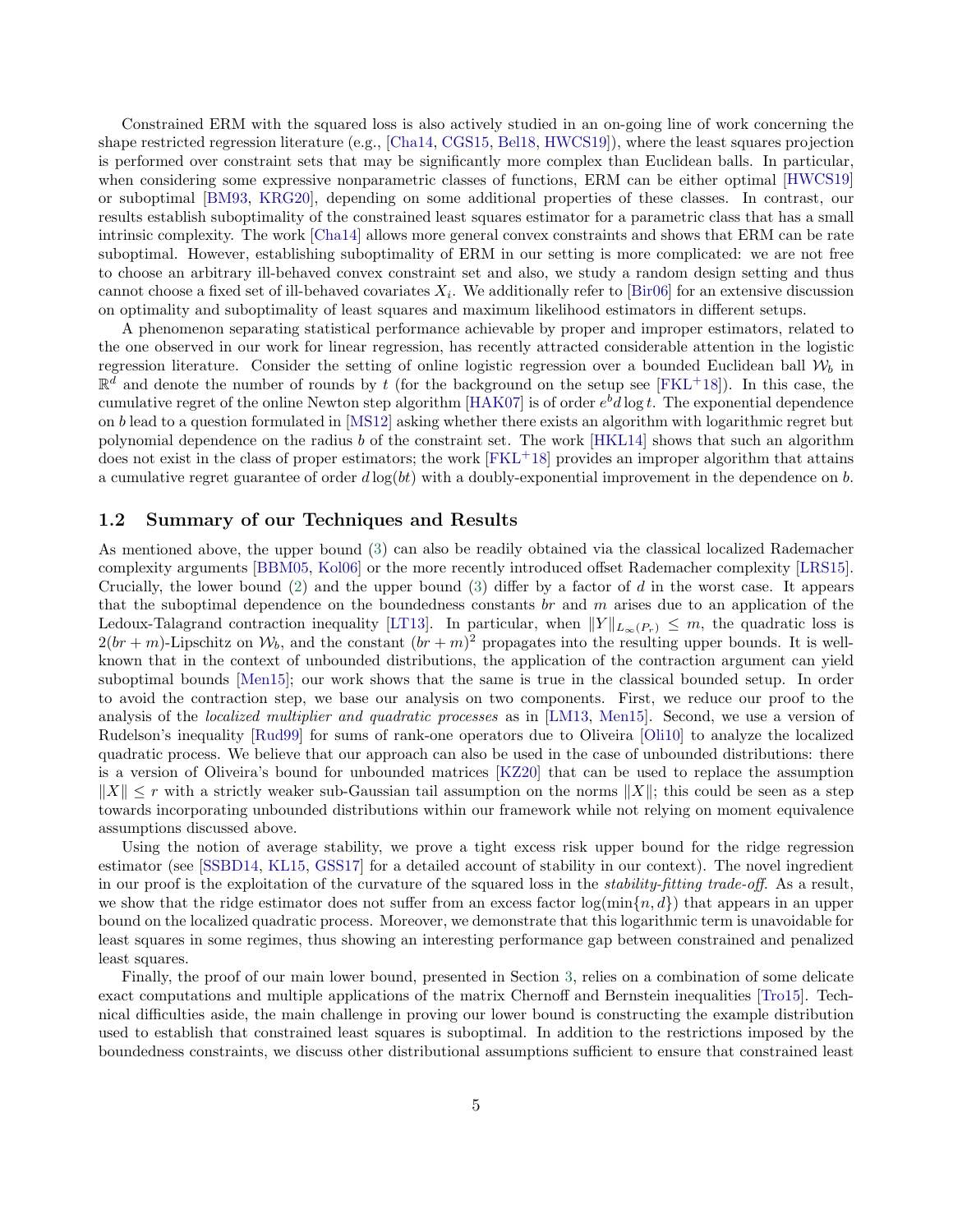Constrained ERM with the squared loss is also actively studied in an on-going line of work concerning the shape restricted regression literature (e.g., [\[Cha14,](#page-22-11) [CGS15,](#page-21-9) [Bel18](#page-21-10), [HWCS19\]](#page-22-12)), where the least squares projection is performed over constraint sets that may be significantly more complex than Euclidean balls. In particular, when considering some expressive nonparametric classes of functions, ERM can be either optimal [\[HWCS19](#page-22-12)] or suboptimal [\[BM93](#page-21-11), [KRG20](#page-22-13)], depending on some additional properties of these classes. In contrast, our results establish suboptimality of the constrained least squares estimator for a parametric class that has a small intrinsic complexity. The work [\[Cha14\]](#page-22-11) allows more general convex constraints and shows that ERM can be rate suboptimal. However, establishing suboptimality of ERM in our setting is more complicated: we are not free to choose an arbitrary ill-behaved convex constraint set and also, we study a random design setting and thus cannot choose a fixed set of ill-behaved covariates  $X_i$ . We additionally refer to [\[Bir06\]](#page-21-12) for an extensive discussion on optimality and suboptimality of least squares and maximum likelihood estimators in different setups.

A phenomenon separating statistical performance achievable by proper and improper estimators, related to the one observed in our work for linear regression, has recently attracted considerable attention in the logistic regression literature. Consider the setting of online logistic regression over a bounded Euclidean ball  $W_b$  in  $\mathbb{R}^{\tilde{d}}$  and denote the number of rounds by  $\tilde{t}$  (for the background on the setup see [\[FKL](#page-22-14)+18]). In this case, the cumulative regret of the online Newton step algorithm [\[HAK07](#page-22-15)] is of order  $e^b d \log t$ . The exponential dependence on b lead to a question formulated in [\[MS12\]](#page-23-13) asking whether there exists an algorithm with logarithmic regret but polynomial dependence on the radius b of the constraint set. The work [\[HKL14](#page-22-16)] shows that such an algorithm does not exist in the class of proper estimators; the work [\[FKL](#page-22-14)<sup>+</sup>18] provides an improper algorithm that attains a cumulative regret guarantee of order  $d \log(bt)$  with a doubly-exponential improvement in the dependence on b.

#### 1.2 Summary of our Techniques and Results

As mentioned above, the upper bound [\(3\)](#page-1-1) can also be readily obtained via the classical localized Rademacher complexity arguments [\[BBM05](#page-21-5), [Kol06\]](#page-22-6) or the more recently introduced offset Rademacher complexity [\[LRS15](#page-23-11)]. Crucially, the lower bound  $(2)$  and the upper bound  $(3)$  differ by a factor of d in the worst case. It appears that the suboptimal dependence on the boundedness constants br and  $m$  arises due to an application of the Ledoux-Talagrand contraction inequality [\[LT13](#page-23-14)]. In particular, when  $||Y||_{L_{\infty}(P_r)} \leq m$ , the quadratic loss is  $2(br + m)$ -Lipschitz on  $\mathcal{W}_b$ , and the constant  $(br + m)^2$  propagates into the resulting upper bounds. It is wellknown that in the context of unbounded distributions, the application of the contraction argument can yield suboptimal bounds [\[Men15\]](#page-23-2); our work shows that the same is true in the classical bounded setup. In order to avoid the contraction step, we base our analysis on two components. First, we reduce our proof to the analysis of the *localized multiplier and quadratic processes* as in [\[LM13](#page-23-15), [Men15](#page-23-2)]. Second, we use a version of Rudelson's inequality [\[Rud99](#page-23-16)] for sums of rank-one operators due to Oliveira [\[Oli10](#page-23-17)] to analyze the localized quadratic process. We believe that our approach can also be used in the case of unbounded distributions: there is a version of Oliveira's bound for unbounded matrices [\[KZ20](#page-22-17)] that can be used to replace the assumption  $||X|| \leq r$  with a strictly weaker sub-Gaussian tail assumption on the norms  $||X||$ ; this could be seen as a step towards incorporating unbounded distributions within our framework while not relying on moment equivalence assumptions discussed above.

Using the notion of average stability, we prove a tight excess risk upper bound for the ridge regression estimator (see [\[SSBD14](#page-24-4), [KL15](#page-22-4), [GSS17](#page-22-5)] for a detailed account of stability in our context). The novel ingredient in our proof is the exploitation of the curvature of the squared loss in the *stability-fitting trade-off*. As a result, we show that the ridge estimator does not suffer from an excess factor  $\log(\min\{n, d\})$  that appears in an upper bound on the localized quadratic process. Moreover, we demonstrate that this logarithmic term is unavoidable for least squares in some regimes, thus showing an interesting performance gap between constrained and penalized least squares.

Finally, the proof of our main lower bound, presented in Section [3,](#page-11-0) relies on a combination of some delicate exact computations and multiple applications of the matrix Chernoff and Bernstein inequalities [\[Tro15](#page-24-5)]. Technical difficulties aside, the main challenge in proving our lower bound is constructing the example distribution used to establish that constrained least squares is suboptimal. In addition to the restrictions imposed by the boundedness constraints, we discuss other distributional assumptions sufficient to ensure that constrained least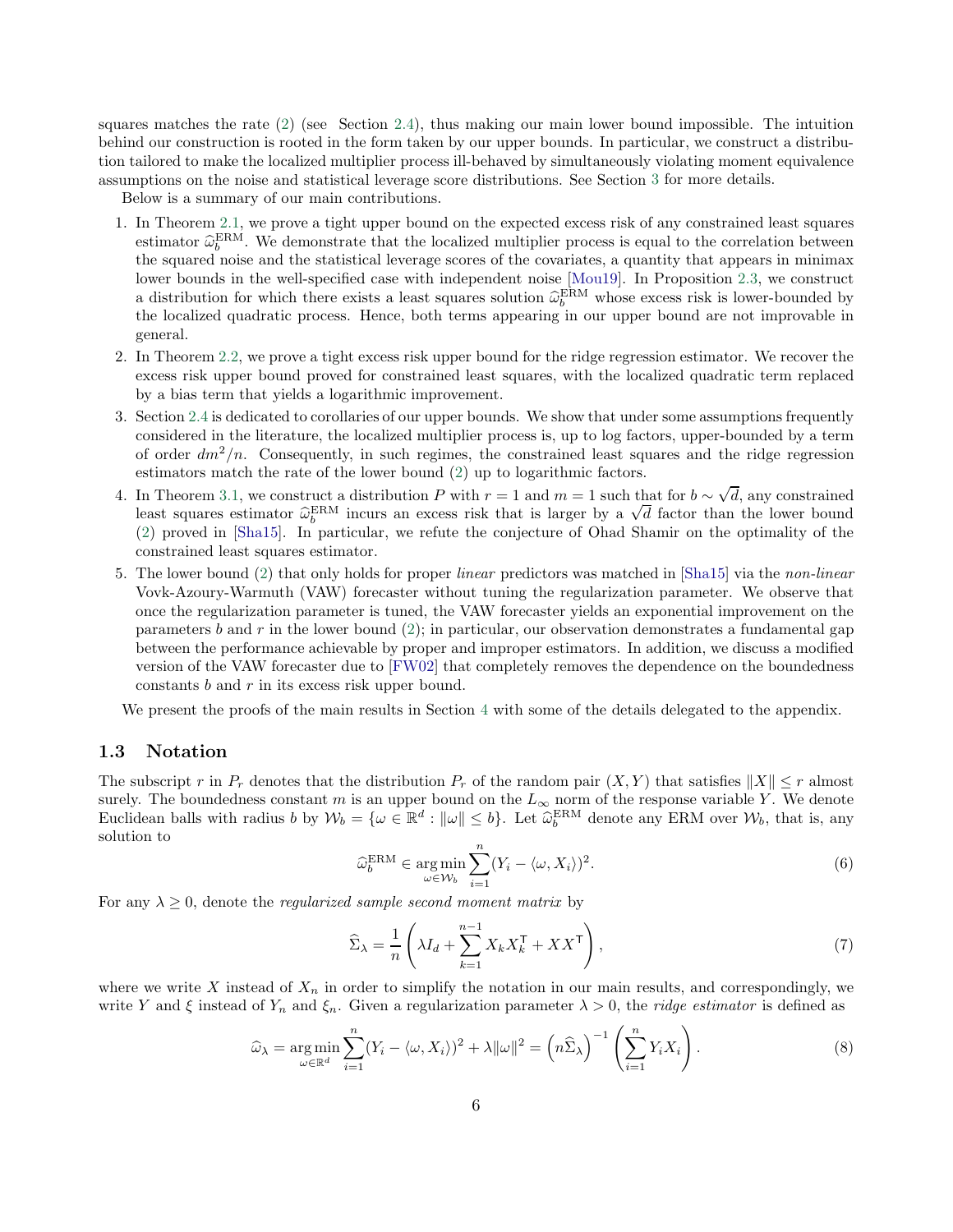squares matches the rate [\(2\)](#page-1-0) (see Section [2.4\)](#page-8-0), thus making our main lower bound impossible. The intuition behind our construction is rooted in the form taken by our upper bounds. In particular, we construct a distribution tailored to make the localized multiplier process ill-behaved by simultaneously violating moment equivalence assumptions on the noise and statistical leverage score distributions. See Section [3](#page-11-0) for more details.

Below is a summary of our main contributions.

- 1. In Theorem [2.1,](#page-6-1) we prove a tight upper bound on the expected excess risk of any constrained least squares estimator  $\hat{\omega}_{b}^{\text{ERM}}$ . We demonstrate that the localized multiplier process is equal to the correlation between the squared noise and the statistical leverage scores of the covariates, a quantity that appears in minimax lower bounds in the well-specified case with independent noise [\[Mou19\]](#page-23-0). In Proposition [2.3,](#page-7-0) we construct a distribution for which there exists a least squares solution  $\hat{\omega}_b^{\text{ERM}}$  whose excess risk is lower-bounded by the localized quadratic process. Hence, both terms appearing in our upper bound are not improvable in general.
- 2. In Theorem [2.2,](#page-7-1) we prove a tight excess risk upper bound for the ridge regression estimator. We recover the excess risk upper bound proved for constrained least squares, with the localized quadratic term replaced by a bias term that yields a logarithmic improvement.
- 3. Section [2.4](#page-8-0) is dedicated to corollaries of our upper bounds. We show that under some assumptions frequently considered in the literature, the localized multiplier process is, up to log factors, upper-bounded by a term of order  $dm^2/n$ . Consequently, in such regimes, the constrained least squares and the ridge regression estimators match the rate of the lower bound [\(2\)](#page-1-0) up to logarithmic factors.
- 4. In Theorem [3.1,](#page-11-1) we construct a distribution P with  $r = 1$  and  $m = 1$  such that for  $b \sim \sqrt{d}$ , any constrained Least squares estimator  $\hat{\omega}_b^{\text{ERM}}$  incurs an excess risk that is larger by a  $\sqrt{d}$  factor than the lower bound [\(2\)](#page-1-0) proved in [\[Sha15\]](#page-23-10). In particular, we refute the conjecture of Ohad Shamir on the optimality of the constrained least squares estimator.
- 5. The lower bound [\(2\)](#page-1-0) that only holds for proper linear predictors was matched in [\[Sha15](#page-23-10)] via the non-linear Vovk-Azoury-Warmuth (VAW) forecaster without tuning the regularization parameter. We observe that once the regularization parameter is tuned, the VAW forecaster yields an exponential improvement on the parameters b and r in the lower bound  $(2)$ ; in particular, our observation demonstrates a fundamental gap between the performance achievable by proper and improper estimators. In addition, we discuss a modified version of the VAW forecaster due to [\[FW02](#page-22-8)] that completely removes the dependence on the boundedness constants  $b$  and  $r$  in its excess risk upper bound.

We present the proofs of the main results in Section [4](#page-13-0) with some of the details delegated to the appendix.

#### 1.3 Notation

The subscript r in  $P_r$  denotes that the distribution  $P_r$  of the random pair  $(X, Y)$  that satisfies  $||X|| \leq r$  almost surely. The boundedness constant m is an upper bound on the  $L_{\infty}$  norm of the response variable Y. We denote Euclidean balls with radius b by  $W_b = \{ \omega \in \mathbb{R}^d : ||\omega|| \leq b \}$ . Let  $\widehat{\omega}_b^{\text{ERM}}$  denote any ERM over  $W_b$ , that is, any solution to

<span id="page-5-0"></span>
$$
\widehat{\omega}_b^{\text{ERM}} \in \underset{\omega \in \mathcal{W}_b}{\arg \min} \sum_{i=1}^n (Y_i - \langle \omega, X_i \rangle)^2.
$$
 (6)

For any  $\lambda \geq 0$ , denote the *regularized sample second moment matrix* by

<span id="page-5-2"></span><span id="page-5-1"></span>
$$
\widehat{\Sigma}_{\lambda} = \frac{1}{n} \left( \lambda I_d + \sum_{k=1}^{n-1} X_k X_k^{\mathsf{T}} + XX^{\mathsf{T}} \right),\tag{7}
$$

where we write X instead of  $X_n$  in order to simplify the notation in our main results, and correspondingly, we write Y and  $\xi$  instead of  $Y_n$  and  $\xi_n$ . Given a regularization parameter  $\lambda > 0$ , the *ridge estimator* is defined as

$$
\widehat{\omega}_{\lambda} = \underset{\omega \in \mathbb{R}^d}{\arg \min} \sum_{i=1}^n (Y_i - \langle \omega, X_i \rangle)^2 + \lambda ||\omega||^2 = \left( n \widehat{\Sigma}_{\lambda} \right)^{-1} \left( \sum_{i=1}^n Y_i X_i \right). \tag{8}
$$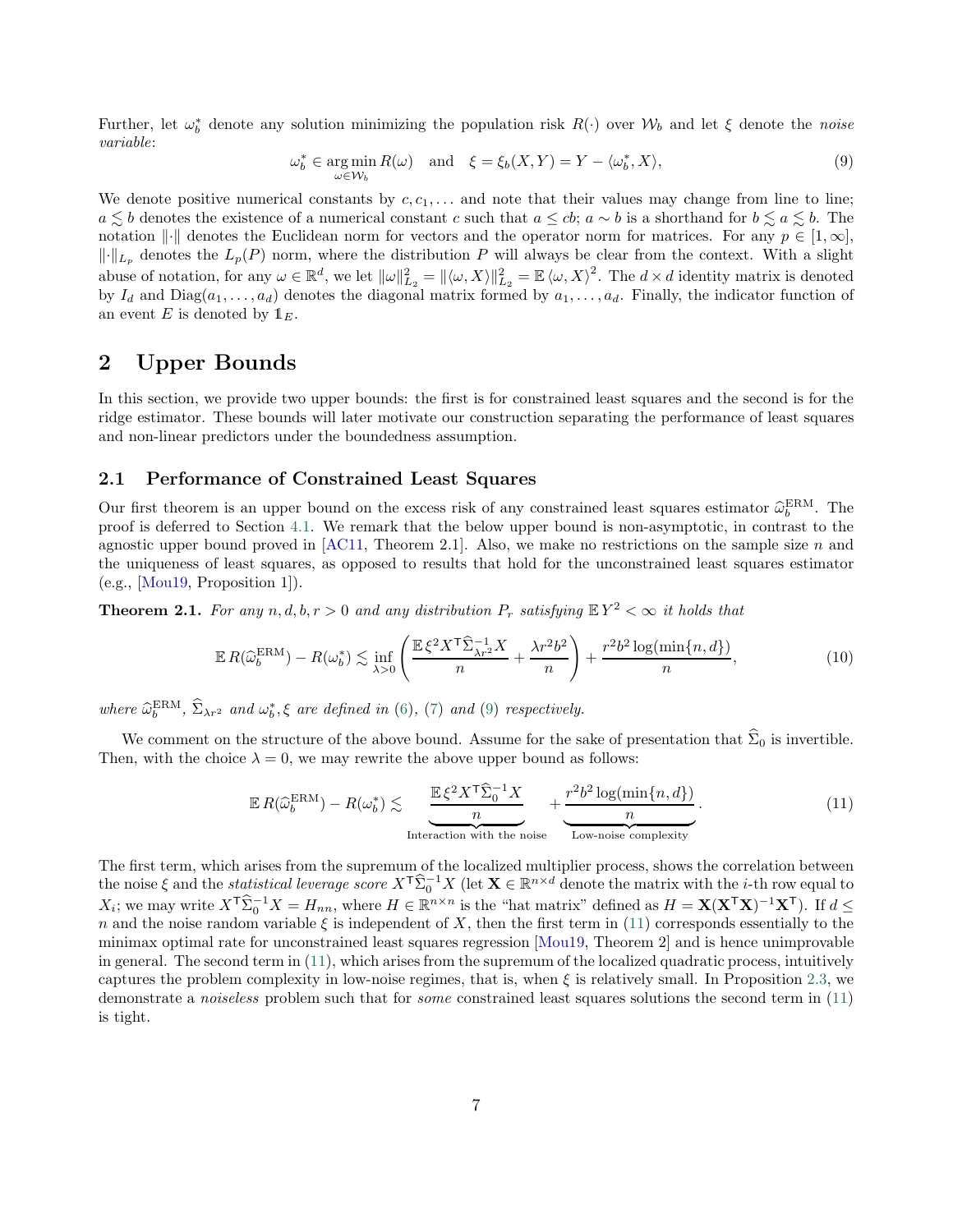Further, let  $\omega_b^*$  denote any solution minimizing the population risk  $R(\cdot)$  over  $\mathcal{W}_b$  and let  $\xi$  denote the noise variable:

<span id="page-6-2"></span>
$$
\omega_b^* \in \operatorname*{arg\,min}_{\omega \in \mathcal{W}_b} R(\omega) \quad \text{and} \quad \xi = \xi_b(X, Y) = Y - \langle \omega_b^*, X \rangle,\tag{9}
$$

We denote positive numerical constants by  $c, c_1, \ldots$  and note that their values may change from line to line; a  $\leq b$  denotes the existence of a numerical constant c such that  $a \leq cb$ ;  $a \sim b$  is a shorthand for  $b \leq a \leq b$ . The notation  $\|\cdot\|$  denotes the Euclidean norm for vectors and the operator norm for matrices. For any  $p \in [1,\infty]$ ,  $\lVert \cdot \rVert_{L_p}$  denotes the  $L_p(P)$  norm, where the distribution P will always be clear from the context. With a slight abuse of notation, for any  $\omega \in \mathbb{R}^d$ , we let  $\|\omega\|_{L_2}^2 = \|\langle \omega, X \rangle\|_{L_2}^2 = \mathbb{E} \langle \omega, X \rangle^2$ . The  $d \times d$  identity matrix is denoted by  $I_d$  and  $Diag(a_1, \ldots, a_d)$  denotes the diagonal matrix formed by  $a_1, \ldots, a_d$ . Finally, the indicator function of an event E is denoted by  $1_E$ .

## <span id="page-6-0"></span>2 Upper Bounds

In this section, we provide two upper bounds: the first is for constrained least squares and the second is for the ridge estimator. These bounds will later motivate our construction separating the performance of least squares and non-linear predictors under the boundedness assumption.

### 2.1 Performance of Constrained Least Squares

Our first theorem is an upper bound on the excess risk of any constrained least squares estimator  $\hat{\omega}_b^{\text{ERM}}$ . The proof is deferred to Section [4.1.](#page-13-1) We remark that the below upper bound is non-asymptotic, in contrast to the agnostic upper bound proved in  $[AC11, Theorem 2.1]$ . Also, we make no restrictions on the sample size n and the uniqueness of least squares, as opposed to results that hold for the unconstrained least squares estimator (e.g., [\[Mou19,](#page-23-0) Proposition 1]).

<span id="page-6-1"></span>**Theorem 2.1.** For any  $n, d, b, r > 0$  and any distribution  $P_r$  satisfying  $\mathbb{E}Y^2 < \infty$  it holds that

$$
\mathbb{E}\,R(\widehat{\omega}_{b}^{\text{ERM}}) - R(\omega_{b}^{*}) \lesssim \inf_{\lambda > 0} \left( \frac{\mathbb{E}\,\xi^{2}X^{\mathsf{T}}\widehat{\Sigma}_{\lambda r^{2}}^{-1}X}{n} + \frac{\lambda r^{2}b^{2}}{n} \right) + \frac{r^{2}b^{2}\log(\min\{n, d\})}{n},\tag{10}
$$

where  $\widehat{\omega}_{b}^{\text{ERM}}, \widehat{\Sigma}_{\lambda r^2}$  and  $\omega_{b}^{*}, \xi$  are defined in [\(6\)](#page-5-0), [\(7\)](#page-5-1) and [\(9\)](#page-6-2) respectively.

We comment on the structure of the above bound. Assume for the sake of presentation that  $\hat{\Sigma}_0$  is invertible. Then, with the choice  $\lambda = 0$ , we may rewrite the above upper bound as follows:

<span id="page-6-4"></span><span id="page-6-3"></span>
$$
\mathbb{E}R(\widehat{\omega}_{b}^{\text{ERM}}) - R(\omega_{b}^{*}) \lesssim \underbrace{\frac{\mathbb{E}\xi^{2}X^{\mathsf{T}}\widehat{\Sigma}_{0}^{-1}X}{n}}_{\text{Interaction with the noise}} + \underbrace{\frac{r^{2}b^{2}\log(\min\{n,d\})}{n}}_{\text{Low-noise complexity}}.
$$
\n(11)

The first term, which arises from the supremum of the localized multiplier process, shows the correlation between the noise  $\xi$  and the *statistical leverage score*  $X^{\mathsf{T}}\hat{\Sigma}_{0}^{-1}X$  (let  $\mathbf{X} \in \mathbb{R}^{n \times d}$  denote the matrix with the *i*-th row equal to  $X_i$ ; we may write  $X^{\mathsf{T}}\widehat{\Sigma}_0^{-1}X = H_{nn}$ , where  $H \in \mathbb{R}^{n \times n}$  is the "hat matrix" defined as  $H = \mathbf{X}(\mathbf{X}^{\mathsf{T}}\mathbf{X})^{-1}\mathbf{X}^{\mathsf{T}}$ ). If  $d \leq$ n and the noise random variable  $\xi$  is independent of X, then the first term in [\(11\)](#page-6-3) corresponds essentially to the minimax optimal rate for unconstrained least squares regression [\[Mou19,](#page-23-0) Theorem 2] and is hence unimprovable in general. The second term in [\(11\)](#page-6-3), which arises from the supremum of the localized quadratic process, intuitively captures the problem complexity in low-noise regimes, that is, when  $\xi$  is relatively small. In Proposition [2.3,](#page-7-0) we demonstrate a *noiseless* problem such that for *some* constrained least squares solutions the second term in [\(11\)](#page-6-3) is tight.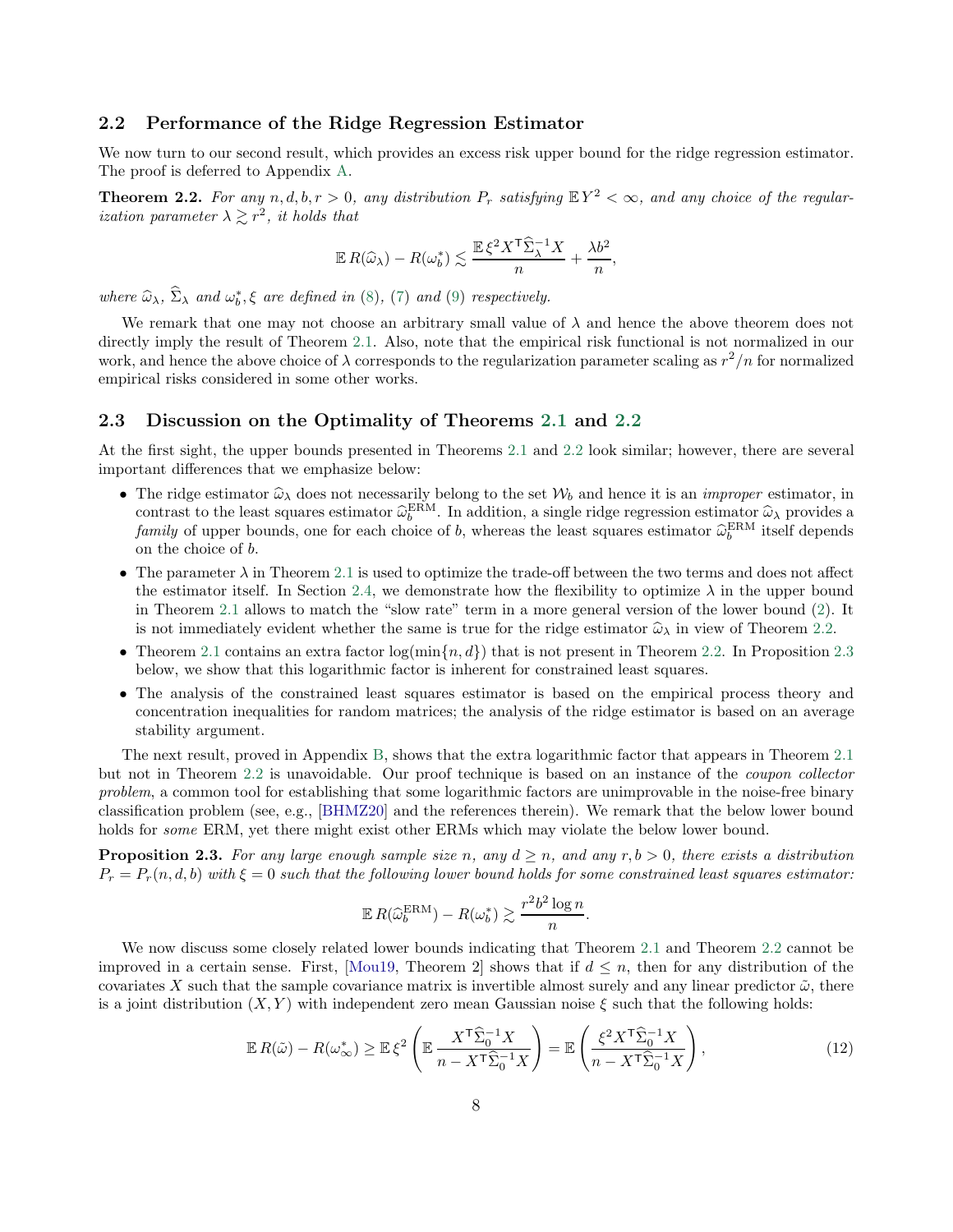#### 2.2 Performance of the Ridge Regression Estimator

We now turn to our second result, which provides an excess risk upper bound for the ridge regression estimator. The proof is deferred to Appendix [A.](#page-24-6)

<span id="page-7-1"></span>**Theorem 2.2.** For any  $n, d, b, r > 0$ , any distribution  $P_r$  satisfying  $\mathbb{E}Y^2 < \infty$ , and any choice of the regular*ization parameter*  $\lambda \gtrsim r^2$ , *it holds that* 

$$
\mathbb{E} R(\widehat{\omega}_{\lambda}) - R(\omega_b^*) \lesssim \frac{\mathbb{E} \xi^2 X^{\mathsf{T}} \widehat{\Sigma}_{\lambda}^{-1} X}{n} + \frac{\lambda b^2}{n},
$$

where  $\widehat{\omega}_{\lambda}$ ,  $\Sigma_{\lambda}$  and  $\omega_b^*$ ,  $\xi$  are defined in [\(8\)](#page-5-2), [\(7\)](#page-5-1) and [\(9\)](#page-6-2) respectively.

We remark that one may not choose an arbitrary small value of  $\lambda$  and hence the above theorem does not directly imply the result of Theorem [2.1.](#page-6-1) Also, note that the empirical risk functional is not normalized in our work, and hence the above choice of  $\lambda$  corresponds to the regularization parameter scaling as  $r^2/n$  for normalized empirical risks considered in some other works.

#### 2.3 Discussion on the Optimality of Theorems [2.1](#page-6-1) and [2.2](#page-7-1)

At the first sight, the upper bounds presented in Theorems [2.1](#page-6-1) and [2.2](#page-7-1) look similar; however, there are several important differences that we emphasize below:

- The ridge estimator  $\hat{\omega}_{\lambda}$  does not necessarily belong to the set  $\mathcal{W}_b$  and hence it is an *improper* estimator, in contrast to the least squares estimator  $\hat{\omega}_{b}^{ERM}$ . In addition, a single ridge regression estimator  $\hat{\omega}_{\lambda}$  provides a family of upper bounds, one for each choice of b, whereas the least squares estimator  $\hat{\omega}_b^{\text{ERM}}$  itself depends on the choice of b.
- The parameter  $\lambda$  in Theorem [2.1](#page-6-1) is used to optimize the trade-off between the two terms and does not affect the estimator itself. In Section [2.4,](#page-8-0) we demonstrate how the flexibility to optimize  $\lambda$  in the upper bound in Theorem [2.1](#page-6-1) allows to match the "slow rate" term in a more general version of the lower bound [\(2\)](#page-1-0). It is not immediately evident whether the same is true for the ridge estimator  $\hat{\omega}_{\lambda}$  in view of Theorem [2.2.](#page-7-1)
- Theorem [2.1](#page-6-1) contains an extra factor  $\log(\min\{n, d\})$  that is not present in Theorem [2.2.](#page-7-1) In Proposition [2.3](#page-7-0) below, we show that this logarithmic factor is inherent for constrained least squares.
- The analysis of the constrained least squares estimator is based on the empirical process theory and concentration inequalities for random matrices; the analysis of the ridge estimator is based on an average stability argument.

The next result, proved in Appendix [B,](#page-27-0) shows that the extra logarithmic factor that appears in Theorem [2.1](#page-6-1) but not in Theorem [2.2](#page-7-1) is unavoidable. Our proof technique is based on an instance of the coupon collector problem, a common tool for establishing that some logarithmic factors are unimprovable in the noise-free binary classification problem (see, e.g., [\[BHMZ20\]](#page-21-13) and the references therein). We remark that the below lower bound holds for *some* ERM, yet there might exist other ERMs which may violate the below lower bound.

<span id="page-7-0"></span>**Proposition 2.3.** For any large enough sample size n, any  $d \ge n$ , and any  $r, b > 0$ , there exists a distribution  $P_r = P_r(n, d, b)$  with  $\xi = 0$  such that the following lower bound holds for some constrained least squares estimator:

<span id="page-7-2"></span>
$$
\mathbb{E} R(\widehat{\omega}_b^{\text{ERM}}) - R(\omega_b^*) \gtrsim \frac{r^2 b^2 \log n}{n}.
$$

We now discuss some closely related lower bounds indicating that Theorem [2.1](#page-6-1) and Theorem [2.2](#page-7-1) cannot be improved in a certain sense. First, [\[Mou19,](#page-23-0) Theorem 2] shows that if  $d \leq n$ , then for any distribution of the covariates X such that the sample covariance matrix is invertible almost surely and any linear predictor  $\tilde{\omega}$ , there is a joint distribution  $(X, Y)$  with independent zero mean Gaussian noise  $\xi$  such that the following holds:

$$
\mathbb{E}\,R(\tilde{\omega}) - R(\omega_{\infty}^*) \ge \mathbb{E}\,\xi^2 \left(\mathbb{E}\,\frac{X^{\mathsf{T}}\widehat{\Sigma}_0^{-1}X}{n - X^{\mathsf{T}}\widehat{\Sigma}_0^{-1}X}\right) = \mathbb{E}\left(\frac{\xi^2 X^{\mathsf{T}}\widehat{\Sigma}_0^{-1}X}{n - X^{\mathsf{T}}\widehat{\Sigma}_0^{-1}X}\right),\tag{12}
$$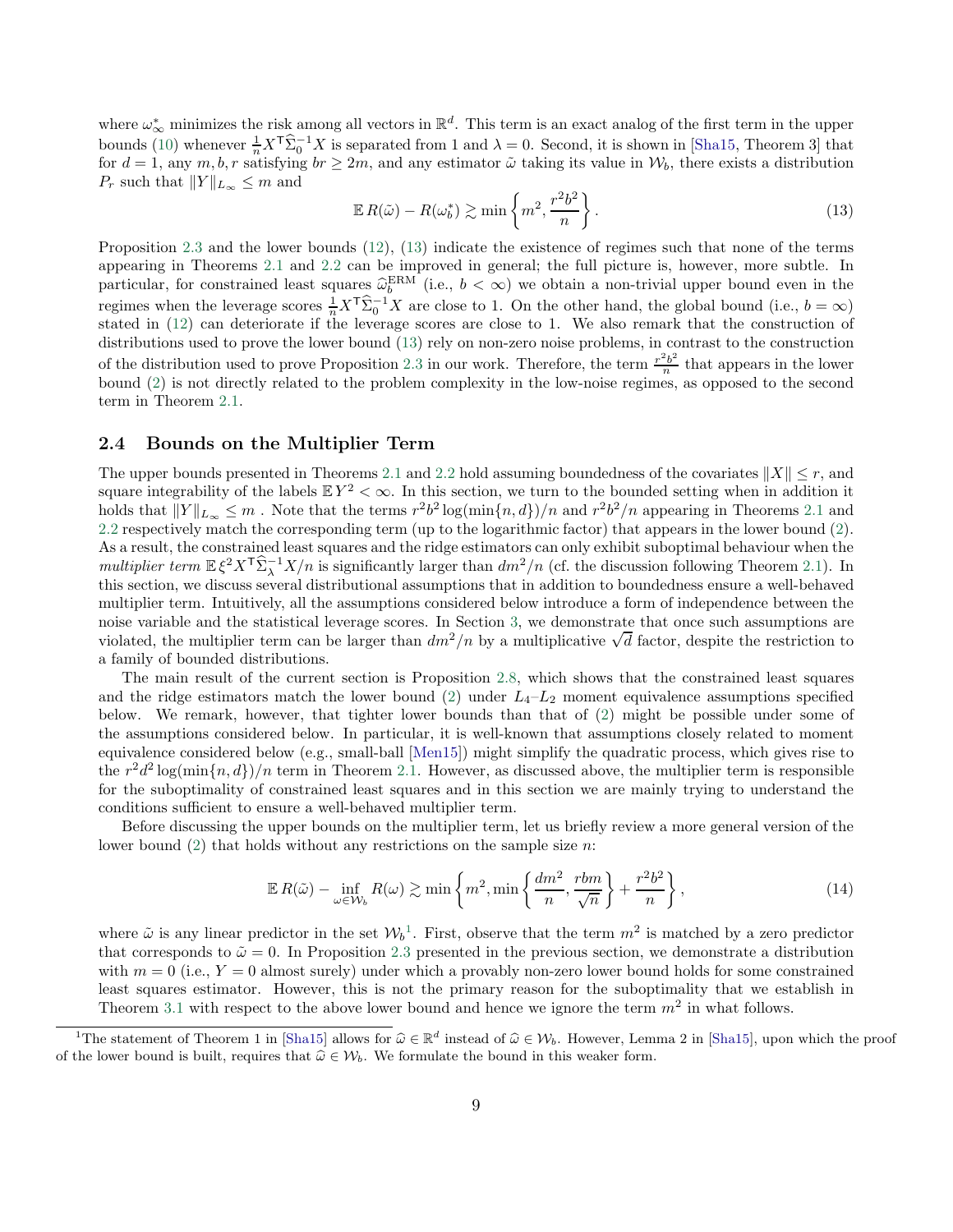where  $\omega_{\infty}^*$  minimizes the risk among all vectors in  $\mathbb{R}^d$ . This term is an exact analog of the first term in the upper bounds [\(10\)](#page-6-4) whenever  $\frac{1}{n}X^{\mathsf{T}}\hat{\Sigma}_{0}^{-1}X$  is separated from 1 and  $\lambda = 0$ . Second, it is shown in [\[Sha15,](#page-23-10) Theorem 3] that for  $d = 1$ , any  $m, b, r$  satisfying  $br \geq 2m$ , and any estimator  $\tilde{\omega}$  taking its value in  $\mathcal{W}_b$ , there exists a distribution  $P_r$  such that  $||Y||_{L_{\infty}} \leq m$  and

<span id="page-8-1"></span>
$$
\mathbb{E}\,R(\tilde{\omega}) - R(\omega_b^*) \gtrsim \min\left\{m^2, \frac{r^2b^2}{n}\right\}.
$$
\n(13)

Proposition [2.3](#page-7-0) and the lower bounds [\(12\)](#page-7-2), [\(13\)](#page-8-1) indicate the existence of regimes such that none of the terms appearing in Theorems [2.1](#page-6-1) and [2.2](#page-7-1) can be improved in general; the full picture is, however, more subtle. In particular, for constrained least squares  $\widehat{\omega}_{b}^{\text{ERM}}$  (i.e.,  $b < \infty$ ) we obtain a non-trivial upper bound even in the regimes when the leverage scores  $\frac{1}{n}X^{\mathsf{T}}\hat{\Sigma}_0^{-1}X$  are close to 1. On the other hand, the global bound (i.e.,  $b = \infty$ ) stated in [\(12\)](#page-7-2) can deteriorate if the leverage scores are close to 1. We also remark that the construction of distributions used to prove the lower bound [\(13\)](#page-8-1) rely on non-zero noise problems, in contrast to the construction of the distribution used to prove Proposition [2.3](#page-7-0) in our work. Therefore, the term  $\frac{r^2b^2}{n}$  $\frac{b^2b^2}{n}$  that appears in the lower bound [\(2\)](#page-1-0) is not directly related to the problem complexity in the low-noise regimes, as opposed to the second term in Theorem [2.1.](#page-6-1)

#### <span id="page-8-0"></span>2.4 Bounds on the Multiplier Term

The upper bounds presented in Theorems [2.1](#page-6-1) and [2.2](#page-7-1) hold assuming boundedness of the covariates  $||X|| \leq r$ , and square integrability of the labels  $EY^2 < \infty$ . In this section, we turn to the bounded setting when in addition it holds that  $||Y||_{L_{\infty}} \leq m$ . Note that the terms  $r^2b^2\log(\min\{n,d\})/n$  and  $r^2b^2/n$  appearing in Theorems [2.1](#page-6-1) and [2.2](#page-7-1) respectively match the corresponding term (up to the logarithmic factor) that appears in the lower bound [\(2\)](#page-1-0). As a result, the constrained least squares and the ridge estimators can only exhibit suboptimal behaviour when the multiplier term  $\mathbb{E} \xi^2 X^T \widehat{\Sigma}_{\lambda}^{-1} X/n$  is significantly larger than  $dm^2/n$  (cf. the discussion following Theorem [2.1\)](#page-6-1). In this section, we discuss several distributional assumptions that in addition to boundedness ensure a well-behaved multiplier term. Intuitively, all the assumptions considered below introduce a form of independence between the noise variable and the statistical leverage scores. In Section [3,](#page-11-0) we demonstrate that once such assumptions are violated, the multiplier term can be larger than  $dm^2/n$  by a multiplicative  $\sqrt{d}$  factor, despite the restriction to a family of bounded distributions.

The main result of the current section is Proposition [2.8,](#page-10-0) which shows that the constrained least squares and the ridge estimators match the lower bound  $(2)$  under  $L_4-L_2$  moment equivalence assumptions specified below. We remark, however, that tighter lower bounds than that of [\(2\)](#page-1-0) might be possible under some of the assumptions considered below. In particular, it is well-known that assumptions closely related to moment equivalence considered below (e.g., small-ball [\[Men15](#page-23-2)]) might simplify the quadratic process, which gives rise to the  $r^2d^2\log(\min\{n,d\})/n$  term in Theorem [2.1.](#page-6-1) However, as discussed above, the multiplier term is responsible for the suboptimality of constrained least squares and in this section we are mainly trying to understand the conditions sufficient to ensure a well-behaved multiplier term.

Before discussing the upper bounds on the multiplier term, let us briefly review a more general version of the lower bound  $(2)$  that holds without any restrictions on the sample size *n*:

<span id="page-8-3"></span>
$$
\mathbb{E}\,R(\tilde{\omega}) - \inf_{\omega \in \mathcal{W}_b} R(\omega) \gtrsim \min\left\{m^2, \min\left\{\frac{dm^2}{n}, \frac{rbm}{\sqrt{n}}\right\} + \frac{r^2b^2}{n}\right\},\tag{14}
$$

where  $\tilde{\omega}$  is any linear predictor in the set  $W_b^1$  $W_b^1$ . First, observe that the term  $m^2$  is matched by a zero predictor that corresponds to  $\tilde{\omega} = 0$ . In Proposition [2.3](#page-7-0) presented in the previous section, we demonstrate a distribution with  $m = 0$  (i.e.,  $Y = 0$  almost surely) under which a provably non-zero lower bound holds for some constrained least squares estimator. However, this is not the primary reason for the suboptimality that we establish in Theorem [3.1](#page-11-1) with respect to the above lower bound and hence we ignore the term  $m^2$  in what follows.

<span id="page-8-2"></span><sup>&</sup>lt;sup>1</sup>The statement of Theorem 1 in [\[Sha15\]](#page-23-10) allows for  $\hat{\omega} \in \mathbb{R}^d$  instead of  $\hat{\omega} \in \mathcal{W}_b$ . However, Lemma 2 in [Sha15], upon which the proof of the lower bound is built, requires that  $\hat{\omega} \in \mathcal{W}_{b}$ . We formulate the bound in this weaker form.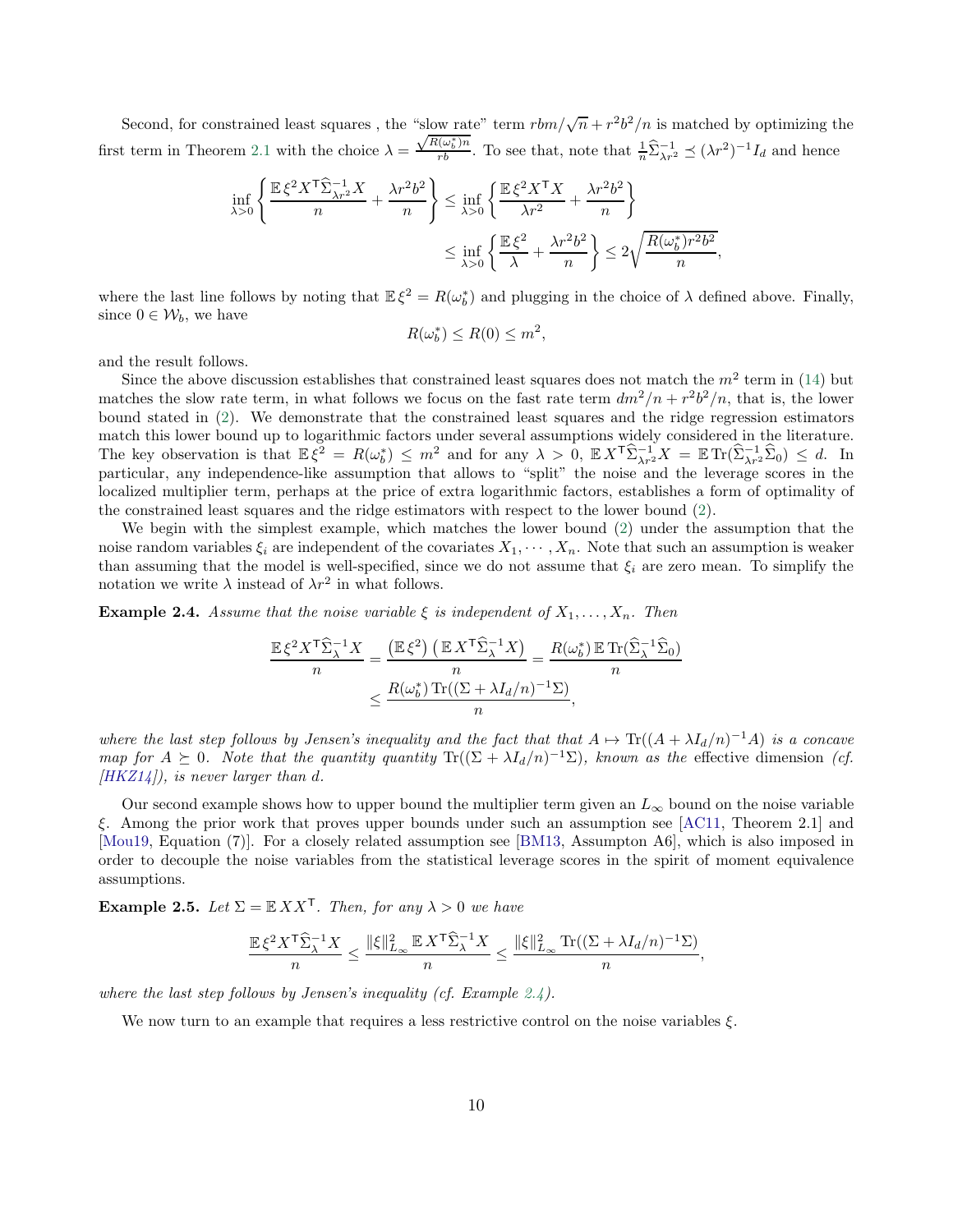Second, for constrained least squares, the "slow rate" term  $rbm/\sqrt{n} + r^2b^2/n$  is matched by optimizing the first term in Theorem [2.1](#page-6-1) with the choice  $\lambda =$  $\frac{\sqrt{R(\omega_b^*)n}}{rb}$ . To see that, note that  $\frac{1}{n}\hat{\Sigma}_{\lambda r^2}^{-1} \preceq (\lambda r^2)^{-1}I_d$  and hence

$$
\inf_{\lambda>0} \left\{ \frac{\mathbb{E}\xi^2 X^{\mathsf{T}} \hat{\Sigma}_{\lambda r^2}^{-1} X}{n} + \frac{\lambda r^2 b^2}{n} \right\} \le \inf_{\lambda>0} \left\{ \frac{\mathbb{E}\xi^2 X^{\mathsf{T}} X}{\lambda r^2} + \frac{\lambda r^2 b^2}{n} \right\}
$$
\n
$$
\le \inf_{\lambda>0} \left\{ \frac{\mathbb{E}\xi^2}{\lambda} + \frac{\lambda r^2 b^2}{n} \right\} \le 2\sqrt{\frac{R(\omega_b^*) r^2 b^2}{n}}
$$

,

where the last line follows by noting that  $\mathbb{E}\xi^2 = R(\omega_b^*)$  and plugging in the choice of  $\lambda$  defined above. Finally, since  $0 \in \mathcal{W}_b$ , we have

$$
R(\omega_b^*) \le R(0) \le m^2,
$$

and the result follows.

Since the above discussion establishes that constrained least squares does not match the  $m^2$  term in [\(14\)](#page-8-3) but matches the slow rate term, in what follows we focus on the fast rate term  $dm^2/n + r^2b^2/n$ , that is, the lower bound stated in [\(2\)](#page-1-0). We demonstrate that the constrained least squares and the ridge regression estimators match this lower bound up to logarithmic factors under several assumptions widely considered in the literature. The key observation is that  $\mathbb{E}\xi^2 = R(\omega_b^*) \leq m^2$  and for any  $\lambda > 0$ ,  $\mathbb{E} X^T \widehat{\Sigma}_{\lambda r^2}^{-1} X = \mathbb{E} \text{Tr}(\widehat{\Sigma}_{\lambda r^2}^{-1} \widehat{\Sigma}_0) \leq d$ . In particular, any independence-like assumption that allows to "split" the noise and the leverage scores in the localized multiplier term, perhaps at the price of extra logarithmic factors, establishes a form of optimality of the constrained least squares and the ridge estimators with respect to the lower bound [\(2\)](#page-1-0).

We begin with the simplest example, which matches the lower bound [\(2\)](#page-1-0) under the assumption that the noise random variables  $\xi_i$  are independent of the covariates  $X_1, \dots, X_n$ . Note that such an assumption is weaker than assuming that the model is well-specified, since we do not assume that  $\xi_i$  are zero mean. To simplify the notation we write  $\lambda$  instead of  $\lambda r^2$  in what follows.

<span id="page-9-0"></span>**Example 2.4.** Assume that the noise variable  $\xi$  is independent of  $X_1, \ldots, X_n$ . Then

$$
\frac{\mathbb{E}\,\xi^2 X^{\mathsf{T}} \widehat{\Sigma}_{\lambda}^{-1} X}{n} = \frac{\left(\mathbb{E}\,\xi^2\right)\left(\mathbb{E}\,X^{\mathsf{T}} \widehat{\Sigma}_{\lambda}^{-1} X\right)}{n} = \frac{R(\omega_b^*)\,\mathbb{E}\,\text{Tr}(\widehat{\Sigma}_{\lambda}^{-1} \widehat{\Sigma}_0)}{n}
$$

$$
\leq \frac{R(\omega_b^*)\,\text{Tr}((\Sigma + \lambda I_d/n)^{-1} \Sigma)}{n},
$$

where the last step follows by Jensen's inequality and the fact that that  $A \mapsto \text{Tr}((A + \lambda I_d/n)^{-1}A)$  is a concave map for  $A \succeq 0$ . Note that the quantity quantity Tr( $(\Sigma + \lambda I_d/n)^{-1}\Sigma$ ), known as the effective dimension (cf.  $(HKZ14)$ , is never larger than d.

Our second example shows how to upper bound the multiplier term given an  $L_{\infty}$  bound on the noise variable ξ. Among the prior work that proves upper bounds under such an assumption see [\[AC11](#page-21-1), Theorem 2.1] and [\[Mou19,](#page-23-0) Equation (7)]. For a closely related assumption see [\[BM13](#page-21-14), Assumpton A6], which is also imposed in order to decouple the noise variables from the statistical leverage scores in the spirit of moment equivalence assumptions.

**Example 2.5.** Let  $\Sigma = \mathbb{E} X X^{\mathsf{T}}$ . Then, for any  $\lambda > 0$  we have

$$
\frac{\mathbb{E}\,\xi^2X^\mathsf{T}\widehat{\Sigma}_\lambda^{-1}X}{n} \leq \frac{\|\xi\|_{L_\infty}^2\,\mathbb{E}\,X^\mathsf{T}\widehat{\Sigma}_\lambda^{-1}X}{n} \leq \frac{\|\xi\|_{L_\infty}^2\,\text{Tr}((\Sigma+\lambda I_d/n)^{-1}\Sigma)}{n},
$$

where the last step follows by Jensen's inequality (cf. Example  $2.4$ ).

We now turn to an example that requires a less restrictive control on the noise variables  $\xi$ .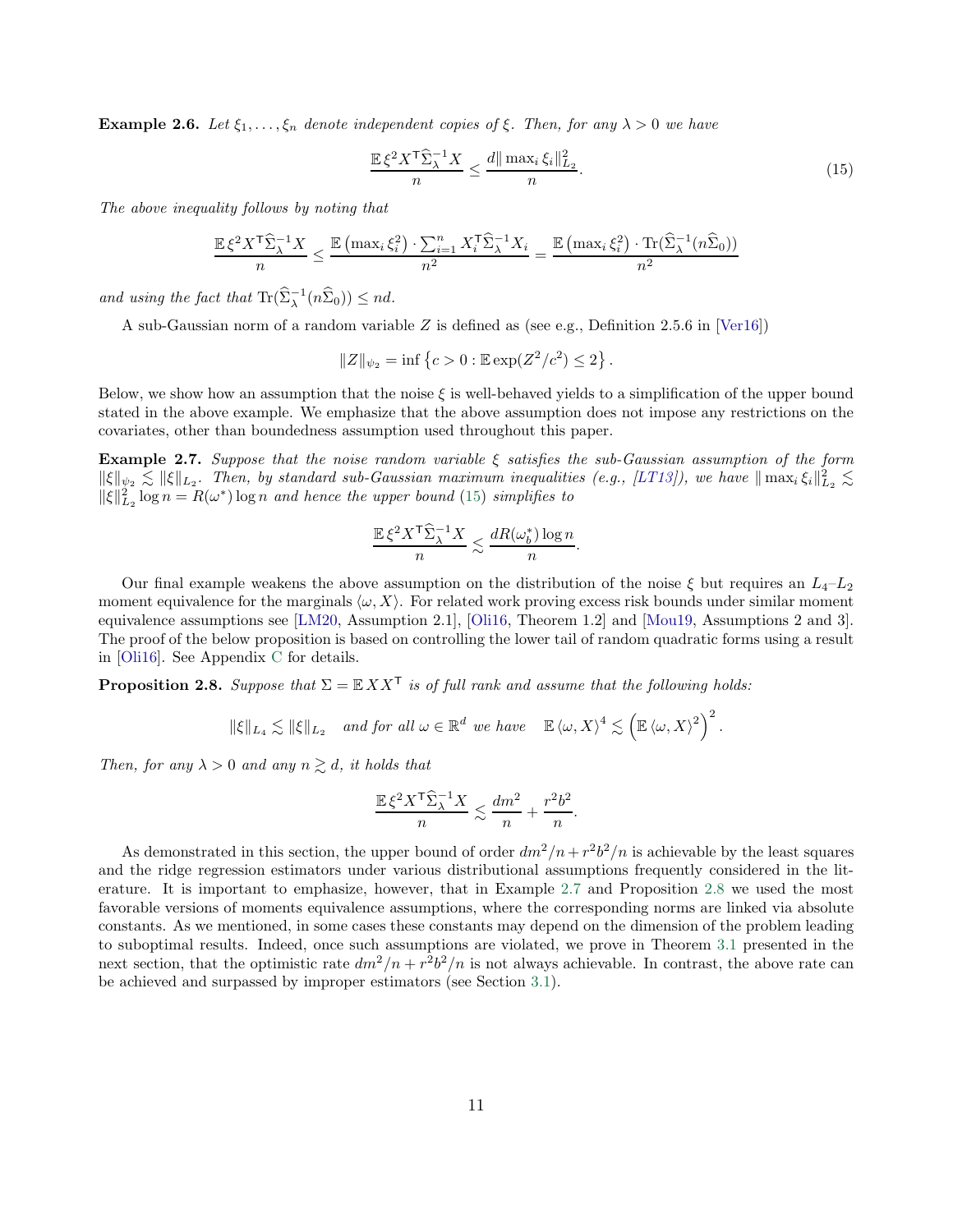**Example 2.6.** Let  $\xi_1, \ldots, \xi_n$  denote independent copies of  $\xi$ . Then, for any  $\lambda > 0$  we have

<span id="page-10-1"></span>
$$
\frac{\mathbb{E}\,\xi^2 X^{\mathsf{T}} \widehat{\Sigma}_{\lambda}^{-1} X}{n} \le \frac{d \|\max_{i} \xi_i\|_{L_2}^2}{n}.\tag{15}
$$

The above inequality follows by noting that

$$
\frac{\mathbb{E}\xi^2 X^{\mathsf{T}} \widehat{\Sigma}_{\lambda}^{-1} X}{n} \le \frac{\mathbb{E}\left(\max_i \xi_i^2\right) \cdot \sum_{i=1}^n X_i^{\mathsf{T}} \widehat{\Sigma}_{\lambda}^{-1} X_i}{n^2} = \frac{\mathbb{E}\left(\max_i \xi_i^2\right) \cdot \text{Tr}(\widehat{\Sigma}_{\lambda}^{-1}(n\widehat{\Sigma}_0))}{n^2}
$$

and using the fact that  $\text{Tr}(\widehat{\Sigma}_{\lambda}^{-1}(n\widehat{\Sigma}_0)) \leq nd$ .

A sub-Gaussian norm of a random variable Z is defined as (see e.g., Definition 2.5.6 in [\[Ver16\]](#page-24-7))

$$
||Z||_{\psi_2} = \inf \{ c > 0 : \mathbb{E} \exp(Z^2/c^2) \le 2 \}.
$$

Below, we show how an assumption that the noise  $\xi$  is well-behaved yields to a simplification of the upper bound stated in the above example. We emphasize that the above assumption does not impose any restrictions on the covariates, other than boundedness assumption used throughout this paper.

<span id="page-10-2"></span>**Example 2.7.** Suppose that the noise random variable  $\xi$  satisfies the sub-Gaussian assumption of the form  $\|\xi\|_{\psi_2} \lesssim \|\xi\|_{L_2}$ . Then, by standard sub-Gaussian maximum inequalities (e.g., [\[LT13](#page-23-14)]), we have  $\|\max_i \xi_i\|_{L_2}^2 \lesssim$  $\|\xi\|_{L_2}^2 \log n = R(\omega^*) \log n$  and hence the upper bound [\(15\)](#page-10-1) simplifies to

$$
\frac{\mathbb{E}\,\xi^2X^\mathsf{T}\widehat{\Sigma}_\lambda^{-1}X}{n} \lesssim \frac{dR(\omega_b^*)\log n}{n}.
$$

Our final example weakens the above assumption on the distribution of the noise  $\xi$  but requires an  $L_4-L_2$ moment equivalence for the marginals  $\langle \omega, X \rangle$ . For related work proving excess risk bounds under similar moment equivalence assumptions see [\[LM20,](#page-23-4) Assumption 2.1], [\[Oli16](#page-23-1), Theorem 1.2] and [\[Mou19](#page-23-0), Assumptions 2 and 3]. The proof of the below proposition is based on controlling the lower tail of random quadratic forms using a result in [\[Oli16\]](#page-23-1). See Appendix [C](#page-28-0) for details.

<span id="page-10-0"></span>**Proposition 2.8.** Suppose that  $\Sigma = \mathbb{E} X X^{\mathsf{T}}$  is of full rank and assume that the following holds:

$$
\|\xi\|_{L_4} \lesssim \|\xi\|_{L_2} \quad \text{and for all } \omega \in \mathbb{R}^d \text{ we have } \mathbb{E} \langle \omega, X \rangle^4 \lesssim \left( \mathbb{E} \langle \omega, X \rangle^2 \right)^2.
$$

Then, for any  $\lambda > 0$  and any  $n \geq d$ , it holds that

$$
\frac{\mathbb{E}\,\xi^2X^\mathsf{T}\widehat{\Sigma}_\lambda^{-1}X}{n} \lesssim \frac{dm^2}{n} + \frac{r^2b^2}{n}.
$$

As demonstrated in this section, the upper bound of order  $dm^2/n + r^2b^2/n$  is achievable by the least squares and the ridge regression estimators under various distributional assumptions frequently considered in the literature. It is important to emphasize, however, that in Example [2.7](#page-10-2) and Proposition [2.8](#page-10-0) we used the most favorable versions of moments equivalence assumptions, where the corresponding norms are linked via absolute constants. As we mentioned, in some cases these constants may depend on the dimension of the problem leading to suboptimal results. Indeed, once such assumptions are violated, we prove in Theorem [3.1](#page-11-1) presented in the next section, that the optimistic rate  $dm^2/n + r^2b^2/n$  is not always achievable. In contrast, the above rate can be achieved and surpassed by improper estimators (see Section [3.1\)](#page-12-0).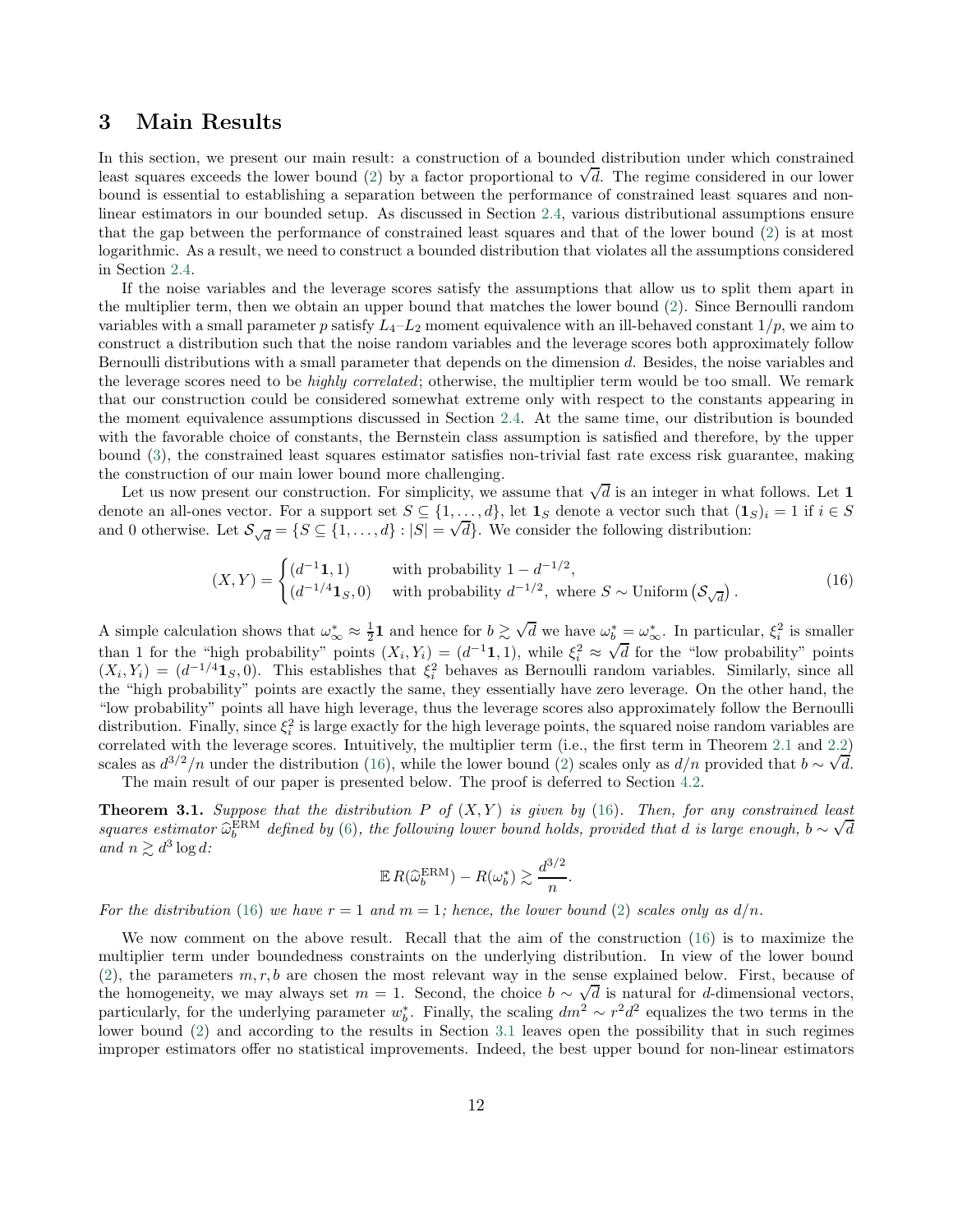## <span id="page-11-0"></span>3 Main Results

In this section, we present our main result: a construction of a bounded distribution under which constrained least squares exceeds the lower bound  $(2)$  by a factor proportional to  $\sqrt{d}$ . The regime considered in our lower bound is essential to establishing a separation between the performance of constrained least squares and nonlinear estimators in our bounded setup. As discussed in Section [2.4,](#page-8-0) various distributional assumptions ensure that the gap between the performance of constrained least squares and that of the lower bound [\(2\)](#page-1-0) is at most logarithmic. As a result, we need to construct a bounded distribution that violates all the assumptions considered in Section [2.4.](#page-8-0)

If the noise variables and the leverage scores satisfy the assumptions that allow us to split them apart in the multiplier term, then we obtain an upper bound that matches the lower bound [\(2\)](#page-1-0). Since Bernoulli random variables with a small parameter p satisfy  $L_4-L_2$  moment equivalence with an ill-behaved constant  $1/p$ , we aim to construct a distribution such that the noise random variables and the leverage scores both approximately follow Bernoulli distributions with a small parameter that depends on the dimension d. Besides, the noise variables and the leverage scores need to be *highly correlated*; otherwise, the multiplier term would be too small. We remark that our construction could be considered somewhat extreme only with respect to the constants appearing in the moment equivalence assumptions discussed in Section [2.4.](#page-8-0) At the same time, our distribution is bounded with the favorable choice of constants, the Bernstein class assumption is satisfied and therefore, by the upper bound [\(3\)](#page-1-1), the constrained least squares estimator satisfies non-trivial fast rate excess risk guarantee, making the construction of our main lower bound more challenging.

Let us now present our construction. For simplicity, we assume that  $\sqrt{d}$  is an integer in what follows. Let 1 denote an all-ones vector. For a support set  $S \subseteq \{1, \ldots, d\}$ , let  $\mathbf{1}_S$  denote a vector such that  $(\mathbf{1}_S)_i = 1$  if  $i \in S$ and 0 otherwise. Let  $\mathcal{S}_{\sqrt{d}} = \{S \subseteq \{1, ..., d\} : |S| = \sqrt{d}\}$ . We consider the following distribution:

$$
(X,Y) = \begin{cases} (d^{-1}\mathbf{1},1) & \text{with probability } 1 - d^{-1/2}, \\ (d^{-1/4}\mathbf{1}_S,0) & \text{with probability } d^{-1/2}, \text{ where } S \sim \text{Uniform}(\mathcal{S}_{\sqrt{d}}). \end{cases} \tag{16}
$$

A simple calculation shows that  $\omega_{\infty}^* \approx \frac{1}{2}$  and hence for  $b \gtrsim \sqrt{d}$  we have  $\omega_b^* = \omega_{\infty}^*$ . In particular,  $\xi_i^2$  is smaller than 1 for the "high probability" points  $(X_i, Y_i) = (d^{-1}\mathbf{1}, 1)$ , while  $\xi_i^2 \approx$  $\sqrt{d}$  for the "low probability" points  $(X_i, Y_i) = (d^{-1/4} \mathbf{1}_S, 0)$ . This establishes that  $\xi_i^2$  behaves as Bernoulli random variables. Similarly, since all the "high probability" points are exactly the same, they essentially have zero leverage. On the other hand, the "low probability" points all have high leverage, thus the leverage scores also approximately follow the Bernoulli distribution. Finally, since  $\xi_i^2$  is large exactly for the high leverage points, the squared noise random variables are correlated with the leverage scores. Intuitively, the multiplier term (i.e., the first term in Theorem [2.1](#page-6-1) and [2.2\)](#page-7-1) scales as  $d^{3/2}/n$  under the distribution [\(16\)](#page-11-2), while the lower bound [\(2\)](#page-1-0) scales only as  $d/n$  provided that  $b \sim \sqrt{d}$ . The main result of our paper is presented below. The proof is deferred to Section [4.2.](#page-18-0)

<span id="page-11-1"></span>**Theorem 3.1.** Suppose that the distribution P of  $(X, Y)$  is given by [\(16\)](#page-11-2). Then, for any constrained least squares estimator  $\hat{\omega}_b^{\text{ERM}}$  defined by [\(6\)](#page-5-0), the following lower bound holds, provided that d is large enough,  $b \sim \sqrt{d}$ and  $n \gtrsim d^3 \log d$ :

<span id="page-11-2"></span>
$$
\mathbb{E} R(\widehat{\omega}_b^{\text{ERM}}) - R(\omega_b^*) \gtrsim \frac{d^{3/2}}{n}.
$$

For the distribution [\(16\)](#page-11-2) we have  $r = 1$  and  $m = 1$ ; hence, the lower bound [\(2\)](#page-1-0) scales only as  $d/n$ .

We now comment on the above result. Recall that the aim of the construction [\(16\)](#page-11-2) is to maximize the multiplier term under boundedness constraints on the underlying distribution. In view of the lower bound [\(2\)](#page-1-0), the parameters  $m, r, b$  are chosen the most relevant way in the sense explained below. First, because of the homogeneity, we may always set  $m = 1$ . Second, the choice  $b \sim \sqrt{d}$  is natural for d-dimensional vectors, particularly, for the underlying parameter  $w_b^*$ . Finally, the scaling  $dm^2 \sim r^2 d^2$  equalizes the two terms in the lower bound [\(2\)](#page-1-0) and according to the results in Section [3.1](#page-12-0) leaves open the possibility that in such regimes improper estimators offer no statistical improvements. Indeed, the best upper bound for non-linear estimators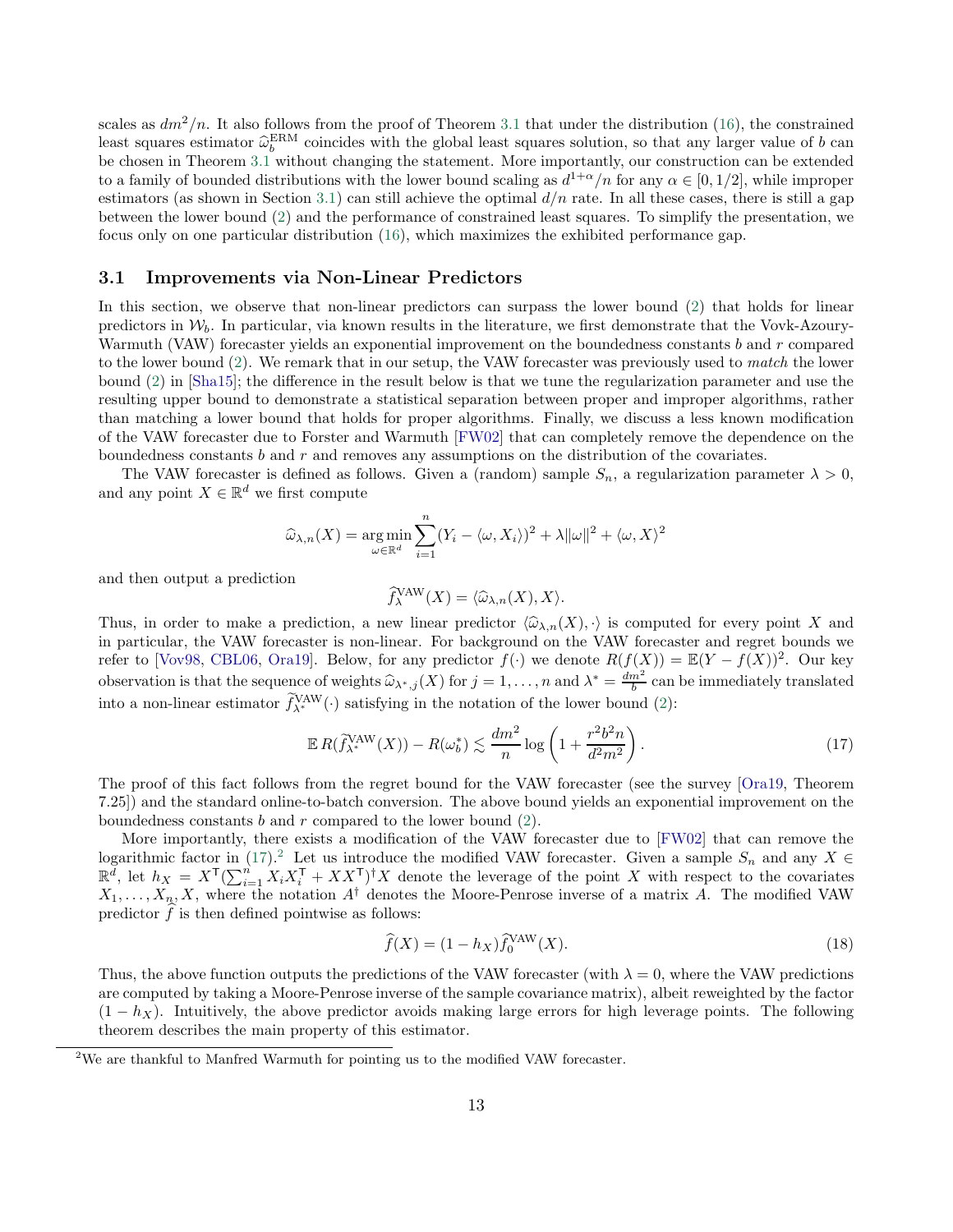scales as  $dm^2/n$ . It also follows from the proof of Theorem [3.1](#page-11-1) that under the distribution [\(16\)](#page-11-2), the constrained least squares estimator  $\hat{\omega}_b^{\text{ERM}}$  coincides with the global least squares solution, so that any larger value of b can be chosen in Theorem [3.1](#page-11-1) without changing the statement. More importantly, our construction can be extended to a family of bounded distributions with the lower bound scaling as  $d^{1+\alpha}/n$  for any  $\alpha \in [0, 1/2]$ , while improper estimators (as shown in Section [3.1\)](#page-12-0) can still achieve the optimal  $d/n$  rate. In all these cases, there is still a gap between the lower bound [\(2\)](#page-1-0) and the performance of constrained least squares. To simplify the presentation, we focus only on one particular distribution [\(16\)](#page-11-2), which maximizes the exhibited performance gap.

#### <span id="page-12-0"></span>3.1 Improvements via Non-Linear Predictors

In this section, we observe that non-linear predictors can surpass the lower bound [\(2\)](#page-1-0) that holds for linear predictors in  $W_b$ . In particular, via known results in the literature, we first demonstrate that the Vovk-Azoury-Warmuth (VAW) forecaster yields an exponential improvement on the boundedness constants b and r compared to the lower bound [\(2\)](#page-1-0). We remark that in our setup, the VAW forecaster was previously used to match the lower bound [\(2\)](#page-1-0) in [\[Sha15\]](#page-23-10); the difference in the result below is that we tune the regularization parameter and use the resulting upper bound to demonstrate a statistical separation between proper and improper algorithms, rather than matching a lower bound that holds for proper algorithms. Finally, we discuss a less known modification of the VAW forecaster due to Forster and Warmuth [\[FW02](#page-22-8)] that can completely remove the dependence on the boundedness constants  $b$  and  $r$  and removes any assumptions on the distribution of the covariates.

The VAW forecaster is defined as follows. Given a (random) sample  $S_n$ , a regularization parameter  $\lambda > 0$ , and any point  $X \in \mathbb{R}^d$  we first compute

$$
\widehat{\omega}_{\lambda,n}(X) = \underset{\omega \in \mathbb{R}^d}{\arg \min} \sum_{i=1}^n (Y_i - \langle \omega, X_i \rangle)^2 + \lambda ||\omega||^2 + \langle \omega, X \rangle^2
$$

and then output a prediction

<span id="page-12-1"></span>
$$
\widehat{f}_{\lambda}^{\text{VAW}}(X) = \langle \widehat{\omega}_{\lambda,n}(X), X \rangle.
$$

Thus, in order to make a prediction, a new linear predictor  $\langle \hat{\omega}_{\lambda,n}(X), \cdot \rangle$  is computed for every point X and in particular, the VAW forecaster is non-linear. For background on the VAW forecaster and regret bounds we refer to [\[Vov98,](#page-24-8) [CBL06,](#page-21-15) [Ora19\]](#page-23-18). Below, for any predictor  $f(\cdot)$  we denote  $R(f(X)) = \mathbb{E}(Y - f(X))^2$ . Our key observation is that the sequence of weights  $\widehat{\omega}_{\lambda^*,j}(X)$  for  $j = 1, ..., n$  and  $\lambda^* = \frac{dm^2}{b}$  can be immediately translated into a non-linear estimator  $f_{\lambda^*}^{\text{VAW}}(\cdot)$  satisfying in the notation of the lower bound [\(2\)](#page-1-0):

$$
\mathbb{E}\,R(\widetilde{f}_{\lambda^*}^{\text{VAW}}(X)) - R(\omega_b^*) \lesssim \frac{dm^2}{n} \log\left(1 + \frac{r^2 b^2 n}{d^2 m^2}\right). \tag{17}
$$

The proof of this fact follows from the regret bound for the VAW forecaster (see the survey [\[Ora19,](#page-23-18) Theorem 7.25]) and the standard online-to-batch conversion. The above bound yields an exponential improvement on the boundedness constants  $b$  and  $r$  compared to the lower bound  $(2)$ .

More importantly, there exists a modification of the VAW forecaster due to [\[FW02](#page-22-8)] that can remove the logarithmic factor in [\(17\)](#page-12-1).<sup>[2](#page-12-2)</sup> Let us introduce the modified VAW forecaster. Given a sample  $S_n$  and any  $X \in$  $\mathbb{R}^d$ , let  $h_X = X^{\mathsf{T}}(\sum_{i=1}^n X_i X_i^{\mathsf{T}} + XX^{\mathsf{T}})^{\dagger} X$  denote the leverage of the point X with respect to the covariates  $X_1, \ldots, X_n, X$ , where the notation  $A^{\dagger}$  denotes the Moore-Penrose inverse of a matrix A. The modified VAW predictor  $f$  is then defined pointwise as follows:

<span id="page-12-3"></span>
$$
\widehat{f}(X) = (1 - h_X)\widehat{f}_0^{\text{VAW}}(X). \tag{18}
$$

Thus, the above function outputs the predictions of the VAW forecaster (with  $\lambda = 0$ , where the VAW predictions are computed by taking a Moore-Penrose inverse of the sample covariance matrix), albeit reweighted by the factor  $(1-h_X)$ . Intuitively, the above predictor avoids making large errors for high leverage points. The following theorem describes the main property of this estimator.

<span id="page-12-2"></span> $2W$ e are thankful to Manfred Warmuth for pointing us to the modified VAW forecaster.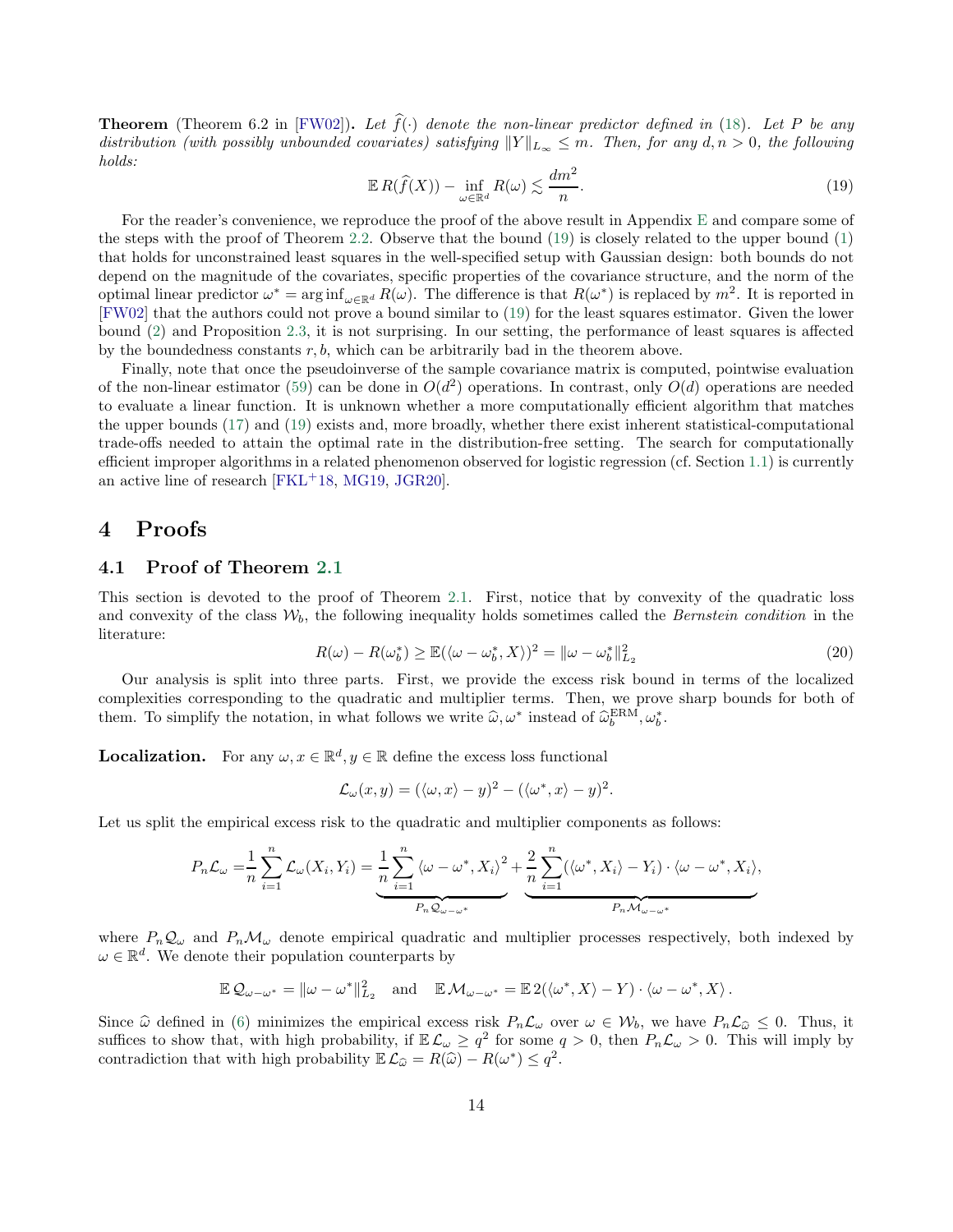**Theorem** (Theorem 6.2 in [\[FW02\]](#page-22-8)). Let  $\hat{f}(\cdot)$  denote the non-linear predictor defined in [\(18\)](#page-12-3). Let P be any distribution (with possibly unbounded covariates) satisfying  $||Y||_{L_{\infty}} \leq m$ . Then, for any  $d, n > 0$ , the following holds:

<span id="page-13-2"></span>
$$
\mathbb{E}\,R(\widehat{f}(X)) - \inf_{\omega \in \mathbb{R}^d} R(\omega) \lesssim \frac{dm^2}{n}.\tag{19}
$$

For the reader's convenience, we reproduce the proof of the above result in Appendix [E](#page-35-0) and compare some of the steps with the proof of Theorem [2.2.](#page-7-1) Observe that the bound [\(19\)](#page-13-2) is closely related to the upper bound [\(1\)](#page-0-0) that holds for unconstrained least squares in the well-specified setup with Gaussian design: both bounds do not depend on the magnitude of the covariates, specific properties of the covariance structure, and the norm of the optimal linear predictor  $\omega^* = \arg \inf_{\omega \in \mathbb{R}^d} R(\omega)$ . The difference is that  $R(\omega^*)$  is replaced by  $m^2$ . It is reported in [\[FW02\]](#page-22-8) that the authors could not prove a bound similar to [\(19\)](#page-13-2) for the least squares estimator. Given the lower bound [\(2\)](#page-1-0) and Proposition [2.3,](#page-7-0) it is not surprising. In our setting, the performance of least squares is affected by the boundedness constants  $r, b$ , which can be arbitrarily bad in the theorem above.

Finally, note that once the pseudoinverse of the sample covariance matrix is computed, pointwise evaluation of the non-linear estimator [\(59\)](#page-35-1) can be done in  $O(d^2)$  operations. In contrast, only  $O(d)$  operations are needed to evaluate a linear function. It is unknown whether a more computationally efficient algorithm that matches the upper bounds [\(17\)](#page-12-1) and [\(19\)](#page-13-2) exists and, more broadly, whether there exist inherent statistical-computational trade-offs needed to attain the optimal rate in the distribution-free setting. The search for computationally efficient improper algorithms in a related phenomenon observed for logistic regression (cf. Section [1.1\)](#page-3-0) is currently an active line of research [\[FKL](#page-22-14)<sup>+</sup>18, [MG19,](#page-23-19) [JGR20\]](#page-22-18).

### <span id="page-13-1"></span><span id="page-13-0"></span>4 Proofs

#### 4.1 Proof of Theorem [2.1](#page-6-1)

This section is devoted to the proof of Theorem [2.1.](#page-6-1) First, notice that by convexity of the quadratic loss and convexity of the class  $W_b$ , the following inequality holds sometimes called the Bernstein condition in the literature:

$$
R(\omega) - R(\omega_b^*) \ge \mathbb{E}(\langle \omega - \omega_b^*, X \rangle)^2 = ||\omega - \omega_b^*||_{L_2}^2
$$
\n(20)

<span id="page-13-3"></span>,

Our analysis is split into three parts. First, we provide the excess risk bound in terms of the localized complexities corresponding to the quadratic and multiplier terms. Then, we prove sharp bounds for both of them. To simplify the notation, in what follows we write  $\hat{\omega}, \omega^*$  instead of  $\hat{\omega}_b^{\text{ERM}}, \omega_b^*$ .

**Localization.** For any  $\omega, x \in \mathbb{R}^d, y \in \mathbb{R}$  define the excess loss functional

$$
\mathcal{L}_{\omega}(x,y) = (\langle \omega, x \rangle - y)^2 - (\langle \omega^*, x \rangle - y)^2.
$$

Let us split the empirical excess risk to the quadratic and multiplier components as follows:

$$
P_n \mathcal{L}_{\omega} = \frac{1}{n} \sum_{i=1}^n \mathcal{L}_{\omega}(X_i, Y_i) = \underbrace{\frac{1}{n} \sum_{i=1}^n \langle \omega - \omega^*, X_i \rangle^2}_{P_n \mathcal{Q}_{\omega - \omega^*}} + \underbrace{\frac{2}{n} \sum_{i=1}^n (\langle \omega^*, X_i \rangle - Y_i) \cdot \langle \omega - \omega^*, X_i \rangle}_{P_n \mathcal{M}_{\omega - \omega^*}}
$$

where  $P_n\mathcal{Q}_\omega$  and  $P_n\mathcal{M}_\omega$  denote empirical quadratic and multiplier processes respectively, both indexed by  $\omega \in \mathbb{R}^d$ . We denote their population counterparts by

$$
\mathbb{E}\,\mathcal{Q}_{\omega-\omega^*}=\|\omega-\omega^*\|_{L_2}^2\quad\text{and}\quad\mathbb{E}\,\mathcal{M}_{\omega-\omega^*}=\mathbb{E}\,2(\langle\omega^*,X\rangle-Y)\cdot\langle\omega-\omega^*,X\rangle\,.
$$

Since  $\hat{\omega}$  defined in [\(6\)](#page-5-0) minimizes the empirical excess risk  $P_n\mathcal{L}_{\omega}$  over  $\omega \in \mathcal{W}_b$ , we have  $P_n\mathcal{L}_{\hat{\omega}} \leq 0$ . Thus, it suffices to show that, with high probability, if  $\mathbb{E}\mathcal{L}_{\omega}\geq q^2$  for some  $q>0$ , then  $P_n\mathcal{L}_{\omega}>0$ . This will imply by contradiction that with high probability  $\mathbb{E}\mathcal{L}_{\widehat{\omega}} = R(\widehat{\omega}) - R(\omega^*) \leq q^2$ .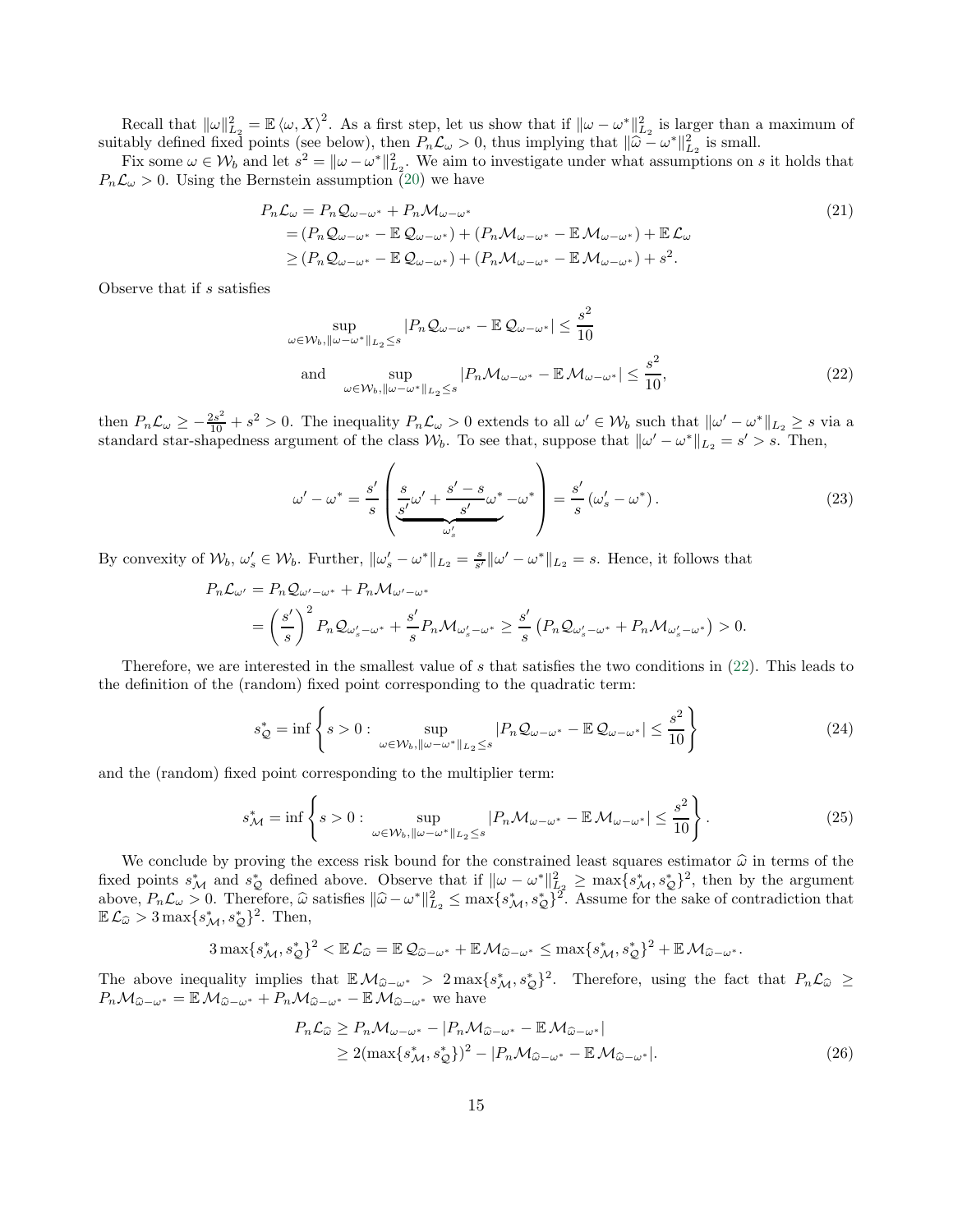Recall that  $\|\omega\|_{L_2}^2 = \mathbb{E} \langle \omega, X \rangle^2$ . As a first step, let us show that if  $\|\omega - \omega^*\|_{L_2}^2$  is larger than a maximum of suitably defined fixed points (see below), then  $P_n\mathcal{L}_{\omega} > 0$ , thus implying that  $\|\hat{\omega} - \omega^*\|_{L_2}^2$  is small.

Fix some  $\omega \in W_b$  and let  $s^2 = ||\omega - \omega^*||_{L_2}^2$ . We aim to investigate under what assumptions on s it holds that  $P_n\mathcal{L}_{\omega} > 0$ . Using the Bernstein assumption [\(20\)](#page-13-3) we have

$$
P_n \mathcal{L}_{\omega} = P_n \mathcal{Q}_{\omega - \omega^*} + P_n \mathcal{M}_{\omega - \omega^*}
$$
  
=  $(P_n \mathcal{Q}_{\omega - \omega^*} - \mathbb{E} \mathcal{Q}_{\omega - \omega^*}) + (P_n \mathcal{M}_{\omega - \omega^*} - \mathbb{E} \mathcal{M}_{\omega - \omega^*}) + \mathbb{E} \mathcal{L}_{\omega}$   
 $\ge (P_n \mathcal{Q}_{\omega - \omega^*} - \mathbb{E} \mathcal{Q}_{\omega - \omega^*}) + (P_n \mathcal{M}_{\omega - \omega^*} - \mathbb{E} \mathcal{M}_{\omega - \omega^*}) + s^2.$  (21)

Observe that if s satisfies

<span id="page-14-5"></span><span id="page-14-0"></span>
$$
\sup_{\omega \in \mathcal{W}_b, \|\omega - \omega^*\|_{L_2} \le s} |P_n \mathcal{Q}_{\omega - \omega^*} - \mathbb{E} \mathcal{Q}_{\omega - \omega^*}| \le \frac{s^2}{10}
$$
  
and 
$$
\sup_{\omega \in \mathcal{W}_b, \|\omega - \omega^*\|_{L_2} \le s} |P_n \mathcal{M}_{\omega - \omega^*} - \mathbb{E} \mathcal{M}_{\omega - \omega^*}| \le \frac{s^2}{10},
$$
 (22)

then  $P_n\mathcal{L}_{\omega} \geq -\frac{2s^2}{10} + s^2 > 0$ . The inequality  $P_n\mathcal{L}_{\omega} > 0$  extends to all  $\omega' \in \mathcal{W}_b$  such that  $\|\omega' - \omega^*\|_{L_2} \geq s$  via a standard star-shapedness argument of the class  $W_b$ . To see that, suppose that  $\|\omega' - \omega^*\|_{L_2} = s' > s$ . Then,

<span id="page-14-1"></span>
$$
\omega' - \omega^* = \frac{s'}{s} \left( \underbrace{\frac{s}{s'} \omega' + \frac{s' - s}{s'} \omega^*}_{\omega'_s} - \omega^* \right) = \frac{s'}{s} \left( \omega'_s - \omega^* \right). \tag{23}
$$

By convexity of  $\mathcal{W}_b, \omega_s' \in \mathcal{W}_b$ . Further,  $\|\omega_s' - \omega^*\|_{L_2} = \frac{s}{s'}\|\omega' - \omega^*\|_{L_2} = s$ . Hence, it follows that

$$
P_n \mathcal{L}_{\omega'} = P_n \mathcal{Q}_{\omega' - \omega^*} + P_n \mathcal{M}_{\omega' - \omega^*}
$$
  
=  $\left(\frac{s'}{s}\right)^2 P_n \mathcal{Q}_{\omega'_s - \omega^*} + \frac{s'}{s} P_n \mathcal{M}_{\omega'_s - \omega^*} \ge \frac{s'}{s} \left(P_n \mathcal{Q}_{\omega'_s - \omega^*} + P_n \mathcal{M}_{\omega'_s - \omega^*}\right) > 0.$ 

Therefore, we are interested in the smallest value of s that satisfies the two conditions in  $(22)$ . This leads to the definition of the (random) fixed point corresponding to the quadratic term:

<span id="page-14-3"></span>
$$
s_Q^* = \inf \left\{ s > 0 : \sup_{\omega \in \mathcal{W}_b, \|\omega - \omega^*\|_{L_2} \le s} |P_n \mathcal{Q}_{\omega - \omega^*} - \mathbb{E} \mathcal{Q}_{\omega - \omega^*}| \le \frac{s^2}{10} \right\} \tag{24}
$$

and the (random) fixed point corresponding to the multiplier term:

$$
s_{\mathcal{M}}^* = \inf \left\{ s > 0 : \sup_{\omega \in \mathcal{W}_b, \|\omega - \omega^*\|_{L_2} \le s} |P_n \mathcal{M}_{\omega - \omega^*} - \mathbb{E} \mathcal{M}_{\omega - \omega^*}| \le \frac{s^2}{10} \right\}.
$$
 (25)

We conclude by proving the excess risk bound for the constrained least squares estimator  $\hat{\omega}$  in terms of the fixed points  $s^*_{\mathcal{M}}$  and  $s^*_{\mathcal{Q}}$  defined above. Observe that if  $\|\omega - \omega^*\|_{L^2}^2 \ge \max\{s^*_{\mathcal{M}}, s^*_{\mathcal{Q}}\}^2$ , then by the argument above,  $P_n \mathcal{L}_\omega > 0$ . Therefore,  $\widehat{\omega}$  satisfies  $\|\widehat{\omega} - {\omega}^*\|_{L_2}^2 \leq \max\{s_M^*, s_Q^*\}^2$ . Assume for the sake of contradiction that  $\mathbb{E}\,\mathcal{L}_{\widehat{\omega}}>3\max\{s_{\mathcal{M}}^*,s_{\mathcal{Q}}^*\}^2$ . Then,

$$
3\max\{s_M^*,s_Q^*\}^2 < \mathbb{E}\,\mathcal{L}_{\widehat{\omega}} = \mathbb{E}\,\mathcal{Q}_{\widehat{\omega}-\omega^*} + \mathbb{E}\,\mathcal{M}_{\widehat{\omega}-\omega^*} \leq \max\{s_M^*,s_Q^*\}^2 + \mathbb{E}\,\mathcal{M}_{\widehat{\omega}-\omega^*}.
$$

The above inequality implies that  $\mathbb{E} \mathcal{M}_{\hat{\omega}-\omega^*} > 2 \max\{s^*_{\mathcal{M}}, s^*_{\mathcal{Q}}\}^2$ . Therefore, using the fact that  $P_n\mathcal{L}_{\hat{\omega}} \ge$  $P_n\mathcal{M}_{\widehat{\omega}-\omega^*} = \mathbb{E}\mathcal{M}_{\widehat{\omega}-\omega^*} + P_n\mathcal{M}_{\widehat{\omega}-\omega^*} - \mathbb{E}\mathcal{M}_{\widehat{\omega}-\omega^*}$  we have

<span id="page-14-4"></span><span id="page-14-2"></span>
$$
P_n \mathcal{L}_{\widehat{\omega}} \ge P_n \mathcal{M}_{\omega - \omega^*} - |P_n \mathcal{M}_{\widehat{\omega} - \omega^*} - \mathbb{E} \mathcal{M}_{\widehat{\omega} - \omega^*}|
$$
  
\n
$$
\ge 2(\max\{s_{\mathcal{M}}^*, s_{\mathcal{Q}}^*\})^2 - |P_n \mathcal{M}_{\widehat{\omega} - \omega^*} - \mathbb{E} \mathcal{M}_{\widehat{\omega} - \omega^*}|.
$$
\n(26)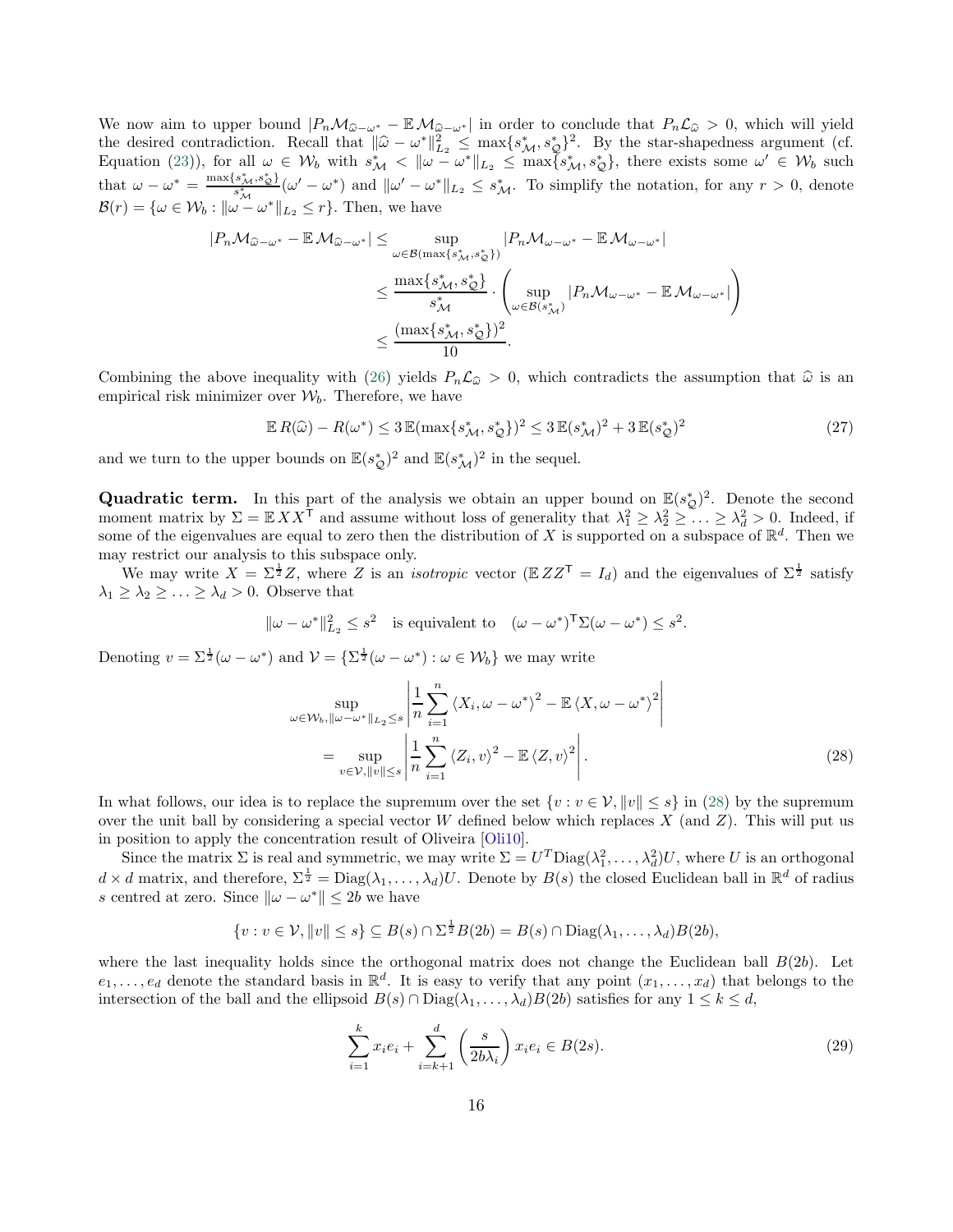We now aim to upper bound  $|P_nM_{\hat{\omega}-\omega^*}-\mathbb{E}M_{\hat{\omega}-\omega^*}|$  in order to conclude that  $P_nL_{\hat{\omega}}>0$ , which will yield the desired contradiction. Recall that  $\|\hat{\omega} - \omega^*\|_{L_2}^2 \le \max\{s_M^*, s_Q^*\}^2$ . By the star-shapedness argument (cf. Equation [\(23\)](#page-14-1)), for all  $\omega \in W_b$  with  $s^*_{\mathcal{M}} < ||\omega - \omega^*||_{L_2} \leq \max\{s^*_{\mathcal{M}}, s^*_{\mathcal{Q}}\}\,$ , there exists some  $\omega' \in W_b$  such that  $\omega - \omega^* = \frac{\max\{s_M^*, s_\mathcal{Q}^*\}}{s_M^*} (\omega' - \omega^*)$  and  $\|\omega' - \omega^*\|_{L_2} \leq s_M^*$ . To simplify the notation, for any  $r > 0$ , denote  $\mathcal{B}(r) = \{\omega \in \mathcal{W}_b : ||\omega - \omega^*||_{L_2} \leq r\}.$  Then, we have

$$
|P_n\mathcal{M}_{\widehat{\omega}-\omega^*} - \mathbb{E}\mathcal{M}_{\widehat{\omega}-\omega^*}| \le \sup_{\omega \in \mathcal{B}(\max\{s_M^*, s_{\mathcal{Q}}^*\})} |P_n\mathcal{M}_{\omega-\omega^*} - \mathbb{E}\mathcal{M}_{\omega-\omega^*}|
$$
  

$$
\le \frac{\max\{s_M^*, s_{\mathcal{Q}}^*\}}{s_M^*} \cdot \left(\sup_{\omega \in \mathcal{B}(s_M^*)} |P_n\mathcal{M}_{\omega-\omega^*} - \mathbb{E}\mathcal{M}_{\omega-\omega^*}| \right)
$$
  

$$
\le \frac{(\max\{s_M^*, s_{\mathcal{Q}}^*\})^2}{10}.
$$

Combining the above inequality with [\(26\)](#page-14-2) yields  $P_n\mathcal{L}_{\hat{\omega}} > 0$ , which contradicts the assumption that  $\hat{\omega}$  is an empirical risk minimizer over  $W<sub>b</sub>$ . Therefore, we have

<span id="page-15-2"></span>
$$
\mathbb{E}R(\widehat{\omega}) - R(\omega^*) \le 3 \mathbb{E}(\max\{s^*_{\mathcal{M}}, s^*_{\mathcal{Q}}\})^2 \le 3 \mathbb{E}(s^*_{\mathcal{M}})^2 + 3 \mathbb{E}(s^*_{\mathcal{Q}})^2 \tag{27}
$$

and we turn to the upper bounds on  $\mathbb{E}(s_{\mathcal{Q}}^*)^2$  and  $\mathbb{E}(s_{\mathcal{M}}^*)^2$  in the sequel.

**Quadratic term.** In this part of the analysis we obtain an upper bound on  $\mathbb{E}(s_{\mathcal{Q}}^*)^2$ . Denote the second moment matrix by  $\Sigma = \mathbb{E} X X^{\dagger}$  and assume without loss of generality that  $\lambda_1^2 \geq \lambda_2^2 \geq \ldots \geq \lambda_d^2 > 0$ . Indeed, if some of the eigenvalues are equal to zero then the distribution of X is supported on a subspace of  $\mathbb{R}^d$ . Then we may restrict our analysis to this subspace only.

We may write  $X = \Sigma^{\frac{1}{2}}Z$ , where Z is an *isotropic* vector ( $\mathbb{E} Z Z^{\mathsf{T}} = I_d$ ) and the eigenvalues of  $\Sigma^{\frac{1}{2}}$  satisfy  $\lambda_1 \geq \lambda_2 \geq \ldots \geq \lambda_d > 0$ . Observe that

$$
\|\omega - \omega^*\|_{L_2}^2 \le s^2
$$
 is equivalent to  $(\omega - \omega^*)^T \Sigma (\omega - \omega^*) \le s^2$ .

Denoting  $v = \sum^{\frac{1}{2}} (\omega - \omega^*)$  and  $\mathcal{V} = {\sum^{\frac{1}{2}} (\omega - \omega^*) : \omega \in \mathcal{W}_b}$  we may write

<span id="page-15-0"></span>
$$
\sup_{\omega \in \mathcal{W}_b, \|\omega - \omega^*\|_{L_2} \le s} \left| \frac{1}{n} \sum_{i=1}^n \left\langle X_i, \omega - \omega^* \right\rangle^2 - \mathbb{E} \left\langle X, \omega - \omega^* \right\rangle^2 \right|
$$
\n
$$
= \sup_{v \in \mathcal{V}, \|\nu\| \le s} \left| \frac{1}{n} \sum_{i=1}^n \left\langle Z_i, v \right\rangle^2 - \mathbb{E} \left\langle Z, v \right\rangle^2 \right|.
$$
\n(28)

In what follows, our idea is to replace the supremum over the set  $\{v : v \in V, ||v|| \leq s\}$  in [\(28\)](#page-15-0) by the supremum over the unit ball by considering a special vector W defined below which replaces  $X$  (and  $Z$ ). This will put us in position to apply the concentration result of Oliveira [\[Oli10\]](#page-23-17).

Since the matrix  $\Sigma$  is real and symmetric, we may write  $\Sigma = U^T \text{Diag}(\lambda_1^2, \dots, \lambda_d^2) U$ , where U is an orthogonal  $d \times d$  matrix, and therefore,  $\Sigma^{\frac{1}{2}} = \text{Diag}(\lambda_1, \ldots, \lambda_d)U$ . Denote by  $B(s)$  the closed Euclidean ball in  $\mathbb{R}^d$  of radius s centred at zero. Since  $\|\omega - \omega^*\| \le 2b$  we have

$$
\{v : v \in \mathcal{V}, ||v|| \leq s\} \subseteq B(s) \cap \Sigma^{\frac{1}{2}}B(2b) = B(s) \cap \text{Diag}(\lambda_1, \dots, \lambda_d)B(2b),
$$

where the last inequality holds since the orthogonal matrix does not change the Euclidean ball  $B(2b)$ . Let  $e_1,\ldots,e_d$  denote the standard basis in  $\mathbb{R}^d$ . It is easy to verify that any point  $(x_1,\ldots,x_d)$  that belongs to the intersection of the ball and the ellipsoid  $B(s) \cap \text{Diag}(\lambda_1, \ldots, \lambda_d) B(2b)$  satisfies for any  $1 \leq k \leq d$ ,

<span id="page-15-1"></span>
$$
\sum_{i=1}^{k} x_i e_i + \sum_{i=k+1}^{d} \left(\frac{s}{2b\lambda_i}\right) x_i e_i \in B(2s).
$$
\n(29)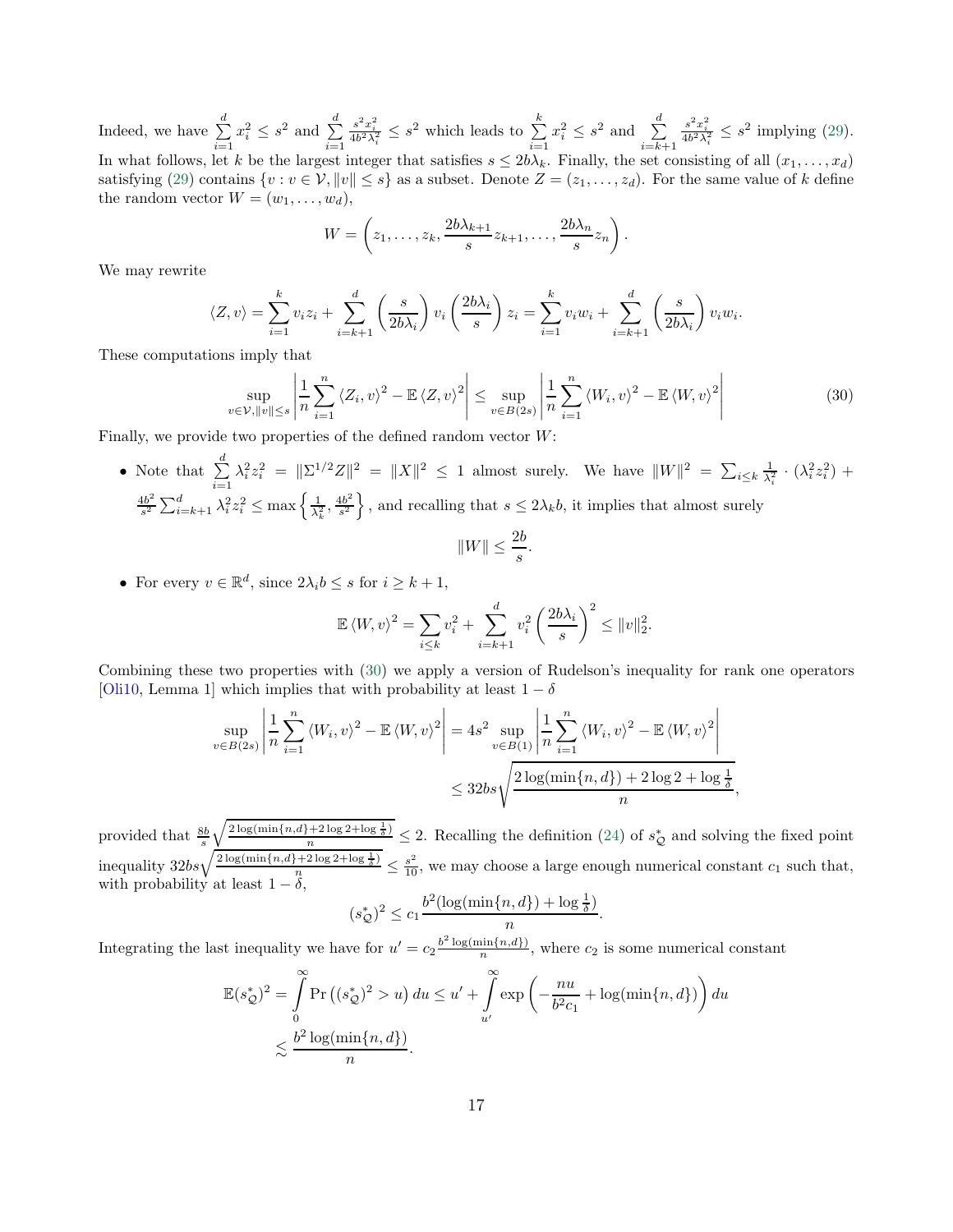Indeed, we have  $\sum_{n=1}^{d}$  $i=1$  $x_i^2 \leq s^2$  and  $\sum_{i=1}^d$  $i=1$  $\frac{s^2 x_i^2}{4b^2 \lambda_i^2} \leq s^2$  which leads to  $\sum_{i=1}^k$  $i=1$  $x_i^2 \leq s^2$  and  $\sum_{i=1}^d$  $\scriptstyle i=k+1$  $\frac{s^2 x_i^2}{4b^2 \lambda_i^2} \leq s^2$  implying [\(29\)](#page-15-1). In what follows, let k be the largest integer that satisfies  $s \leq 2b\lambda_k$ . Finally, the set consisting of all  $(x_1, \ldots, x_d)$ satisfying [\(29\)](#page-15-1) contains  $\{v : v \in V, ||v|| \leq s\}$  as a subset. Denote  $Z = (z_1, \ldots, z_d)$ . For the same value of k define the random vector  $W = (w_1, \ldots, w_d)$ ,

$$
W = \left(z_1, \ldots, z_k, \frac{2b\lambda_{k+1}}{s}z_{k+1}, \ldots, \frac{2b\lambda_n}{s}z_n\right).
$$

We may rewrite

$$
\langle Z, v \rangle = \sum_{i=1}^{k} v_i z_i + \sum_{i=k+1}^{d} \left( \frac{s}{2b\lambda_i} \right) v_i \left( \frac{2b\lambda_i}{s} \right) z_i = \sum_{i=1}^{k} v_i w_i + \sum_{i=k+1}^{d} \left( \frac{s}{2b\lambda_i} \right) v_i w_i.
$$

These computations imply that

$$
\sup_{v \in \mathcal{V}, ||v|| \le s} \left| \frac{1}{n} \sum_{i=1}^{n} \left\langle Z_i, v \right\rangle^2 - \mathbb{E} \left\langle Z, v \right\rangle^2 \right| \le \sup_{v \in B(2s)} \left| \frac{1}{n} \sum_{i=1}^{n} \left\langle W_i, v \right\rangle^2 - \mathbb{E} \left\langle W, v \right\rangle^2 \right| \tag{30}
$$

Finally, we provide two properties of the defined random vector  $W$ :

• Note that  $\sum_{ }^{d}$  $i=1$  $\lambda_i^2 z_i^2 = ||\Sigma^{1/2} Z||^2 = ||X||^2 \le 1$  almost surely. We have  $||W||^2 = \sum_{i \le k} \frac{1}{\lambda_i^2} \cdot (\lambda_i^2 z_i^2) +$  $4b^2$  $\frac{4b^2}{s^2} \sum_{i=k+1}^d \lambda_i^2 z_i^2 \le \max\left\{\frac{1}{\lambda_k^2}, \frac{4b^2}{s^2}\right\}$  $\left\{\frac{1}{s^2}\right\}$ , and recalling that  $s \leq 2\lambda_k b$ , it implies that almost surely

$$
||W|| \le \frac{2b}{s}
$$

<span id="page-16-0"></span>.

• For every  $v \in \mathbb{R}^d$ , since  $2\lambda_i b \leq s$  for  $i \geq k+1$ ,

$$
\mathbb{E}\left\langle W,v\right\rangle^2 = \sum_{i\leq k} v_i^2 + \sum_{i=k+1}^d v_i^2 \left(\frac{2b\lambda_i}{s}\right)^2 \leq \|v\|_2^2.
$$

Combining these two properties with [\(30\)](#page-16-0) we apply a version of Rudelson's inequality for rank one operators [\[Oli10](#page-23-17), Lemma 1] which implies that with probability at least  $1 - \delta$ 

$$
\sup_{v \in B(2s)} \left| \frac{1}{n} \sum_{i=1}^{n} \langle W_i, v \rangle^2 - \mathbb{E} \langle W, v \rangle^2 \right| = 4s^2 \sup_{v \in B(1)} \left| \frac{1}{n} \sum_{i=1}^{n} \langle W_i, v \rangle^2 - \mathbb{E} \langle W, v \rangle^2 \right|
$$
  

$$
\leq 32bs \sqrt{\frac{2 \log(\min\{n, d\}) + 2 \log 2 + \log \frac{1}{\delta}}{n}},
$$

provided that  $\frac{8b}{s}$  $\sqrt{\frac{2\log(\min\{n,d\}+2\log 2+\log \frac{1}{\delta})}{n}} \leq 2$ . Recalling the definition [\(24\)](#page-14-3) of  $s^*_{\mathcal{Q}}$  and solving the fixed point inequality  $32bs\sqrt{\frac{2\log(\min\{n,d\}+2\log 2+\log \frac{1}{\delta})}{n}} \leq \frac{s^2}{10}$ , we may choose a large enough numerical constant  $c_1$  such that, with probability at least  $1 - \delta$ ,

$$
(s_Q^*)^2 \le c_1 \frac{b^2(\log(\min\{n,d\}) + \log\frac{1}{\delta})}{n}.
$$

Integrating the last inequality we have for  $u' = c_2 \frac{b^2 \log(\min\{n,d\})}{n}$ , where  $c_2$  is some numerical constant

$$
\mathbb{E}(s_{\mathcal{Q}}^{*})^{2} = \int_{0}^{\infty} \Pr\left((s_{\mathcal{Q}}^{*})^{2} > u\right) du \le u' + \int_{u'}^{\infty} \exp\left(-\frac{nu}{b^{2}c_{1}} + \log(\min\{n, d\})\right) du
$$
  

$$
\lesssim \frac{b^{2} \log(\min\{n, d\})}{n}.
$$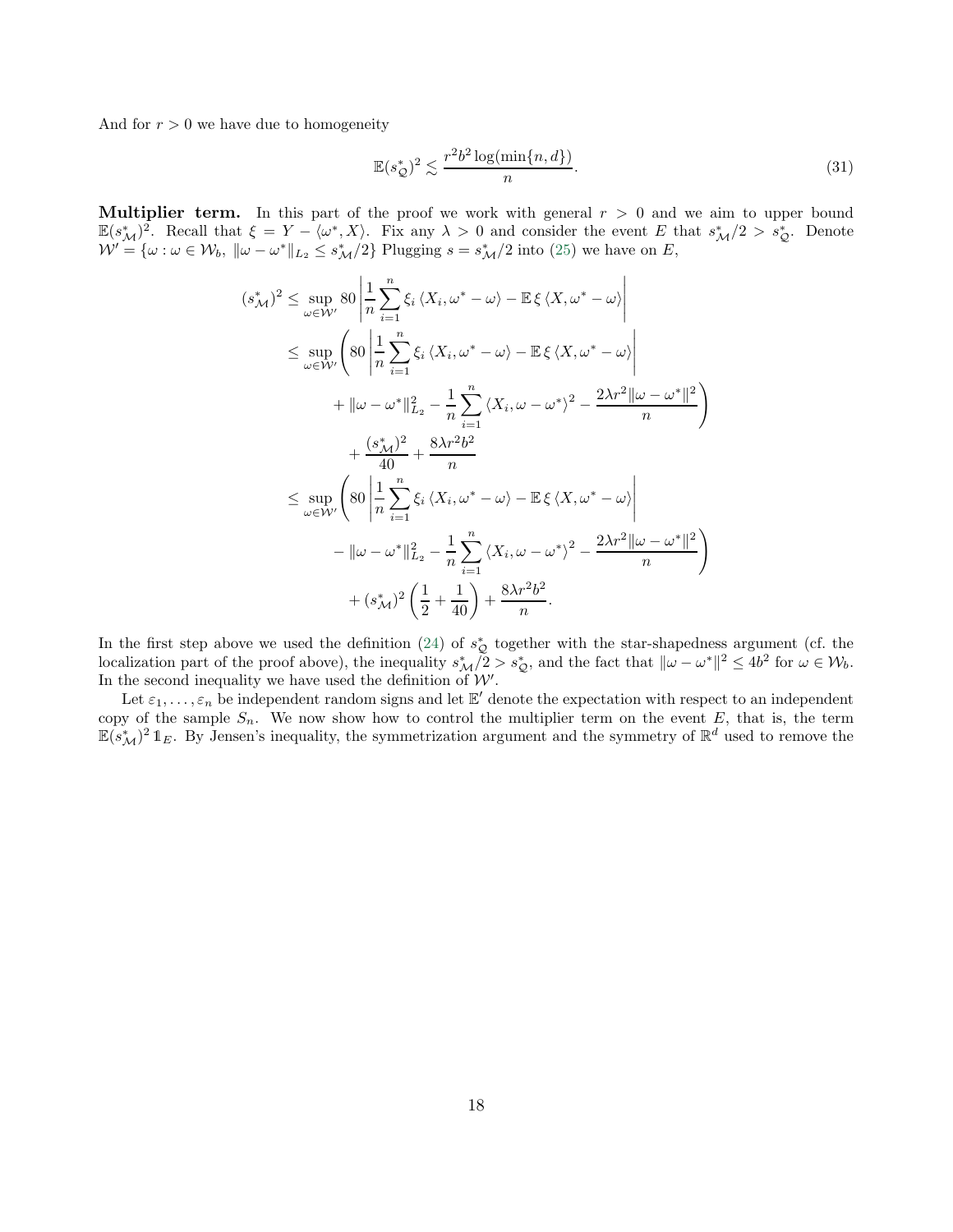And for  $r > 0$  we have due to homogeneity

<span id="page-17-0"></span>
$$
\mathbb{E}(s_{\mathcal{Q}}^*)^2 \lesssim \frac{r^2 b^2 \log(\min\{n, d\})}{n}.\tag{31}
$$

**Multiplier term.** In this part of the proof we work with general  $r > 0$  and we aim to upper bound  $\mathbb{E}(s_M^*)^2$ . Recall that  $\xi = Y - \langle \omega^*, X \rangle$ . Fix any  $\lambda > 0$  and consider the event E that  $s_M^*/2 > s_Q^*$ . Denote  $W' = \{\omega : \omega \in W_b, \ \|\omega - \omega^*\|_{L_2} \leq s^*_{\mathcal{M}}/2\}$  Plugging  $s = s^*_{\mathcal{M}}/2$  into [\(25\)](#page-14-4) we have on E,

$$
(s_{\mathcal{M}}^*)^2 \leq \sup_{\omega \in \mathcal{W}'} 80 \left| \frac{1}{n} \sum_{i=1}^n \xi_i \langle X_i, \omega^* - \omega \rangle - \mathbb{E} \xi \langle X, \omega^* - \omega \rangle \right|
$$
  
\n
$$
\leq \sup_{\omega \in \mathcal{W}'} \left( 80 \left| \frac{1}{n} \sum_{i=1}^n \xi_i \langle X_i, \omega^* - \omega \rangle - \mathbb{E} \xi \langle X, \omega^* - \omega \rangle \right| + \|\omega - \omega^* \|^2_{L_2} - \frac{1}{n} \sum_{i=1}^n \langle X_i, \omega - \omega^* \rangle^2 - \frac{2\lambda r^2 \|\omega - \omega^* \|^2}{n} \right)
$$
  
\n
$$
+ \frac{(s_{\mathcal{M}}^*)^2}{40} + \frac{8\lambda r^2 b^2}{n}
$$
  
\n
$$
\leq \sup_{\omega \in \mathcal{W}'} \left( 80 \left| \frac{1}{n} \sum_{i=1}^n \xi_i \langle X_i, \omega^* - \omega \rangle - \mathbb{E} \xi \langle X, \omega^* - \omega \rangle \right| - \|\omega - \omega^* \|^2_{L_2} - \frac{1}{n} \sum_{i=1}^n \langle X_i, \omega - \omega^* \rangle^2 - \frac{2\lambda r^2 \|\omega - \omega^* \|^2}{n} \right)
$$
  
\n
$$
+ (s_{\mathcal{M}}^*)^2 \left( \frac{1}{2} + \frac{1}{40} \right) + \frac{8\lambda r^2 b^2}{n}.
$$

In the first step above we used the definition [\(24\)](#page-14-3) of  $s^*_{\mathcal{Q}}$  together with the star-shapedness argument (cf. the localization part of the proof above), the inequality  $s^*_{\mathcal{M}}/2 > s^*_{\mathcal{Q}}$ , and the fact that  $\$ In the second inequality we have used the definition of  $\mathcal{W}'$ .

Let  $\varepsilon_1,\ldots,\varepsilon_n$  be independent random signs and let  $\mathbb{E}'$  denote the expectation with respect to an independent copy of the sample  $S_n$ . We now show how to control the multiplier term on the event E, that is, the term  $\mathbb{E}(s_M^*)^2 \mathbb{1}_E$ . By Jensen's inequality, the symmetrization argument and the symmetry of  $\mathbb{R}^d$  used to remove the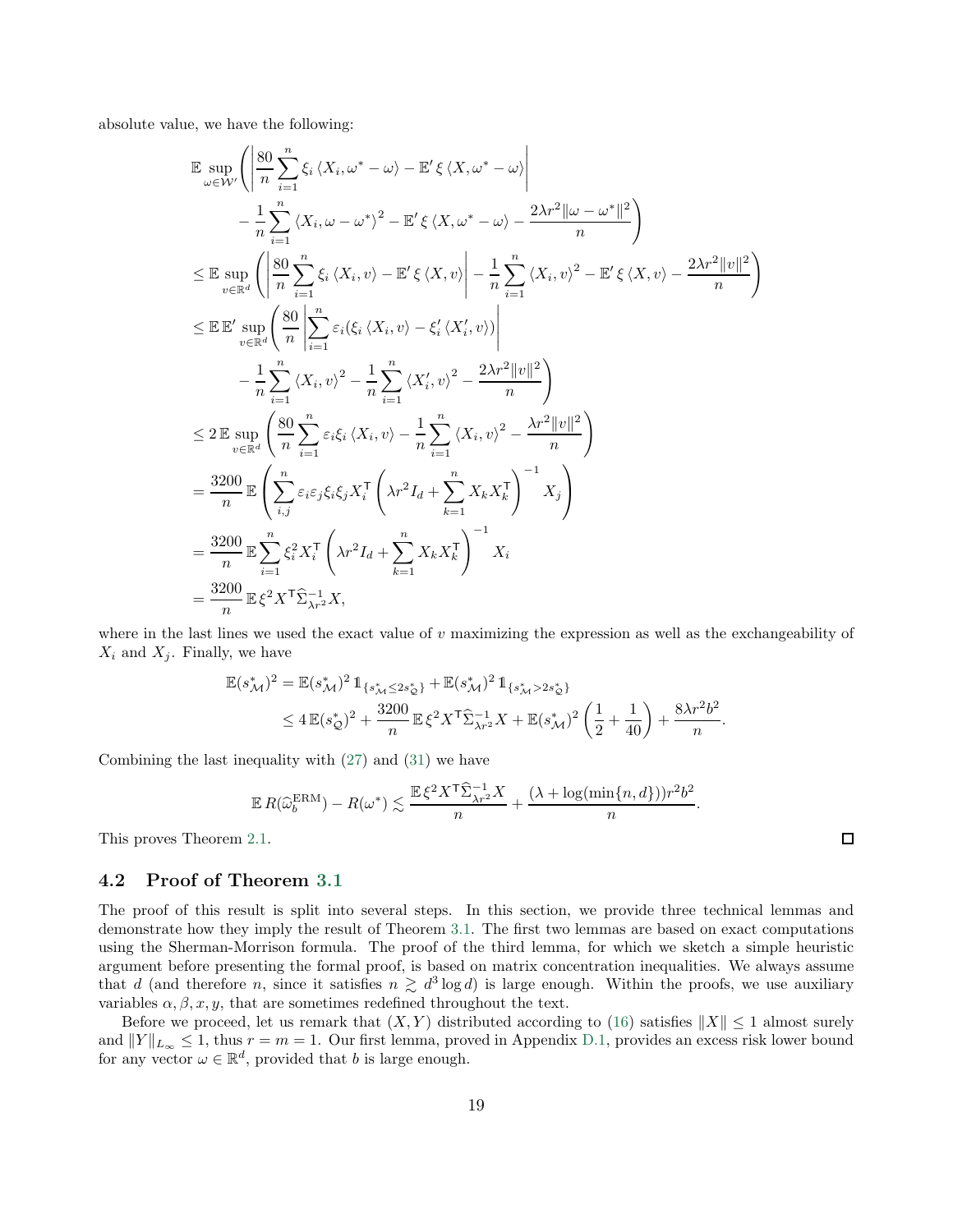absolute value, we have the following:

$$
\mathbb{E} \sup_{\omega \in \mathcal{W}'} \left( \left| \frac{80}{n} \sum_{i=1}^{n} \xi_i \langle X_i, \omega^* - \omega \rangle - \mathbb{E}' \xi \langle X, \omega^* - \omega \rangle \right| \n- \frac{1}{n} \sum_{i=1}^{n} \langle X_i, \omega - \omega^* \rangle^2 - \mathbb{E}' \xi \langle X, \omega^* - \omega \rangle - \frac{2\lambda r^2 ||\omega - \omega^*||^2}{n} \right) \n\leq \mathbb{E} \sup_{v \in \mathbb{R}^d} \left( \left| \frac{80}{n} \sum_{i=1}^{n} \xi_i \langle X_i, v \rangle - \mathbb{E}' \xi \langle X, v \rangle \right| - \frac{1}{n} \sum_{i=1}^{n} \langle X_i, v \rangle^2 - \mathbb{E}' \xi \langle X, v \rangle - \frac{2\lambda r^2 ||v||^2}{n} \right) \n\leq \mathbb{E} \mathbb{E}' \sup_{v \in \mathbb{R}^d} \left( \frac{80}{n} \left| \sum_{i=1}^{n} \varepsilon_i (\xi_i \langle X_i, v \rangle - \xi'_i \langle X'_i, v \rangle) \right| \n- \frac{1}{n} \sum_{i=1}^{n} \langle X_i, v \rangle^2 - \frac{1}{n} \sum_{i=1}^{n} \langle X'_i, v \rangle^2 - \frac{2\lambda r^2 ||v||^2}{n} \right) \n\leq 2 \mathbb{E} \sup_{v \in \mathbb{R}^d} \left( \frac{80}{n} \sum_{i=1}^{n} \varepsilon_i \xi_i \langle X_i, v \rangle - \frac{1}{n} \sum_{i=1}^{n} \langle X_i, v \rangle^2 - \frac{\lambda r^2 ||v||^2}{n} \right) \n= \frac{3200}{n} \mathbb{E} \left( \sum_{i,j} \varepsilon_i \varepsilon_j \xi_i \xi_j X_i^{\mathsf{T}} \left( \lambda r^2 I_d + \sum_{k=1}^{n} X_k X_k^{\mathsf{T}} \right)^{-1} X_j \right) \n= \frac{3200}{n} \mathbb{E} \sum_{i=1}^{n} \xi_i^2 X_i^{\mathsf{T}} \left( \lambda r^2 I_d + \
$$

where in the last lines we used the exact value of  $v$  maximizing the expression as well as the exchangeability of  $X_i$  and  $X_j$ . Finally, we have

$$
\mathbb{E}(s_{\mathcal{M}}^{*})^{2} = \mathbb{E}(s_{\mathcal{M}}^{*})^{2} \mathbb{1}_{\{s_{\mathcal{M}}^{*} \leq 2s_{\mathcal{Q}}^{*}\}} + \mathbb{E}(s_{\mathcal{M}}^{*})^{2} \mathbb{1}_{\{s_{\mathcal{M}}^{*} > 2s_{\mathcal{Q}}^{*}\}}
$$
  
\n
$$
\leq 4 \mathbb{E}(s_{\mathcal{Q}}^{*})^{2} + \frac{3200}{n} \mathbb{E}\xi^{2} X^{\mathsf{T}} \widehat{\Sigma}_{\lambda r^{2}}^{-1} X + \mathbb{E}(s_{\mathcal{M}}^{*})^{2} \left(\frac{1}{2} + \frac{1}{40}\right) + \frac{8\lambda r^{2} b^{2}}{n}
$$

.

 $\Box$ 

Combining the last inequality with [\(27\)](#page-15-2) and [\(31\)](#page-17-0) we have

$$
\mathbb{E} R(\widehat{\omega}_b^{\text{ERM}}) - R(\omega^*) \lesssim \frac{\mathbb{E} \xi^2 X^{\mathsf{T}} \widehat{\Sigma}_{\lambda r^2}^{-1} X}{n} + \frac{(\lambda + \log(\min\{n, d\})) r^2 b^2}{n}.
$$

This proves Theorem [2.1.](#page-6-1)

#### <span id="page-18-0"></span>4.2 Proof of Theorem [3.1](#page-11-1)

The proof of this result is split into several steps. In this section, we provide three technical lemmas and demonstrate how they imply the result of Theorem [3.1.](#page-11-1) The first two lemmas are based on exact computations using the Sherman-Morrison formula. The proof of the third lemma, for which we sketch a simple heuristic argument before presenting the formal proof, is based on matrix concentration inequalities. We always assume that d (and therefore n, since it satisfies  $n \geq d^3 \log d$ ) is large enough. Within the proofs, we use auxiliary variables  $\alpha, \beta, x, y$ , that are sometimes redefined throughout the text.

Before we proceed, let us remark that  $(X, Y)$  distributed according to [\(16\)](#page-11-2) satisfies  $||X|| \le 1$  almost surely and  $||Y||_{L_{\infty}} \leq 1$ , thus  $r = m = 1$ . Our first lemma, proved in Appendix [D.1,](#page-29-0) provides an excess risk lower bound for any vector  $\omega \in \mathbb{R}^d$ , provided that b is large enough.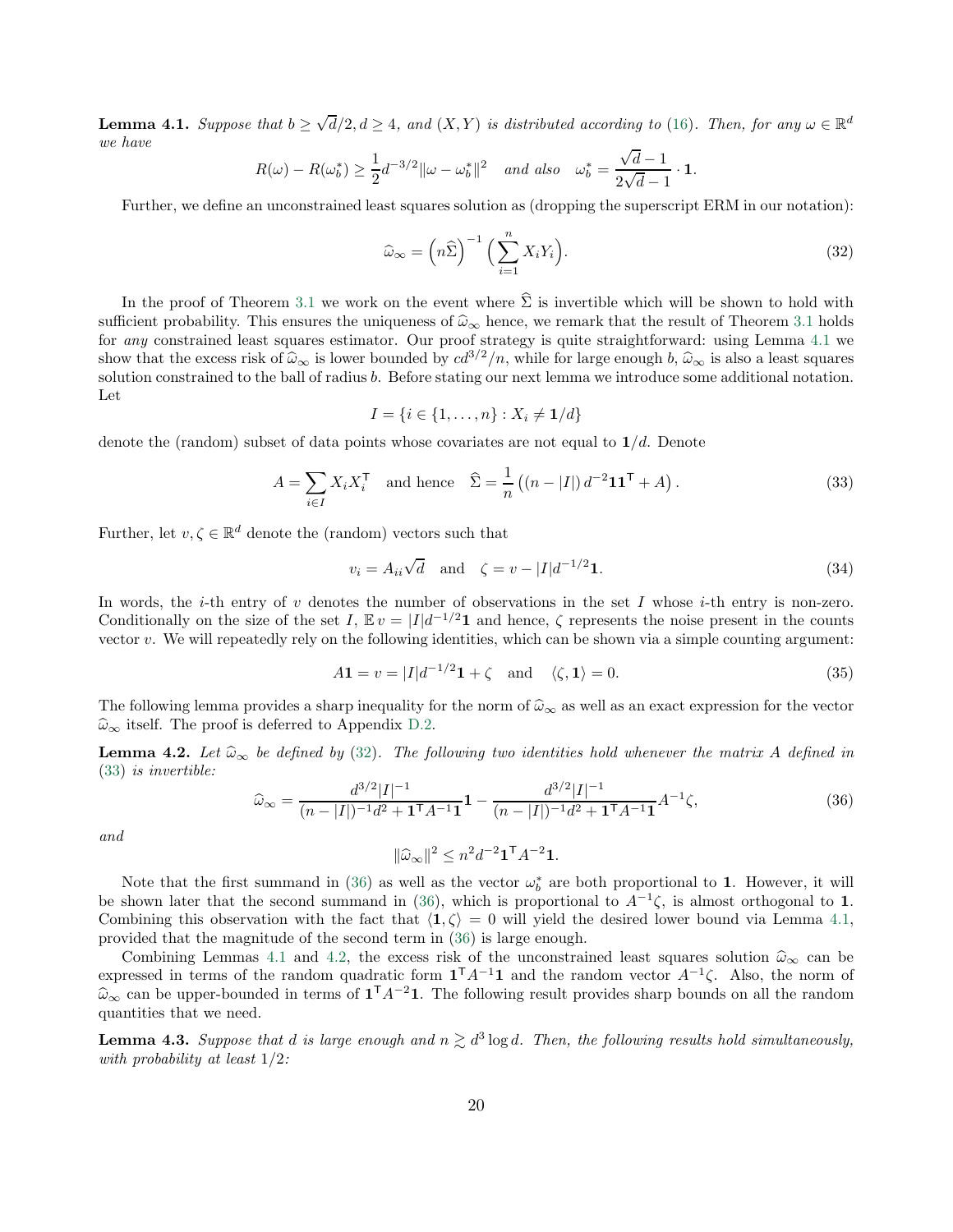<span id="page-19-0"></span>**Lemma 4.1.** Suppose that  $b \ge \sqrt{d}/2, d \ge 4$ , and  $(X, Y)$  is distributed according to [\(16\)](#page-11-2). Then, for any  $\omega \in \mathbb{R}^d$ we have √

$$
R(\omega) - R(\omega_b^*) \ge \frac{1}{2} d^{-3/2} \|\omega - \omega_b^*\|^2 \quad \text{and also} \quad \omega_b^* = \frac{\sqrt{d-1}}{2\sqrt{d-1}} \cdot \mathbf{1}.
$$

Further, we define an unconstrained least squares solution as (dropping the superscript ERM in our notation):

<span id="page-19-1"></span>
$$
\widehat{\omega}_{\infty} = \left(n\widehat{\Sigma}\right)^{-1} \left(\sum_{i=1}^{n} X_i Y_i\right). \tag{32}
$$

In the proof of Theorem [3.1](#page-11-1) we work on the event where  $\hat{\Sigma}$  is invertible which will be shown to hold with sufficient probability. This ensures the uniqueness of  $\hat{\omega}_{\infty}$  hence, we remark that the result of Theorem [3.1](#page-11-1) holds for any constrained least squares estimator. Our proof strategy is quite straightforward: using Lemma [4.1](#page-19-0) we show that the excess risk of  $\hat{\omega}_{\infty}$  is lower bounded by  $cd^{3/2}/n$ , while for large enough b,  $\hat{\omega}_{\infty}$  is also a least squares solution constrained to the ball of radius b. Before stating our next lemma we introduce some additional notation. Let

<span id="page-19-2"></span>
$$
I = \{i \in \{1, \dots, n\} : X_i \neq \mathbf{1}/d\}
$$

denote the (random) subset of data points whose covariates are not equal to  $1/d$ . Denote

$$
A = \sum_{i \in I} X_i X_i^{\mathsf{T}} \quad \text{and hence} \quad \widehat{\Sigma} = \frac{1}{n} \left( (n - |I|) d^{-2} \mathbf{1} \mathbf{1}^{\mathsf{T}} + A \right). \tag{33}
$$

Further, let  $v, \zeta \in \mathbb{R}^d$  denote the (random) vectors such that

<span id="page-19-7"></span>
$$
v_i = A_{ii}\sqrt{d}
$$
 and  $\zeta = v - |I|d^{-1/2}\mathbf{1}.$  (34)

In words, the *i*-th entry of v denotes the number of observations in the set I whose *i*-th entry is non-zero. Conditionally on the size of the set I,  $\mathbb{E} v = |I|d^{-1/2}1$  and hence,  $\zeta$  represents the noise present in the counts vector  $v$ . We will repeatedly rely on the following identities, which can be shown via a simple counting argument:

$$
A\mathbf{1} = v = |I|d^{-1/2}\mathbf{1} + \zeta \quad \text{and} \quad \langle \zeta, \mathbf{1} \rangle = 0. \tag{35}
$$

The following lemma provides a sharp inequality for the norm of  $\hat{\omega}_{\infty}$  as well as an exact expression for the vector  $\widehat{\omega}_{\infty}$  itself. The proof is deferred to Appendix [D.2.](#page-30-0)

<span id="page-19-4"></span>**Lemma 4.2.** Let  $\widehat{\omega}_{\infty}$  be defined by [\(32\)](#page-19-1). The following two identities hold whenever the matrix A defined in [\(33\)](#page-19-2) is invertible:

$$
\widehat{\omega}_{\infty} = \frac{d^{3/2}|I|^{-1}}{(n-|I|)^{-1}d^2 + \mathbf{1}^\top A^{-1} \mathbf{1}} \mathbf{1} - \frac{d^{3/2}|I|^{-1}}{(n-|I|)^{-1}d^2 + \mathbf{1}^\top A^{-1} \mathbf{1}} A^{-1} \zeta,
$$
\n(36)

and

<span id="page-19-5"></span><span id="page-19-3"></span>
$$
\|\widehat{\omega}_{\infty}\|^2 \leq n^2 d^{-2} \mathbf{1}^{\mathsf{T}} A^{-2} \mathbf{1}.
$$

Note that the first summand in [\(36\)](#page-19-3) as well as the vector  $\omega_b^*$  are both proportional to 1. However, it will be shown later that the second summand in [\(36\)](#page-19-3), which is proportional to  $A^{-1}\zeta$ , is almost orthogonal to 1. Combining this observation with the fact that  $\langle 1, \zeta \rangle = 0$  will yield the desired lower bound via Lemma [4.1,](#page-19-0) provided that the magnitude of the second term in [\(36\)](#page-19-3) is large enough.

Combining Lemmas [4.1](#page-19-0) and [4.2,](#page-19-4) the excess risk of the unconstrained least squares solution  $\hat{\omega}_{\infty}$  can be expressed in terms of the random quadratic form  $\mathbf{1}^{\mathsf{T}} A^{-1} \mathbf{1}$  and the random vector  $A^{-1} \zeta$ . Also, the norm of  $\hat{\omega}_{\infty}$  can be upper-bounded in terms of  $\mathbf{1}^{T} A^{-2} \mathbf{1}$ . The following result provides sharp bounds on all the random quantities that we need.

<span id="page-19-6"></span>**Lemma 4.3.** Suppose that d is large enough and  $n \gtrsim d^3 \log d$ . Then, the following results hold simultaneously, with probability at least 1/2: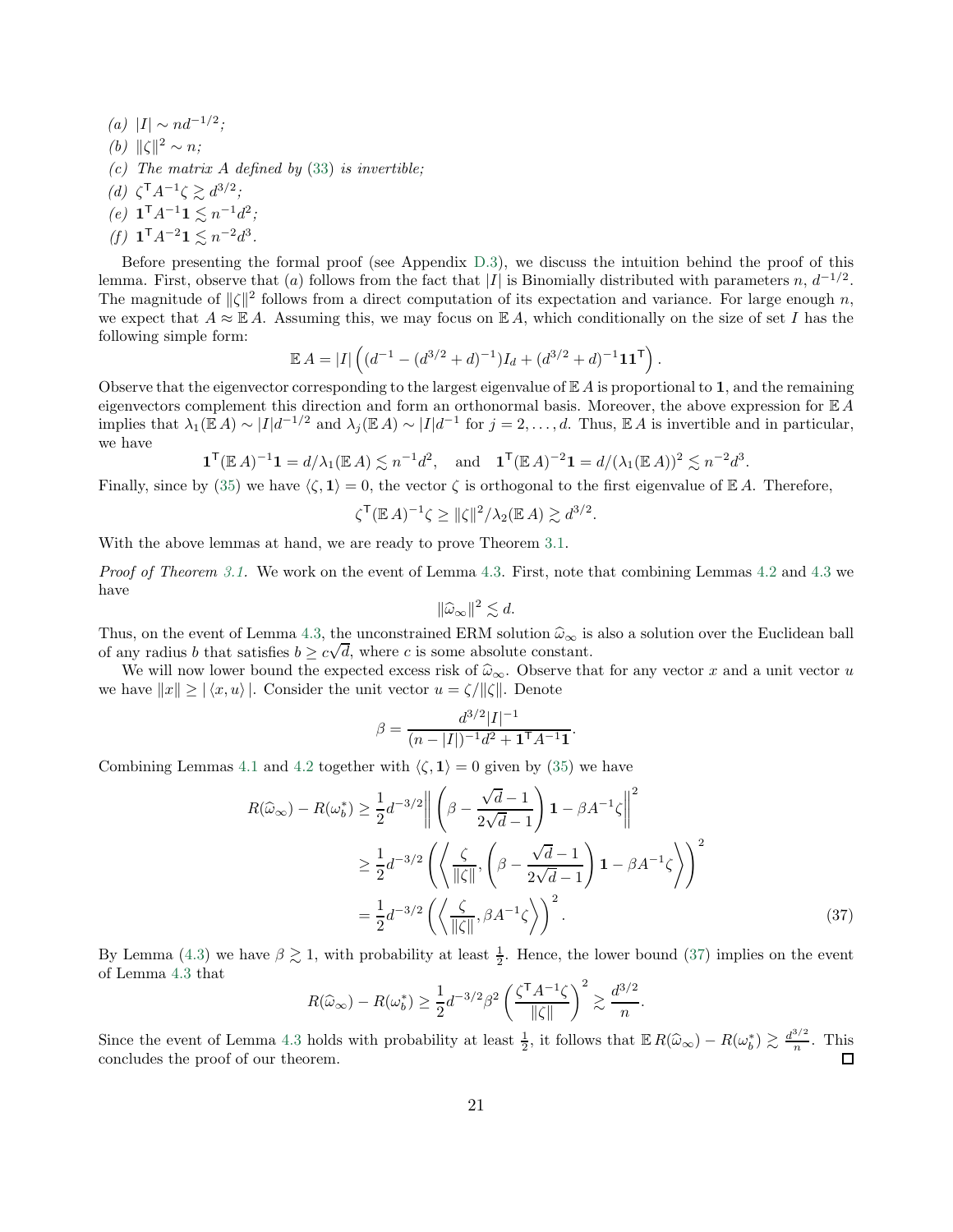(a) |I| ∼ nd<sup>-1/2</sup>; (b)  $\|\zeta\|^2 \sim n;$ (c) The matrix  $A$  defined by [\(33\)](#page-19-2) is invertible; (d)  $\zeta^{\mathsf{T}} A^{-1} \zeta \gtrsim d^{3/2};$ (e)  $\mathbf{1}^{\mathsf{T}} A^{-1} \mathbf{1} \lesssim n^{-1} d^2;$ 

(f)  $\mathbf{1}^{\mathsf{T}} A^{-2} \mathbf{1} \lesssim n^{-2} d^3$ .

Before presenting the formal proof (see Appendix [D.3\)](#page-31-0), we discuss the intuition behind the proof of this lemma. First, observe that (a) follows from the fact that |I| is Binomially distributed with parameters n,  $d^{-1/2}$ . The magnitude of  $\|\zeta\|^2$  follows from a direct computation of its expectation and variance. For large enough n, we expect that  $A \approx \mathbb{E} A$ . Assuming this, we may focus on  $\mathbb{E} A$ , which conditionally on the size of set I has the following simple form:

$$
\mathbb{E} A = |I| \left( (d^{-1} - (d^{3/2} + d)^{-1}) I_d + (d^{3/2} + d)^{-1} \mathbf{1} \mathbf{1}^{\mathsf{T}} \right).
$$

Observe that the eigenvector corresponding to the largest eigenvalue of  $\mathbb{E} A$  is proportional to 1, and the remaining eigenvectors complement this direction and form an orthonormal basis. Moreover, the above expression for  $E A$ implies that  $\lambda_1(\mathbb{E} A) \sim |I| d^{-1/2}$  and  $\lambda_j(\mathbb{E} A) \sim |I| d^{-1}$  for  $j = 2, \ldots, d$ . Thus,  $\mathbb{E} A$  is invertible and in particular, we have

$$
\mathbf{1}^{\mathsf{T}}(\mathbb{E} A)^{-1}\mathbf{1} = d/\lambda_1(\mathbb{E} A) \lesssim n^{-1}d^2, \text{ and } \mathbf{1}^{\mathsf{T}}(\mathbb{E} A)^{-2}\mathbf{1} = d/(\lambda_1(\mathbb{E} A))^2 \lesssim n^{-2}d^3.
$$

Finally, since by [\(35\)](#page-19-5) we have  $\langle \zeta, 1 \rangle = 0$ , the vector  $\zeta$  is orthogonal to the first eigenvalue of E A. Therefore,

$$
\zeta^{\mathsf{T}}(\mathbb{E} A)^{-1}\zeta \ge ||\zeta||^2/\lambda_2(\mathbb{E} A) \gtrsim d^{3/2}.
$$

With the above lemmas at hand, we are ready to prove Theorem [3.1.](#page-11-1)

Proof of Theorem [3.1.](#page-11-1) We work on the event of Lemma [4.3.](#page-19-6) First, note that combining Lemmas [4.2](#page-19-4) and [4.3](#page-19-6) we have

$$
\|\widehat{\omega}_{\infty}\|^2 \lesssim d.
$$

Thus, on the event of Lemma [4.3,](#page-19-6) the unconstrained ERM solution  $\hat{\omega}_{\infty}$  is also a solution over the Euclidean ball of any radius b that satisfies  $b \geq c\sqrt{d}$ , where c is some absolute constant.

We will now lower bound the expected excess risk of  $\hat{\omega}_{\infty}$ . Observe that for any vector x and a unit vector u we have  $||x|| \geq |\langle x, u \rangle|$ . Consider the unit vector  $u = \zeta/||\zeta||$ . Denote

$$
\beta=\frac{d^{3/2}|I|^{-1}}{(n-|I|)^{-1}d^2+\mathbf{1}^\mathsf{T} A^{-1}\mathbf{1}}
$$

Combining Lemmas [4.1](#page-19-0) and [4.2](#page-19-4) together with  $\langle \zeta, 1 \rangle = 0$  given by [\(35\)](#page-19-5) we have

$$
R(\widehat{\omega}_{\infty}) - R(\omega_b^*) \ge \frac{1}{2} d^{-3/2} \left\| \left( \beta - \frac{\sqrt{d} - 1}{2\sqrt{d} - 1} \right) \mathbf{1} - \beta A^{-1} \zeta \right\|^2
$$
  

$$
\ge \frac{1}{2} d^{-3/2} \left( \left\langle \frac{\zeta}{\|\zeta\|}, \left( \beta - \frac{\sqrt{d} - 1}{2\sqrt{d} - 1} \right) \mathbf{1} - \beta A^{-1} \zeta \right\rangle \right)^2
$$
  

$$
= \frac{1}{2} d^{-3/2} \left( \left\langle \frac{\zeta}{\|\zeta\|}, \beta A^{-1} \zeta \right\rangle \right)^2.
$$
 (37)

<span id="page-20-0"></span>.

.

By Lemma [\(4.3\)](#page-19-6) we have  $\beta \gtrsim 1$ , with probability at least  $\frac{1}{2}$ . Hence, the lower bound [\(37\)](#page-20-0) implies on the event of Lemma [4.3](#page-19-6) that

$$
R(\widehat{\omega}_{\infty}) - R(\omega_b^*) \ge \frac{1}{2} d^{-3/2} \beta^2 \left(\frac{\zeta^{\mathsf{T}} A^{-1} \zeta}{\|\zeta\|}\right)^2 \gtrsim \frac{d^{3/2}}{n}
$$

Since the event of Lemma [4.3](#page-19-6) holds with probability at least  $\frac{1}{2}$ , it follows that  $\mathbb{E} R(\hat{\omega}_{\infty}) - R(\omega_b^*) \gtrsim \frac{d^{3/2}}{n}$  $\frac{n}{n}$ . This concludes the proof of our theorem.  $\Box$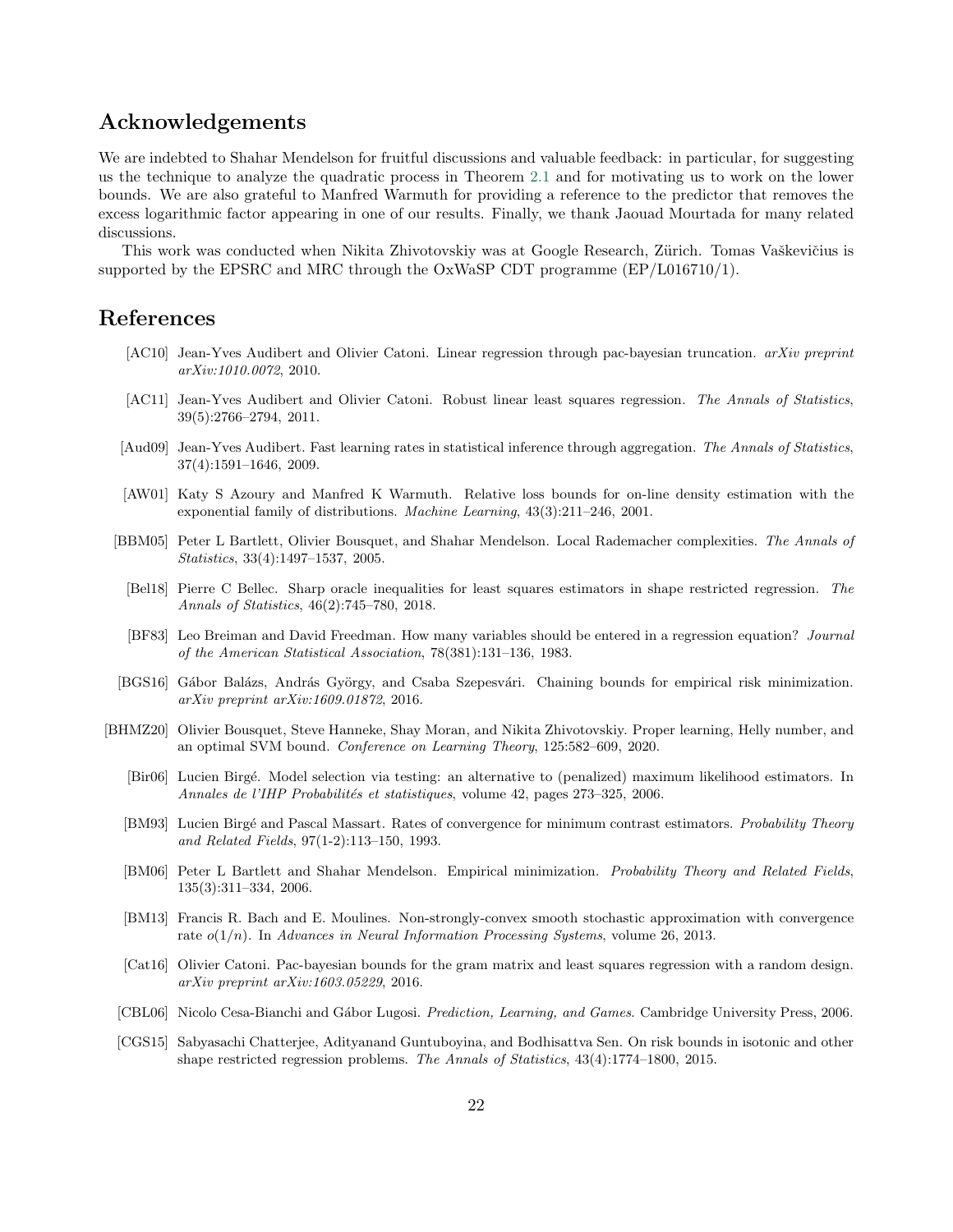## Acknowledgements

We are indebted to Shahar Mendelson for fruitful discussions and valuable feedback: in particular, for suggesting us the technique to analyze the quadratic process in Theorem [2.1](#page-6-1) and for motivating us to work on the lower bounds. We are also grateful to Manfred Warmuth for providing a reference to the predictor that removes the excess logarithmic factor appearing in one of our results. Finally, we thank Jaouad Mourtada for many related discussions.

This work was conducted when Nikita Zhivotovskiy was at Google Research, Zürich. Tomas Vaškevičius is supported by the EPSRC and MRC through the OxWaSP CDT programme (EP/L016710/1).

## References

- <span id="page-21-8"></span>[AC10] Jean-Yves Audibert and Olivier Catoni. Linear regression through pac-bayesian truncation. *arXiv preprint arXiv:1010.0072*, 2010.
- <span id="page-21-1"></span>[AC11] Jean-Yves Audibert and Olivier Catoni. Robust linear least squares regression. *The Annals of Statistics*, 39(5):2766–2794, 2011.
- <span id="page-21-3"></span>[Aud09] Jean-Yves Audibert. Fast learning rates in statistical inference through aggregation. *The Annals of Statistics*, 37(4):1591–1646, 2009.
- <span id="page-21-7"></span>[AW01] Katy S Azoury and Manfred K Warmuth. Relative loss bounds for on-line density estimation with the exponential family of distributions. *Machine Learning*, 43(3):211–246, 2001.
- <span id="page-21-10"></span><span id="page-21-5"></span>[BBM05] Peter L Bartlett, Olivier Bousquet, and Shahar Mendelson. Local Rademacher complexities. *The Annals of Statistics*, 33(4):1497–1537, 2005.
	- [Bel18] Pierre C Bellec. Sharp oracle inequalities for least squares estimators in shape restricted regression. *The Annals of Statistics*, 46(2):745–780, 2018.
	- [BF83] Leo Breiman and David Freedman. How many variables should be entered in a regression equation? *Journal of the American Statistical Association*, 78(381):131–136, 1983.
- <span id="page-21-4"></span><span id="page-21-0"></span>[BGS16] Gábor Balázs, András György, and Csaba Szepesvári. Chaining bounds for empirical risk minimization. *arXiv preprint arXiv:1609.01872*, 2016.
- <span id="page-21-15"></span><span id="page-21-14"></span><span id="page-21-13"></span><span id="page-21-12"></span><span id="page-21-11"></span><span id="page-21-9"></span><span id="page-21-6"></span><span id="page-21-2"></span>[BHMZ20] Olivier Bousquet, Steve Hanneke, Shay Moran, and Nikita Zhivotovskiy. Proper learning, Helly number, and an optimal SVM bound. *Conference on Learning Theory*, 125:582–609, 2020.
	- [Bir06] Lucien Birg´e. Model selection via testing: an alternative to (penalized) maximum likelihood estimators. In *Annales de l'IHP Probabilit´es et statistiques*, volume 42, pages 273–325, 2006.
	- [BM93] Lucien Birg´e and Pascal Massart. Rates of convergence for minimum contrast estimators. *Probability Theory and Related Fields*, 97(1-2):113–150, 1993.
	- [BM06] Peter L Bartlett and Shahar Mendelson. Empirical minimization. *Probability Theory and Related Fields*, 135(3):311–334, 2006.
	- [BM13] Francis R. Bach and E. Moulines. Non-strongly-convex smooth stochastic approximation with convergence rate o(1/n). In *Advances in Neural Information Processing Systems*, volume 26, 2013.
	- [Cat16] Olivier Catoni. Pac-bayesian bounds for the gram matrix and least squares regression with a random design. *arXiv preprint arXiv:1603.05229*, 2016.
	- [CBL06] Nicolo Cesa-Bianchi and G´abor Lugosi. *Prediction, Learning, and Games*. Cambridge University Press, 2006.
	- [CGS15] Sabyasachi Chatterjee, Adityanand Guntuboyina, and Bodhisattva Sen. On risk bounds in isotonic and other shape restricted regression problems. *The Annals of Statistics*, 43(4):1774–1800, 2015.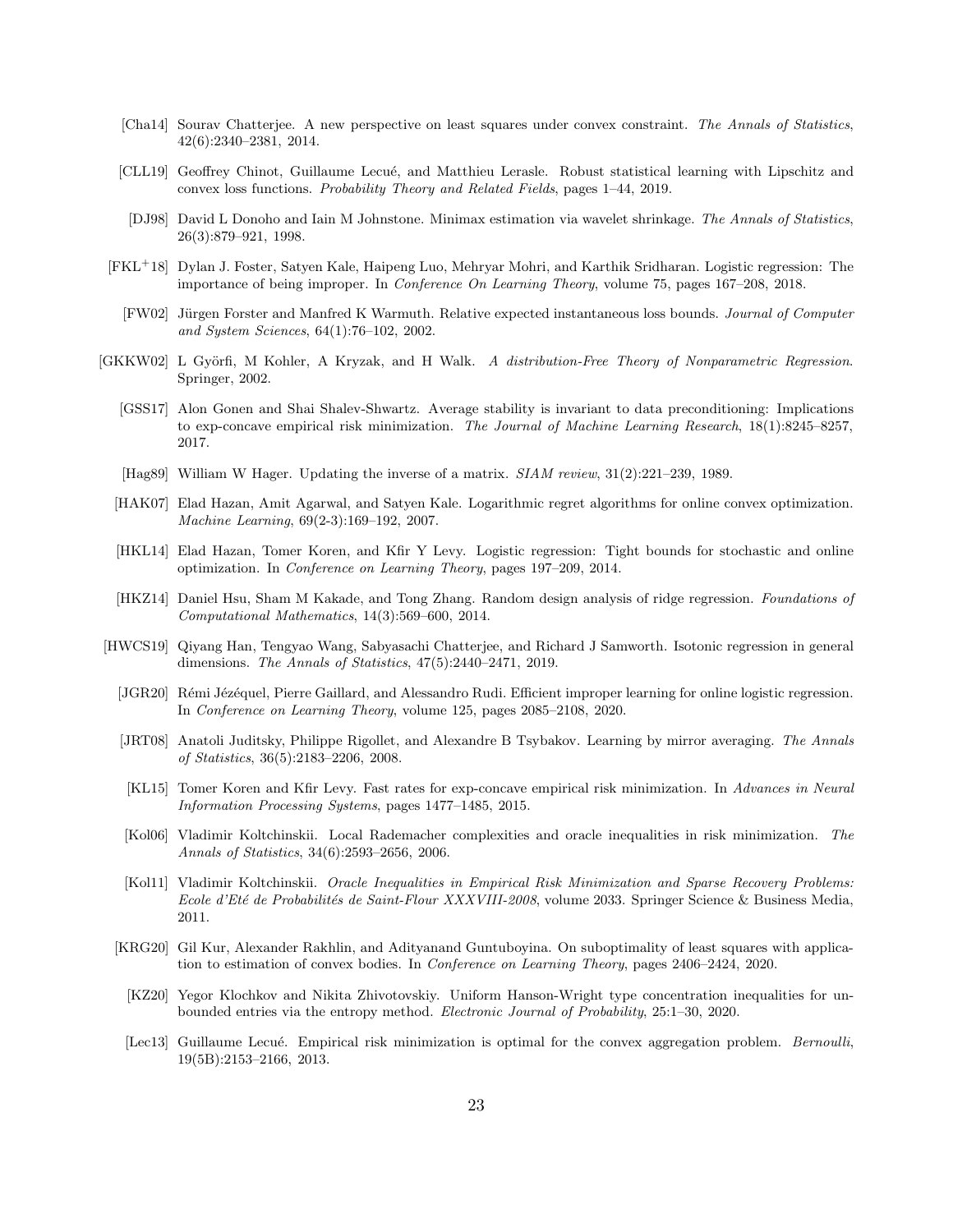- <span id="page-22-11"></span>[Cha14] Sourav Chatterjee. A new perspective on least squares under convex constraint. *The Annals of Statistics*, 42(6):2340–2381, 2014.
- <span id="page-22-1"></span>[CLL19] Geoffrey Chinot, Guillaume Lecué, and Matthieu Lerasle. Robust statistical learning with Lipschitz and convex loss functions. *Probability Theory and Related Fields*, pages 1–44, 2019.
- <span id="page-22-9"></span>[DJ98] David L Donoho and Iain M Johnstone. Minimax estimation via wavelet shrinkage. *The Annals of Statistics*, 26(3):879–921, 1998.
- <span id="page-22-14"></span><span id="page-22-8"></span>[FKL<sup>+</sup>18] Dylan J. Foster, Satyen Kale, Haipeng Luo, Mehryar Mohri, and Karthik Sridharan. Logistic regression: The importance of being improper. In *Conference On Learning Theory*, volume 75, pages 167–208, 2018.
	- [FW02] Jürgen Forster and Manfred K Warmuth. Relative expected instantaneous loss bounds. *Journal of Computer and System Sciences*, 64(1):76–102, 2002.
- <span id="page-22-19"></span><span id="page-22-15"></span><span id="page-22-10"></span><span id="page-22-5"></span>[GKKW02] L Gy¨orfi, M Kohler, A Kryzak, and H Walk. *A distribution-Free Theory of Nonparametric Regression*. Springer, 2002.
	- [GSS17] Alon Gonen and Shai Shalev-Shwartz. Average stability is invariant to data preconditioning: Implications to exp-concave empirical risk minimization. *The Journal of Machine Learning Research*, 18(1):8245–8257, 2017.
	- [Hag89] William W Hager. Updating the inverse of a matrix. *SIAM review*, 31(2):221–239, 1989.
	- [HAK07] Elad Hazan, Amit Agarwal, and Satyen Kale. Logarithmic regret algorithms for online convex optimization. *Machine Learning*, 69(2-3):169–192, 2007.
	- [HKL14] Elad Hazan, Tomer Koren, and Kfir Y Levy. Logistic regression: Tight bounds for stochastic and online optimization. In *Conference on Learning Theory*, pages 197–209, 2014.
	- [HKZ14] Daniel Hsu, Sham M Kakade, and Tong Zhang. Random design analysis of ridge regression. *Foundations of Computational Mathematics*, 14(3):569–600, 2014.
- <span id="page-22-18"></span><span id="page-22-17"></span><span id="page-22-16"></span><span id="page-22-13"></span><span id="page-22-12"></span><span id="page-22-7"></span><span id="page-22-6"></span><span id="page-22-4"></span><span id="page-22-3"></span><span id="page-22-2"></span><span id="page-22-0"></span>[HWCS19] Qiyang Han, Tengyao Wang, Sabyasachi Chatterjee, and Richard J Samworth. Isotonic regression in general dimensions. *The Annals of Statistics*, 47(5):2440–2471, 2019.
	- [JGR20] Rémi Jézéquel, Pierre Gaillard, and Alessandro Rudi. Efficient improper learning for online logistic regression. In *Conference on Learning Theory*, volume 125, pages 2085–2108, 2020.
	- [JRT08] Anatoli Juditsky, Philippe Rigollet, and Alexandre B Tsybakov. Learning by mirror averaging. *The Annals of Statistics*, 36(5):2183–2206, 2008.
	- [KL15] Tomer Koren and Kfir Levy. Fast rates for exp-concave empirical risk minimization. In *Advances in Neural Information Processing Systems*, pages 1477–1485, 2015.
	- [Kol06] Vladimir Koltchinskii. Local Rademacher complexities and oracle inequalities in risk minimization. *The Annals of Statistics*, 34(6):2593–2656, 2006.
	- [Kol11] Vladimir Koltchinskii. *Oracle Inequalities in Empirical Risk Minimization and Sparse Recovery Problems: Ecole d'Et´e de Probabilit´es de Saint-Flour XXXVIII-2008*, volume 2033. Springer Science & Business Media, 2011.
	- [KRG20] Gil Kur, Alexander Rakhlin, and Adityanand Guntuboyina. On suboptimality of least squares with application to estimation of convex bodies. In *Conference on Learning Theory*, pages 2406–2424, 2020.
	- [KZ20] Yegor Klochkov and Nikita Zhivotovskiy. Uniform Hanson-Wright type concentration inequalities for unbounded entries via the entropy method. *Electronic Journal of Probability*, 25:1–30, 2020.
	- [Lec13] Guillaume Lecué. Empirical risk minimization is optimal for the convex aggregation problem. *Bernoulli*, 19(5B):2153–2166, 2013.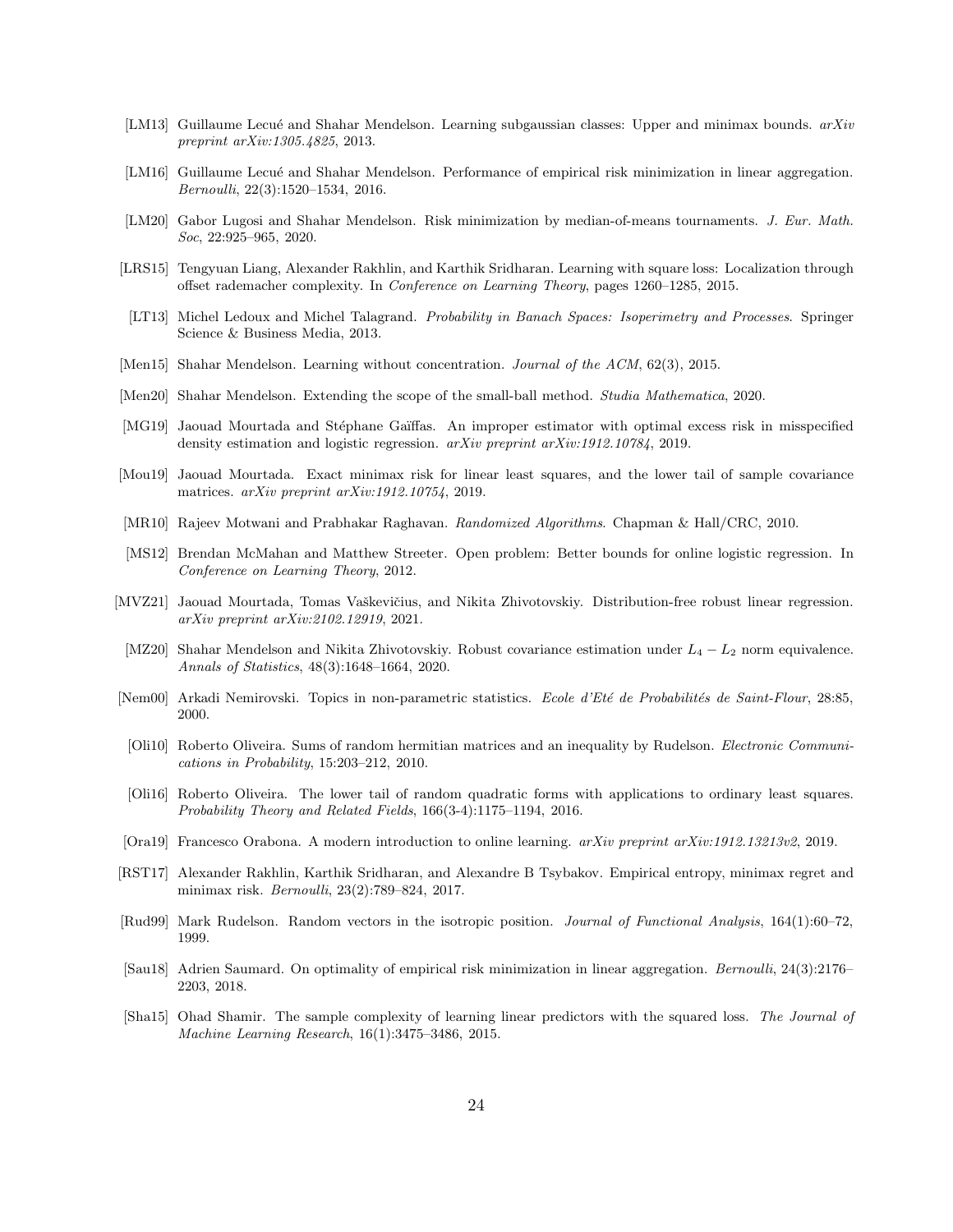- <span id="page-23-15"></span>[LM13] Guillaume Lecué and Shahar Mendelson. Learning subgaussian classes: Upper and minimax bounds. *arXiv preprint arXiv:1305.4825*, 2013.
- <span id="page-23-3"></span>[LM16] Guillaume Lecué and Shahar Mendelson. Performance of empirical risk minimization in linear aggregation. *Bernoulli*, 22(3):1520–1534, 2016.
- <span id="page-23-4"></span>[LM20] Gabor Lugosi and Shahar Mendelson. Risk minimization by median-of-means tournaments. *J. Eur. Math. Soc*, 22:925–965, 2020.
- <span id="page-23-11"></span>[LRS15] Tengyuan Liang, Alexander Rakhlin, and Karthik Sridharan. Learning with square loss: Localization through offset rademacher complexity. In *Conference on Learning Theory*, pages 1260–1285, 2015.
- <span id="page-23-14"></span>[LT13] Michel Ledoux and Michel Talagrand. *Probability in Banach Spaces: Isoperimetry and Processes*. Springer Science & Business Media, 2013.
- <span id="page-23-2"></span>[Men15] Shahar Mendelson. Learning without concentration. *Journal of the ACM*, 62(3), 2015.
- <span id="page-23-7"></span>[Men20] Shahar Mendelson. Extending the scope of the small-ball method. *Studia Mathematica*, 2020.
- <span id="page-23-19"></span>[MG19] Jaouad Mourtada and Stéphane Gaïffas. An improper estimator with optimal excess risk in misspecified density estimation and logistic regression. *arXiv preprint arXiv:1912.10784*, 2019.
- <span id="page-23-0"></span>[Mou19] Jaouad Mourtada. Exact minimax risk for linear least squares, and the lower tail of sample covariance matrices. *arXiv preprint arXiv:1912.10754*, 2019.
- <span id="page-23-20"></span>[MR10] Rajeev Motwani and Prabhakar Raghavan. *Randomized Algorithms*. Chapman & Hall/CRC, 2010.
- <span id="page-23-13"></span>[MS12] Brendan McMahan and Matthew Streeter. Open problem: Better bounds for online logistic regression. In *Conference on Learning Theory*, 2012.
- <span id="page-23-12"></span>[MVZ21] Jaouad Mourtada, Tomas Vaškevičius, and Nikita Zhivotovskiy. Distribution-free robust linear regression. *arXiv preprint arXiv:2102.12919*, 2021.
- <span id="page-23-5"></span>[MZ20] Shahar Mendelson and Nikita Zhivotovskiy. Robust covariance estimation under L<sup>4</sup> − L<sup>2</sup> norm equivalence. *Annals of Statistics*, 48(3):1648–1664, 2020.
- <span id="page-23-8"></span>[Nem00] Arkadi Nemirovski. Topics in non-parametric statistics. *Ecole d'Eté de Probabilités de Saint-Flour*, 28:85, 2000.
- <span id="page-23-17"></span>[Oli10] Roberto Oliveira. Sums of random hermitian matrices and an inequality by Rudelson. *Electronic Communications in Probability*, 15:203–212, 2010.
- <span id="page-23-1"></span>[Oli16] Roberto Oliveira. The lower tail of random quadratic forms with applications to ordinary least squares. *Probability Theory and Related Fields*, 166(3-4):1175–1194, 2016.
- <span id="page-23-18"></span>[Ora19] Francesco Orabona. A modern introduction to online learning. *arXiv preprint arXiv:1912.13213v2*, 2019.
- <span id="page-23-9"></span>[RST17] Alexander Rakhlin, Karthik Sridharan, and Alexandre B Tsybakov. Empirical entropy, minimax regret and minimax risk. *Bernoulli*, 23(2):789–824, 2017.
- <span id="page-23-16"></span>[Rud99] Mark Rudelson. Random vectors in the isotropic position. *Journal of Functional Analysis*, 164(1):60–72, 1999.
- <span id="page-23-6"></span>[Sau18] Adrien Saumard. On optimality of empirical risk minimization in linear aggregation. *Bernoulli*, 24(3):2176– 2203, 2018.
- <span id="page-23-10"></span>[Sha15] Ohad Shamir. The sample complexity of learning linear predictors with the squared loss. *The Journal of Machine Learning Research*, 16(1):3475–3486, 2015.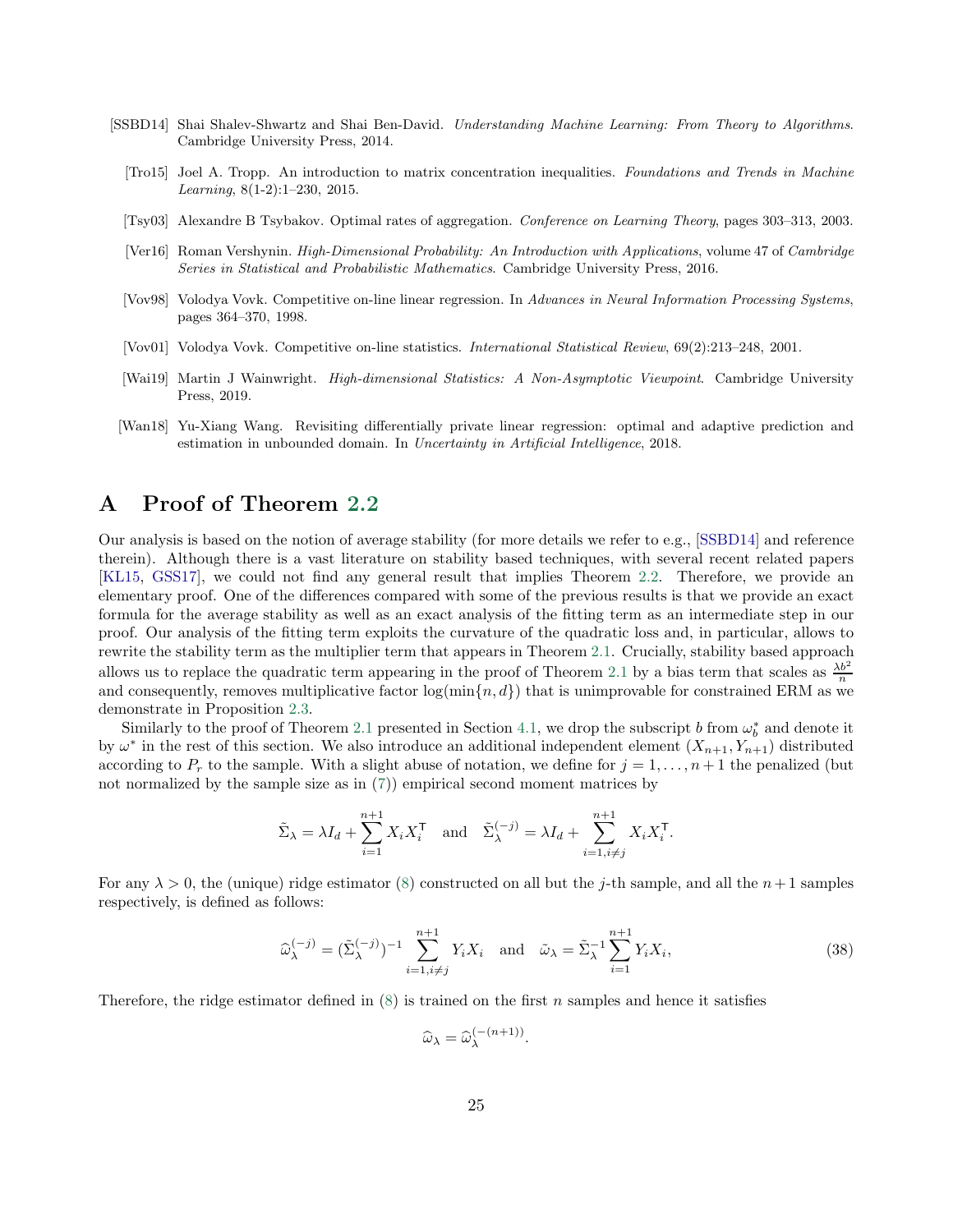- <span id="page-24-7"></span><span id="page-24-5"></span><span id="page-24-4"></span><span id="page-24-0"></span>[SSBD14] Shai Shalev-Shwartz and Shai Ben-David. *Understanding Machine Learning: From Theory to Algorithms*. Cambridge University Press, 2014.
	- [Tro15] Joel A. Tropp. An introduction to matrix concentration inequalities. *Foundations and Trends in Machine Learning*, 8(1-2):1–230, 2015.
	- [Tsy03] Alexandre B Tsybakov. Optimal rates of aggregation. *Conference on Learning Theory*, pages 303–313, 2003.
	- [Ver16] Roman Vershynin. *High-Dimensional Probability: An Introduction with Applications*, volume 47 of *Cambridge Series in Statistical and Probabilistic Mathematics*. Cambridge University Press, 2016.
	- [Vov98] Volodya Vovk. Competitive on-line linear regression. In *Advances in Neural Information Processing Systems*, pages 364–370, 1998.
	- [Vov01] Volodya Vovk. Competitive on-line statistics. *International Statistical Review*, 69(2):213–248, 2001.
	- [Wai19] Martin J Wainwright. *High-dimensional Statistics: A Non-Asymptotic Viewpoint*. Cambridge University Press, 2019.
- <span id="page-24-8"></span><span id="page-24-3"></span><span id="page-24-2"></span><span id="page-24-1"></span>[Wan18] Yu-Xiang Wang. Revisiting differentially private linear regression: optimal and adaptive prediction and estimation in unbounded domain. In *Uncertainty in Artificial Intelligence*, 2018.

## <span id="page-24-6"></span>A Proof of Theorem [2.2](#page-7-1)

Our analysis is based on the notion of average stability (for more details we refer to e.g., [\[SSBD14\]](#page-24-4) and reference therein). Although there is a vast literature on stability based techniques, with several recent related papers [\[KL15](#page-22-4), [GSS17\]](#page-22-5), we could not find any general result that implies Theorem [2.2.](#page-7-1) Therefore, we provide an elementary proof. One of the differences compared with some of the previous results is that we provide an exact formula for the average stability as well as an exact analysis of the fitting term as an intermediate step in our proof. Our analysis of the fitting term exploits the curvature of the quadratic loss and, in particular, allows to rewrite the stability term as the multiplier term that appears in Theorem [2.1.](#page-6-1) Crucially, stability based approach allows us to replace the quadratic term appearing in the proof of Theorem [2.1](#page-6-1) by a bias term that scales as  $\frac{\lambda b^2}{n}$ and consequently, removes multiplicative factor  $\log(\min\{n, d\})$  that is unimprovable for constrained ERM as we demonstrate in Proposition [2.3.](#page-7-0)

Similarly to the proof of Theorem [2.1](#page-6-1) presented in Section [4.1,](#page-13-1) we drop the subscript b from  $\omega_b^*$  and denote it by  $\omega^*$  in the rest of this section. We also introduce an additional independent element  $(X_{n+1}, Y_{n+1})$  distributed according to  $P_r$  to the sample. With a slight abuse of notation, we define for  $j = 1, \ldots, n+1$  the penalized (but not normalized by the sample size as in [\(7\)](#page-5-1)) empirical second moment matrices by

$$
\tilde{\Sigma}_{\lambda} = \lambda I_d + \sum_{i=1}^{n+1} X_i X_i^{\mathsf{T}} \text{ and } \tilde{\Sigma}_{\lambda}^{(-j)} = \lambda I_d + \sum_{i=1, i \neq j}^{n+1} X_i X_i^{\mathsf{T}}.
$$

For any  $\lambda > 0$ , the (unique) ridge estimator [\(8\)](#page-5-2) constructed on all but the *j*-th sample, and all the  $n+1$  samples respectively, is defined as follows:

$$
\widehat{\omega}_{\lambda}^{(-j)} = (\tilde{\Sigma}_{\lambda}^{(-j)})^{-1} \sum_{i=1, i \neq j}^{n+1} Y_i X_i \quad \text{and} \quad \widetilde{\omega}_{\lambda} = \tilde{\Sigma}_{\lambda}^{-1} \sum_{i=1}^{n+1} Y_i X_i,
$$
\n(38)

Therefore, the ridge estimator defined in  $(8)$  is trained on the first n samples and hence it satisfies

$$
\widehat{\omega}_{\lambda} = \widehat{\omega}_{\lambda}^{(- (n+1))}
$$

<span id="page-24-9"></span>.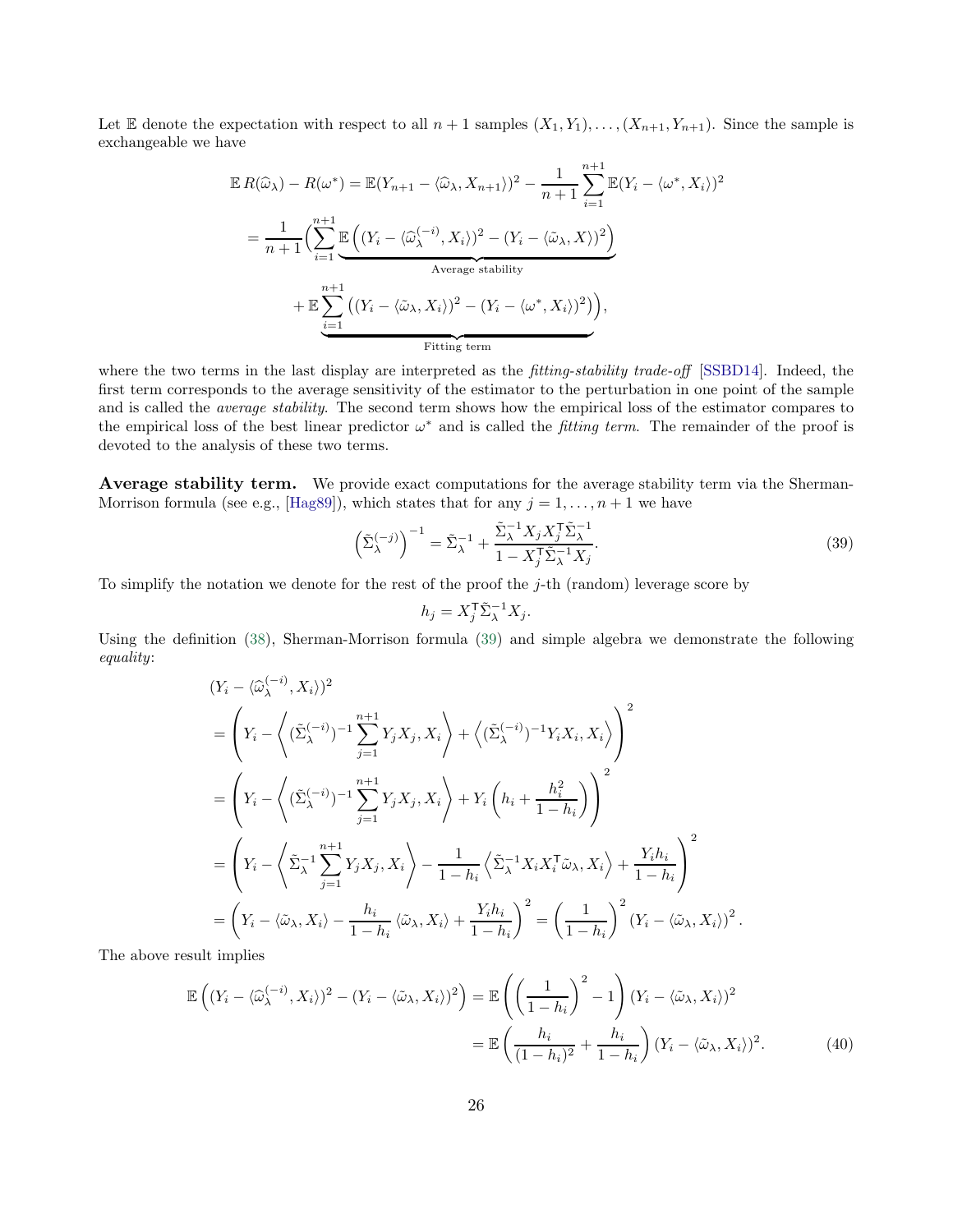Let E denote the expectation with respect to all  $n+1$  samples  $(X_1, Y_1), \ldots, (X_{n+1}, Y_{n+1})$ . Since the sample is exchangeable we have

$$
\mathbb{E} R(\widehat{\omega}_{\lambda}) - R(\omega^*) = \mathbb{E}(Y_{n+1} - \langle \widehat{\omega}_{\lambda}, X_{n+1} \rangle)^2 - \frac{1}{n+1} \sum_{i=1}^{n+1} \mathbb{E}(Y_i - \langle \omega^*, X_i \rangle)^2
$$

$$
= \frac{1}{n+1} \Biggl( \sum_{i=1}^{n+1} \underbrace{\mathbb{E}\left( (Y_i - \langle \widehat{\omega}_{\lambda}^{(-i)}, X_i \rangle)^2 - (Y_i - \langle \widehat{\omega}_{\lambda}, X \rangle)^2 \right)}_{\text{Average stability}}
$$

$$
+ \mathbb{E} \sum_{i=1}^{n+1} \left( (Y_i - \langle \widehat{\omega}_{\lambda}, X_i \rangle)^2 - (Y_i - \langle \omega^*, X_i \rangle)^2 \right),
$$
Fitting term

where the two terms in the last display are interpreted as the *fitting-stability trade-off* [\[SSBD14\]](#page-24-4). Indeed, the first term corresponds to the average sensitivity of the estimator to the perturbation in one point of the sample and is called the *average stability*. The second term shows how the empirical loss of the estimator compares to the empirical loss of the best linear predictor  $\omega^*$  and is called the *fitting term*. The remainder of the proof is devoted to the analysis of these two terms.

Average stability term. We provide exact computations for the average stability term via the Sherman-Morrison formula (see e.g., [\[Hag89\]](#page-22-19)), which states that for any  $j = 1, \ldots, n + 1$  we have

$$
\left(\tilde{\Sigma}_{\lambda}^{(-j)}\right)^{-1} = \tilde{\Sigma}_{\lambda}^{-1} + \frac{\tilde{\Sigma}_{\lambda}^{-1} X_j X_j^{\mathsf{T}} \tilde{\Sigma}_{\lambda}^{-1}}{1 - X_j^{\mathsf{T}} \tilde{\Sigma}_{\lambda}^{-1} X_j}.
$$
\n(39)

To simplify the notation we denote for the rest of the proof the  $j$ -th (random) leverage score by

<span id="page-25-1"></span><span id="page-25-0"></span>
$$
h_j = X_j^{\mathsf{T}} \tilde{\Sigma}_{\lambda}^{-1} X_j.
$$

Using the definition [\(38\)](#page-24-9), Sherman-Morrison formula [\(39\)](#page-25-0) and simple algebra we demonstrate the following equality:

$$
(Y_i - \langle \widehat{\omega}_{\lambda}^{(-i)}, X_i \rangle)^2
$$
  
=  $\left(Y_i - \left\langle (\tilde{\Sigma}_{\lambda}^{(-i)})^{-1} \sum_{j=1}^{n+1} Y_j X_j, X_i \right\rangle + \left\langle (\tilde{\Sigma}_{\lambda}^{(-i)})^{-1} Y_i X_i, X_i \right\rangle \right)^2$   
=  $\left(Y_i - \left\langle (\tilde{\Sigma}_{\lambda}^{(-i)})^{-1} \sum_{j=1}^{n+1} Y_j X_j, X_i \right\rangle + Y_i \left( h_i + \frac{h_i^2}{1 - h_i} \right) \right)^2$   
=  $\left(Y_i - \left\langle \tilde{\Sigma}_{\lambda}^{-1} \sum_{j=1}^{n+1} Y_j X_j, X_i \right\rangle - \frac{1}{1 - h_i} \left\langle \tilde{\Sigma}_{\lambda}^{-1} X_i X_i^{\mathsf{T}} \tilde{\omega}_{\lambda}, X_i \right\rangle + \frac{Y_i h_i}{1 - h_i} \right)^2$   
=  $\left(Y_i - \langle \tilde{\omega}_{\lambda}, X_i \rangle - \frac{h_i}{1 - h_i} \langle \tilde{\omega}_{\lambda}, X_i \rangle + \frac{Y_i h_i}{1 - h_i} \right)^2 = \left(\frac{1}{1 - h_i}\right)^2 (Y_i - \langle \tilde{\omega}_{\lambda}, X_i \rangle)^2.$ 

The above result implies

$$
\mathbb{E}\left((Y_i - \langle \widehat{\omega}_{\lambda}^{(-i)}, X_i \rangle)^2 - (Y_i - \langle \widehat{\omega}_{\lambda}, X_i \rangle)^2\right) = \mathbb{E}\left(\left(\frac{1}{1 - h_i}\right)^2 - 1\right) (Y_i - \langle \widehat{\omega}_{\lambda}, X_i \rangle)^2
$$

$$
= \mathbb{E}\left(\frac{h_i}{(1 - h_i)^2} + \frac{h_i}{1 - h_i}\right) (Y_i - \langle \widehat{\omega}_{\lambda}, X_i \rangle)^2.
$$
(40)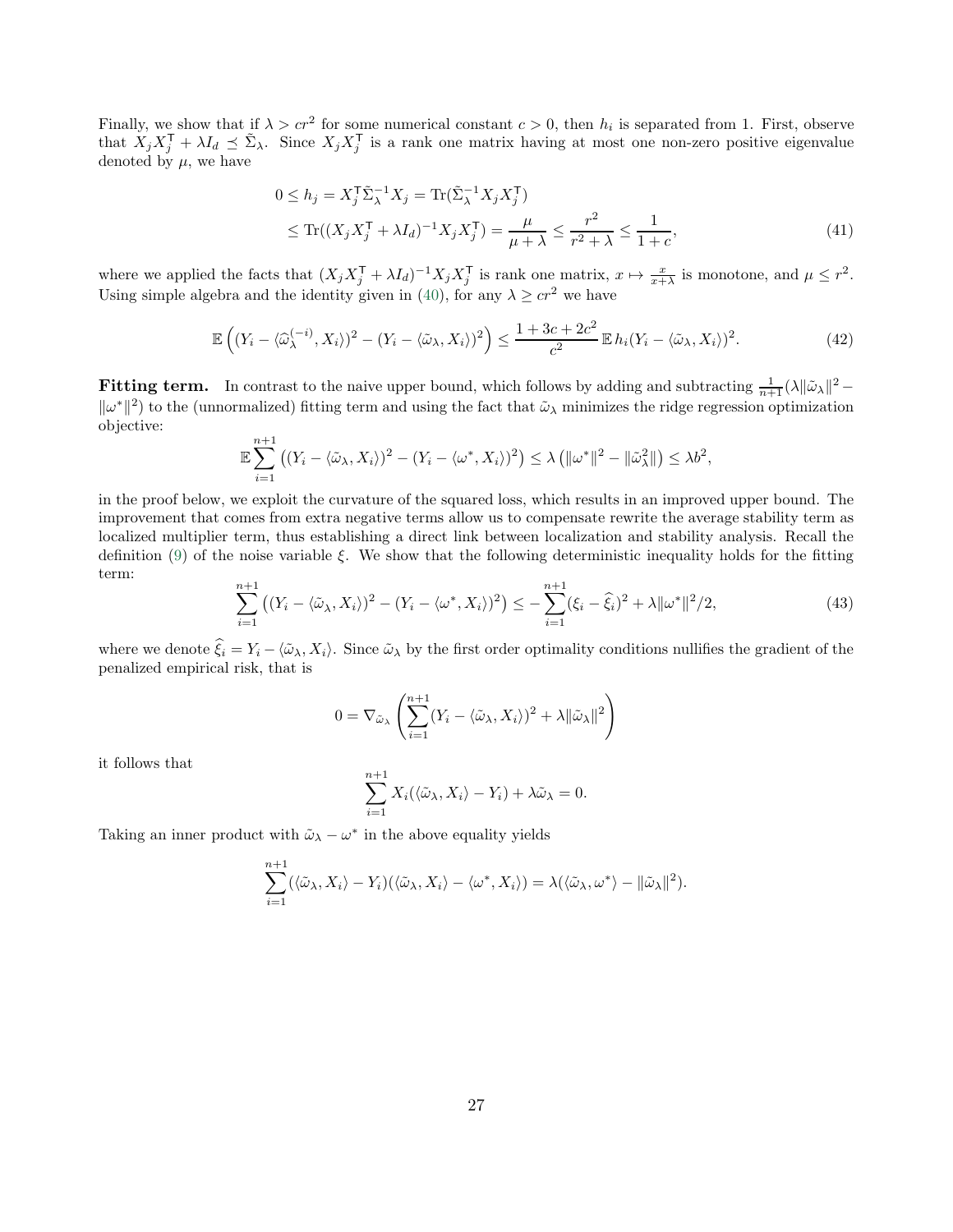Finally, we show that if  $\lambda > cr^2$  for some numerical constant  $c > 0$ , then  $h_i$  is separated from 1. First, observe that  $X_j X_j^{\mathsf{T}} + \lambda I_d \preceq \tilde{\Sigma}_{\lambda}$ . Since  $X_j X_j^{\mathsf{T}}$  is a rank one matrix having at most one non-zero positive eigenvalue denoted by  $\mu$ , we have

<span id="page-26-2"></span><span id="page-26-1"></span>
$$
0 \le h_j = X_j^{\mathsf{T}} \tilde{\Sigma}_{\lambda}^{-1} X_j = \text{Tr}(\tilde{\Sigma}_{\lambda}^{-1} X_j X_j^{\mathsf{T}})
$$
  
 
$$
\le \text{Tr}((X_j X_j^{\mathsf{T}} + \lambda I_d)^{-1} X_j X_j^{\mathsf{T}}) = \frac{\mu}{\mu + \lambda} \le \frac{r^2}{r^2 + \lambda} \le \frac{1}{1 + c}, \tag{41}
$$

where we applied the facts that  $(X_j X_j^{\mathsf{T}} + \lambda I_d)^{-1} X_j X_j^{\mathsf{T}}$  is rank one matrix,  $x \mapsto \frac{x}{x+\lambda}$  is monotone, and  $\mu \leq r^2$ . Using simple algebra and the identity given in [\(40\)](#page-25-1), for any  $\lambda \geq cr^2$  we have

$$
\mathbb{E}\left((Y_i - \langle \widehat{\omega}_{\lambda}^{(-i)}, X_i \rangle)^2 - (Y_i - \langle \widehat{\omega}_{\lambda}, X_i \rangle)^2\right) \le \frac{1 + 3c + 2c^2}{c^2} \mathbb{E} \, h_i (Y_i - \langle \widehat{\omega}_{\lambda}, X_i \rangle)^2. \tag{42}
$$

**Fitting term.** In contrast to the naive upper bound, which follows by adding and subtracting  $\frac{1}{n+1}(\lambda||\tilde{\omega}_{\lambda}||^2 \|\omega^*\|^2$  to the (unnormalized) fitting term and using the fact that  $\tilde{\omega}_{\lambda}$  minimizes the ridge regression optimization objective:

$$
\mathbb{E}\sum_{i=1}^{n+1} \left( (Y_i - \langle \tilde{\omega}_\lambda, X_i \rangle)^2 - (Y_i - \langle \omega^*, X_i \rangle)^2 \right) \leq \lambda \left( \|\omega^*\|^2 - \|\tilde{\omega}_\lambda^2\| \right) \leq \lambda b^2,
$$

in the proof below, we exploit the curvature of the squared loss, which results in an improved upper bound. The improvement that comes from extra negative terms allow us to compensate rewrite the average stability term as localized multiplier term, thus establishing a direct link between localization and stability analysis. Recall the definition [\(9\)](#page-6-2) of the noise variable  $\xi$ . We show that the following deterministic inequality holds for the fitting term:

$$
\sum_{i=1}^{n+1} \left( (Y_i - \langle \tilde{\omega}_\lambda, X_i \rangle)^2 - (Y_i - \langle \omega^*, X_i \rangle)^2 \right) \le -\sum_{i=1}^{n+1} (\xi_i - \hat{\xi}_i)^2 + \lambda \| \omega^* \|^2 / 2, \tag{43}
$$

where we denote  $\hat{\xi}_i = Y_i - \langle \tilde{\omega}_\lambda, X_i \rangle$ . Since  $\tilde{\omega}_\lambda$  by the first order optimality conditions nullifies the gradient of the penalized empirical risk, that is

$$
0 = \nabla_{\tilde{\omega}_{\lambda}} \left( \sum_{i=1}^{n+1} (Y_i - \langle \tilde{\omega}_{\lambda}, X_i \rangle)^2 + \lambda ||\tilde{\omega}_{\lambda}||^2 \right)
$$

it follows that

<span id="page-26-0"></span>
$$
\sum_{i=1}^{n+1} X_i(\langle \tilde{\omega}_\lambda, X_i \rangle - Y_i) + \lambda \tilde{\omega}_\lambda = 0.
$$

Taking an inner product with  $\tilde{\omega}_{\lambda} - \omega^*$  in the above equality yields

$$
\sum_{i=1}^{n+1} (\langle \tilde{\omega}_{\lambda}, X_i \rangle - Y_i)(\langle \tilde{\omega}_{\lambda}, X_i \rangle - \langle \omega^*, X_i \rangle) = \lambda(\langle \tilde{\omega}_{\lambda}, \omega^* \rangle - ||\tilde{\omega}_{\lambda}||^2).
$$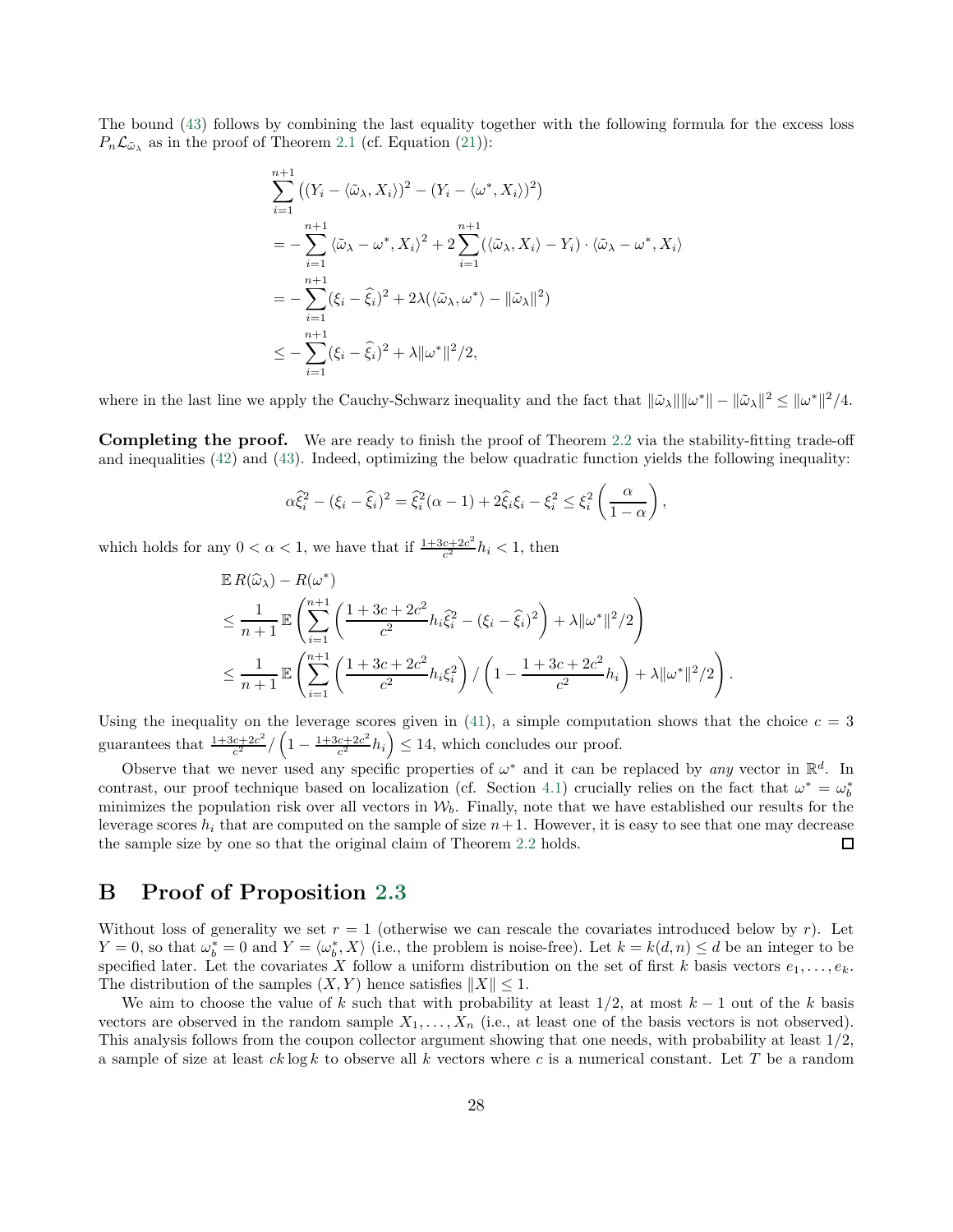The bound [\(43\)](#page-26-0) follows by combining the last equality together with the following formula for the excess loss  $P_n\mathcal{L}_{\tilde{\omega}_{\lambda}}$  as in the proof of Theorem [2.1](#page-6-1) (cf. Equation [\(21\)](#page-14-5)):

$$
\sum_{i=1}^{n+1} ((Y_i - \langle \tilde{\omega}_{\lambda}, X_i \rangle)^2 - (Y_i - \langle \omega^*, X_i \rangle)^2)
$$
  
= 
$$
- \sum_{i=1}^{n+1} \langle \tilde{\omega}_{\lambda} - \omega^*, X_i \rangle^2 + 2 \sum_{i=1}^{n+1} (\langle \tilde{\omega}_{\lambda}, X_i \rangle - Y_i) \cdot \langle \tilde{\omega}_{\lambda} - \omega^*, X_i \rangle
$$
  
= 
$$
- \sum_{i=1}^{n+1} (\xi_i - \hat{\xi}_i)^2 + 2\lambda (\langle \tilde{\omega}_{\lambda}, \omega^* \rangle - ||\tilde{\omega}_{\lambda}||^2)
$$
  

$$
\leq - \sum_{i=1}^{n+1} (\xi_i - \hat{\xi}_i)^2 + \lambda ||\omega^*||^2 / 2,
$$

where in the last line we apply the Cauchy-Schwarz inequality and the fact that  $\|\tilde{\omega}_{\lambda}\|\|\omega^*\| - \|\tilde{\omega}_{\lambda}\|^2 \le \|\omega^*\|^2/4$ .

Completing the proof. We are ready to finish the proof of Theorem [2.2](#page-7-1) via the stability-fitting trade-off and inequalities [\(42\)](#page-26-1) and [\(43\)](#page-26-0). Indeed, optimizing the below quadratic function yields the following inequality:

$$
\alpha \hat{\xi}_i^2 - (\xi_i - \hat{\xi}_i)^2 = \hat{\xi}_i^2 (\alpha - 1) + 2\hat{\xi}_i \xi_i - \xi_i^2 \le \xi_i^2 \left(\frac{\alpha}{1 - \alpha}\right),
$$

which holds for any  $0 < \alpha < 1$ , we have that if  $\frac{1+3c+2c^2}{c^2}$  $\frac{c+2c^2}{c^2}h_i < 1$ , then

$$
\mathbb{E} R(\widehat{\omega}_{\lambda}) - R(\omega^*)
$$
\n
$$
\leq \frac{1}{n+1} \mathbb{E} \left( \sum_{i=1}^{n+1} \left( \frac{1+3c+2c^2}{c^2} h_i \widehat{\xi}_i^2 - (\xi_i - \widehat{\xi}_i)^2 \right) + \lambda ||\omega^*||^2 / 2 \right)
$$
\n
$$
\leq \frac{1}{n+1} \mathbb{E} \left( \sum_{i=1}^{n+1} \left( \frac{1+3c+2c^2}{c^2} h_i \xi_i^2 \right) / \left( 1 - \frac{1+3c+2c^2}{c^2} h_i \right) + \lambda ||\omega^*||^2 / 2 \right)
$$

.

Using the inequality on the leverage scores given in [\(41\)](#page-26-2), a simple computation shows that the choice  $c = 3$ guarantees that  $\frac{1+3c+2c^2}{c^2}$  $\frac{c+2c^2}{c^2}/\left(1-\frac{1+3c+2c^2}{c^2}\right)$  $\left(\frac{c+2c^2}{c^2}h_i\right) \leq 14$ , which concludes our proof.

Observe that we never used any specific properties of  $\omega^*$  and it can be replaced by any vector in  $\mathbb{R}^d$ . In contrast, our proof technique based on localization (cf. Section [4.1\)](#page-13-1) crucially relies on the fact that  $\omega^* = \omega_b^*$ minimizes the population risk over all vectors in  $W_b$ . Finally, note that we have established our results for the leverage scores  $h_i$  that are computed on the sample of size  $n+1$ . However, it is easy to see that one may decrease the sample size by one so that the original claim of Theorem [2.2](#page-7-1) holds.  $\square$ 

## <span id="page-27-0"></span>B Proof of Proposition [2.3](#page-7-0)

Without loss of generality we set  $r = 1$  (otherwise we can rescale the covariates introduced below by r). Let  $Y = 0$ , so that  $\omega_b^* = 0$  and  $Y = \langle \omega_b^*, X \rangle$  (i.e., the problem is noise-free). Let  $k = k(d, n) \le d$  be an integer to be specified later. Let the covariates X follow a uniform distribution on the set of first k basis vectors  $e_1, \ldots, e_k$ . The distribution of the samples  $(X, Y)$  hence satisfies  $||X|| \leq 1$ .

We aim to choose the value of k such that with probability at least  $1/2$ , at most  $k-1$  out of the k basis vectors are observed in the random sample  $X_1, \ldots, X_n$  (i.e., at least one of the basis vectors is not observed). This analysis follows from the coupon collector argument showing that one needs, with probability at least 1/2, a sample of size at least  $ck \log k$  to observe all k vectors where c is a numerical constant. Let T be a random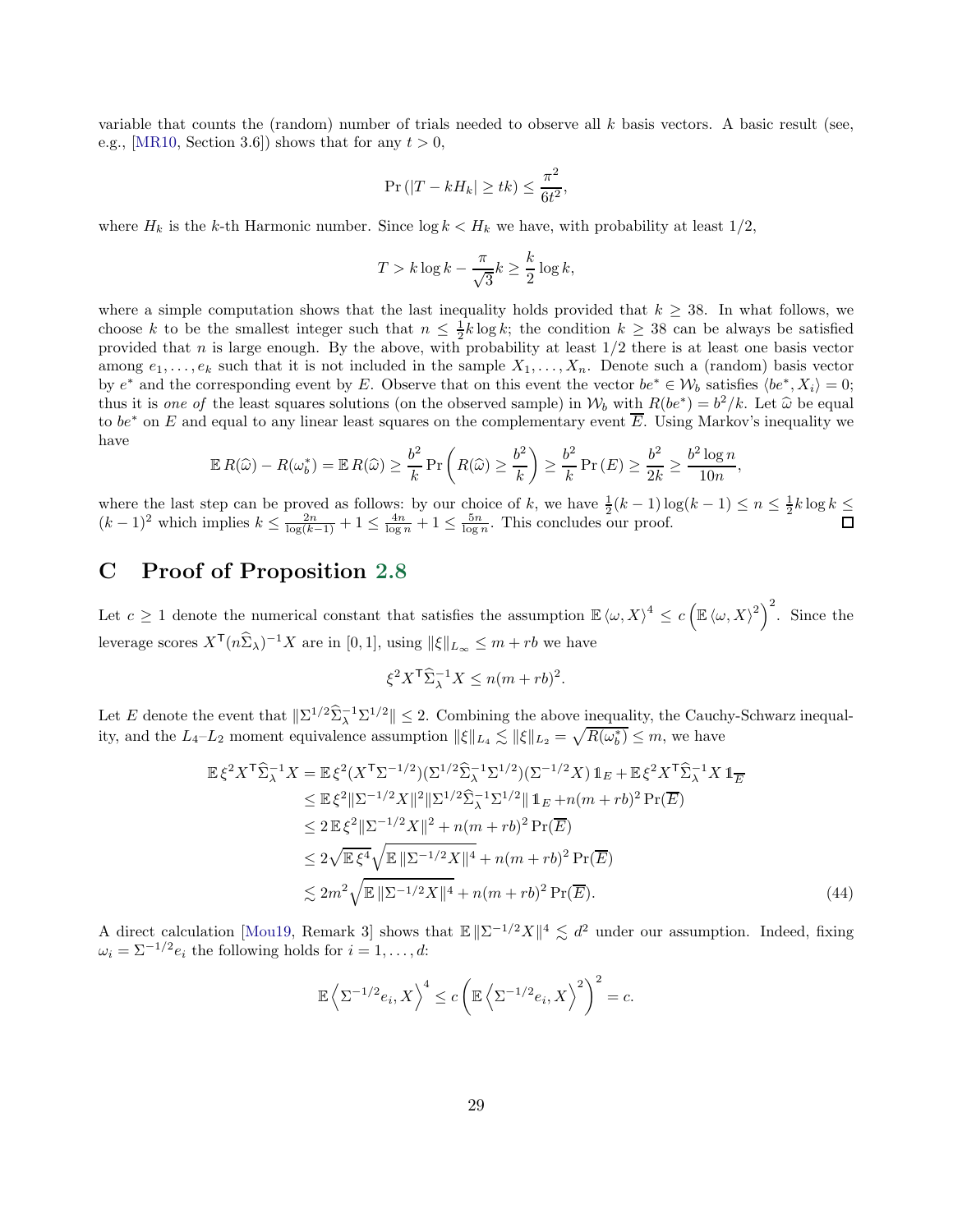variable that counts the (random) number of trials needed to observe all  $k$  basis vectors. A basic result (see, e.g., [\[MR10,](#page-23-20) Section 3.6]) shows that for any  $t > 0$ ,

$$
\Pr\left(|T - kH_k| \ge tk\right) \le \frac{\pi^2}{6t^2},
$$

where  $H_k$  is the k-th Harmonic number. Since  $\log k < H_k$  we have, with probability at least  $1/2$ ,

$$
T > k \log k - \frac{\pi}{\sqrt{3}} k \ge \frac{k}{2} \log k,
$$

where a simple computation shows that the last inequality holds provided that  $k \geq 38$ . In what follows, we choose k to be the smallest integer such that  $n \leq \frac{1}{2}k \log k$ ; the condition  $k \geq 38$  can be always be satisfied provided that  $n$  is large enough. By the above, with probability at least  $1/2$  there is at least one basis vector among  $e_1, \ldots, e_k$  such that it is not included in the sample  $X_1, \ldots, X_n$ . Denote such a (random) basis vector by  $e^*$  and the corresponding event by E. Observe that on this event the vector  $be^* \in W_b$  satisfies  $\langle be^*, X_i \rangle = 0$ ; thus it is one of the least squares solutions (on the observed sample) in  $W_b$  with  $R(be^*) = b^2/k$ . Let  $\hat{\omega}$  be equal to be equal to sure linear least square on the coupling of property  $\overline{E}$ . Let  $\hat{\omega}$  be equal to to be<sup>\*</sup> on E and equal to any linear least squares on the complementary event  $\overline{E}$ . Using Markov's inequality we have

$$
\mathbb{E} R(\widehat{\omega}) - R(\omega_b^*) = \mathbb{E} R(\widehat{\omega}) \ge \frac{b^2}{k} \Pr\left(R(\widehat{\omega}) \ge \frac{b^2}{k}\right) \ge \frac{b^2}{k} \Pr\left(E\right) \ge \frac{b^2}{2k} \ge \frac{b^2 \log n}{10n},
$$

where the last step can be proved as follows: by our choice of k, we have  $\frac{1}{2}(k-1)\log(k-1) \leq n \leq \frac{1}{2}k\log k \leq$  $(k-1)^2$  which implies  $k \leq \frac{2n}{\log(k-1)} + 1 \leq \frac{4n}{\log n} + 1 \leq \frac{5n}{\log n}$ . This concludes our proof.

## <span id="page-28-0"></span>C Proof of Proposition [2.8](#page-10-0)

Let  $c \geq 1$  denote the numerical constant that satisfies the assumption  $\mathbb{E} \langle \omega, X \rangle^4 \leq c \left( \mathbb{E} \langle \omega, X \rangle^2 \right)^2$ . Since the leverage scores  $X^{\mathsf{T}}(n\widehat{\Sigma}_{\lambda})^{-1}X$  are in [0, 1], using  $||\xi||_{L_{\infty}} \leq m + rb$  we have

<span id="page-28-1"></span>
$$
\xi^2 X^{\mathsf{T}} \widehat{\Sigma}_{\lambda}^{-1} X \le n(m + rb)^2.
$$

Let E denote the event that  $\|\Sigma^{1/2}\hat{\Sigma}_{\lambda}^{-1}\Sigma^{1/2}\| \leq 2$ . Combining the above <u>inequality</u>, the Cauchy-Schwarz inequality, and the  $L_4 - L_2$  moment equivalence assumption  $\|\xi\|_{L_4} \lesssim \|\xi\|_{L_2} = \sqrt{R(\omega_b^*)} \leq m$ , we have

$$
\mathbb{E}\xi^{2}X^{\mathsf{T}}\widehat{\Sigma}_{\lambda}^{-1}X = \mathbb{E}\xi^{2}(X^{\mathsf{T}}\Sigma^{-1/2})(\Sigma^{1/2}\widehat{\Sigma}_{\lambda}^{-1}\Sigma^{1/2})(\Sigma^{-1/2}X)\mathbb{1}_{E} + \mathbb{E}\xi^{2}X^{\mathsf{T}}\widehat{\Sigma}_{\lambda}^{-1}X\mathbb{1}_{E}
$$
\n
$$
\leq \mathbb{E}\xi^{2}\|\Sigma^{-1/2}X\|^{2}\|\Sigma^{1/2}\widehat{\Sigma}_{\lambda}^{-1}\Sigma^{1/2}\|\mathbb{1}_{E} + n(m + rb)^{2}\Pr(\overline{E})
$$
\n
$$
\leq 2\mathbb{E}\xi^{2}\|\Sigma^{-1/2}X\|^{2} + n(m + rb)^{2}\Pr(\overline{E})
$$
\n
$$
\leq 2\sqrt{\mathbb{E}\xi^{4}}\sqrt{\mathbb{E}\|\Sigma^{-1/2}X\|^{4}} + n(m + rb)^{2}\Pr(\overline{E})
$$
\n
$$
\lesssim 2m^{2}\sqrt{\mathbb{E}\|\Sigma^{-1/2}X\|^{4}} + n(m + rb)^{2}\Pr(\overline{E}). \tag{44}
$$

A direct calculation [\[Mou19](#page-23-0), Remark 3] shows that  $\mathbb{E} \|\Sigma^{-1/2}X\|^4 \lesssim d^2$  under our assumption. Indeed, fixing  $\omega_i = \sum_{i=1}^{i} e_i$  the following holds for  $i = 1, \ldots, d$ :

$$
\mathbb{E}\left\langle \Sigma^{-1/2}e_i, X\right\rangle^4 \le c\left(\mathbb{E}\left\langle \Sigma^{-1/2}e_i, X\right\rangle^2\right)^2 = c.
$$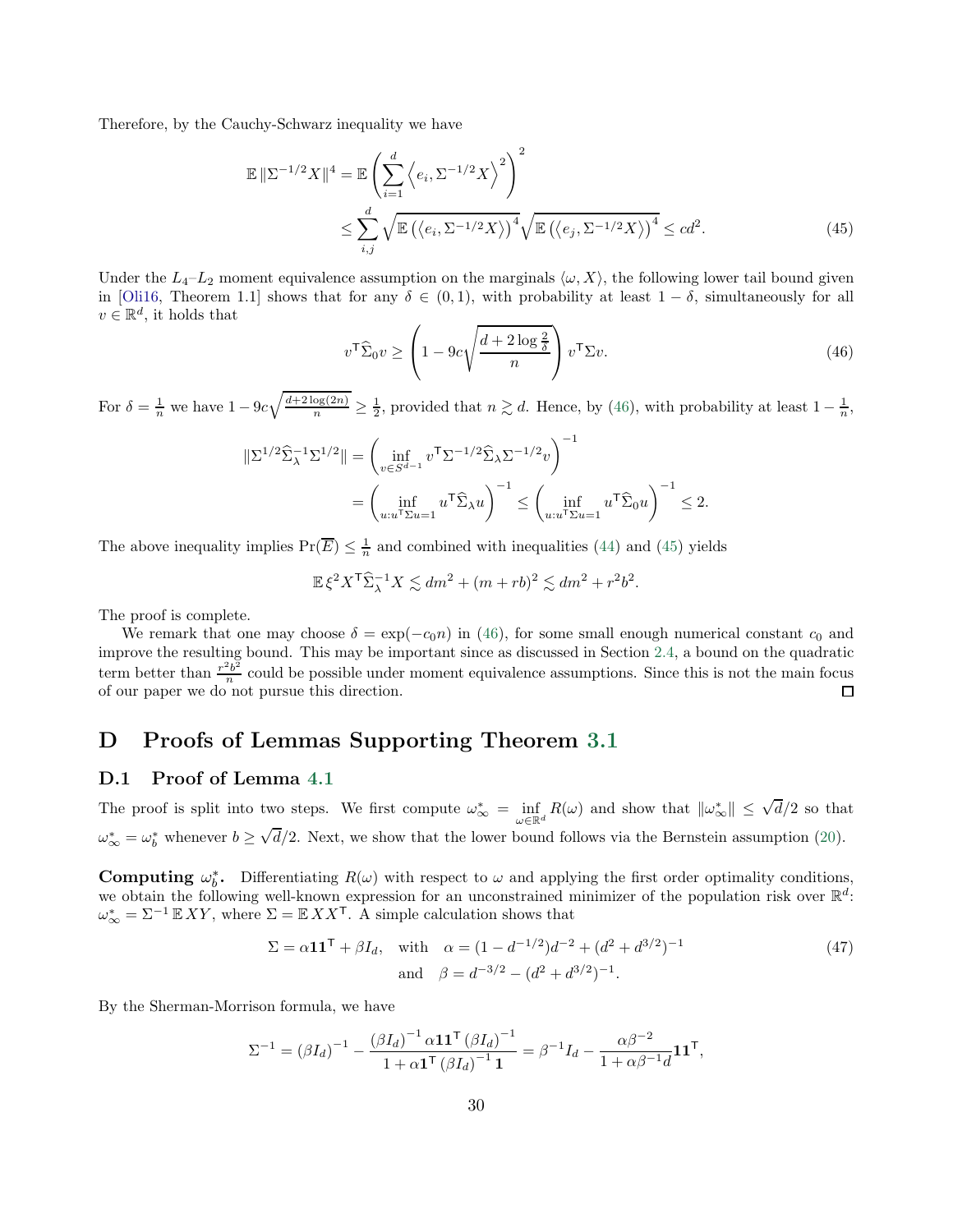Therefore, by the Cauchy-Schwarz inequality we have

$$
\mathbb{E} \|\Sigma^{-1/2} X\|^4 = \mathbb{E} \left( \sum_{i=1}^d \left\langle e_i, \Sigma^{-1/2} X \right\rangle^2 \right)^2
$$
  

$$
\leq \sum_{i,j}^d \sqrt{\mathbb{E} \left( \left\langle e_i, \Sigma^{-1/2} X \right\rangle \right)^4} \sqrt{\mathbb{E} \left( \left\langle e_j, \Sigma^{-1/2} X \right\rangle \right)^4} \leq cd^2.
$$
 (45)

Under the  $L_4-L_2$  moment equivalence assumption on the marginals  $\langle \omega, X \rangle$ , the following lower tail bound given in [\[Oli16,](#page-23-1) Theorem 1.1] shows that for any  $\delta \in (0,1)$ , with probability at least  $1-\delta$ , simultaneously for all  $v \in \mathbb{R}^d$ , it holds that

<span id="page-29-2"></span><span id="page-29-1"></span>
$$
v^{\mathsf{T}}\widehat{\Sigma}_0 v \ge \left(1 - 9c\sqrt{\frac{d + 2\log\frac{2}{\delta}}{n}}\right)v^{\mathsf{T}}\Sigma v.
$$
\n(46)

For  $\delta = \frac{1}{n}$  we have  $1 - 9c\sqrt{\frac{d+2\log(2n)}{n}}$  $\frac{\log(2n)}{n} \geq \frac{1}{2}$ , provided that  $n \gtrsim d$ . Hence, by [\(46\)](#page-29-1), with probability at least  $1 - \frac{1}{n}$ ,

$$
\begin{aligned} \|\Sigma^{1/2}\widehat{\Sigma}_{\lambda}^{-1}\Sigma^{1/2}\| &= \left(\inf_{v\in S^{d-1}} v^{\mathsf{T}}\Sigma^{-1/2}\widehat{\Sigma}_{\lambda}\Sigma^{-1/2}v\right)^{-1} \\ &= \left(\inf_{u:u^{\mathsf{T}}\Sigma u=1} u^{\mathsf{T}}\widehat{\Sigma}_{\lambda}u\right)^{-1} \le \left(\inf_{u:u^{\mathsf{T}}\Sigma u=1} u^{\mathsf{T}}\widehat{\Sigma}_{0}u\right)^{-1} \le 2. \end{aligned}
$$

The above inequality implies  $Pr(\overline{E}) \leq \frac{1}{n}$  and combined with inequalities [\(44\)](#page-28-1) and [\(45\)](#page-29-2) yields

$$
\mathbb{E}\,\xi^2 X^{\mathsf{T}}\widehat{\Sigma}_{\lambda}^{-1} X \lesssim dm^2 + (m+rb)^2 \lesssim dm^2 + r^2b^2.
$$

The proof is complete.

We remark that one may choose  $\delta = \exp(-c_0 n)$  in [\(46\)](#page-29-1), for some small enough numerical constant  $c_0$  and improve the resulting bound. This may be important since as discussed in Section [2.4,](#page-8-0) a bound on the quadratic term better than  $\frac{r^2b^2}{n}$  $\frac{e^{2b}}{n}$  could be possible under moment equivalence assumptions. Since this is not the main focus of our paper we do not pursue this direction.  $\Box$ 

## D Proofs of Lemmas Supporting Theorem [3.1](#page-11-1)

#### <span id="page-29-0"></span>D.1 Proof of Lemma [4.1](#page-19-0)

The proof is split into two steps. We first compute  $\omega_{\infty}^* = \inf_{\omega \in \mathbb{R}^d} R(\omega)$  and show that  $\|\omega_{\infty}^*\| \le \sqrt{d}/2$  so that  $\omega_{\infty}^* = \omega_b^*$  whenever  $b \ge \sqrt{d}/2$ . Next, we show that the lower bound follows via the Bernstein assumption [\(20\)](#page-13-3).

**Computing**  $\omega_b^*$ . Differentiating  $R(\omega)$  with respect to  $\omega$  and applying the first order optimality conditions, we obtain the following well-known expression for an unconstrained minimizer of the population risk over  $\mathbb{R}^d$ :  $\omega_{\infty}^* = \Sigma^{-1} \mathbb{E} XY$ , where  $\Sigma = \mathbb{E} XX^{\mathsf{T}}$ . A simple calculation shows that

<span id="page-29-3"></span>
$$
\Sigma = \alpha \mathbf{1} \mathbf{1}^{\mathsf{T}} + \beta I_d, \quad \text{with} \quad \alpha = (1 - d^{-1/2})d^{-2} + (d^2 + d^{3/2})^{-1}
$$
\n
$$
\text{and} \quad \beta = d^{-3/2} - (d^2 + d^{3/2})^{-1}.
$$
\n(47)

By the Sherman-Morrison formula, we have

$$
\Sigma^{-1} = (\beta I_d)^{-1} - \frac{(\beta I_d)^{-1} \alpha \mathbf{1} \mathbf{1}^{\mathsf{T}} (\beta I_d)^{-1}}{1 + \alpha \mathbf{1}^{\mathsf{T}} (\beta I_d)^{-1} \mathbf{1}} = \beta^{-1} I_d - \frac{\alpha \beta^{-2}}{1 + \alpha \beta^{-1} d} \mathbf{1} \mathbf{1}^{\mathsf{T}},
$$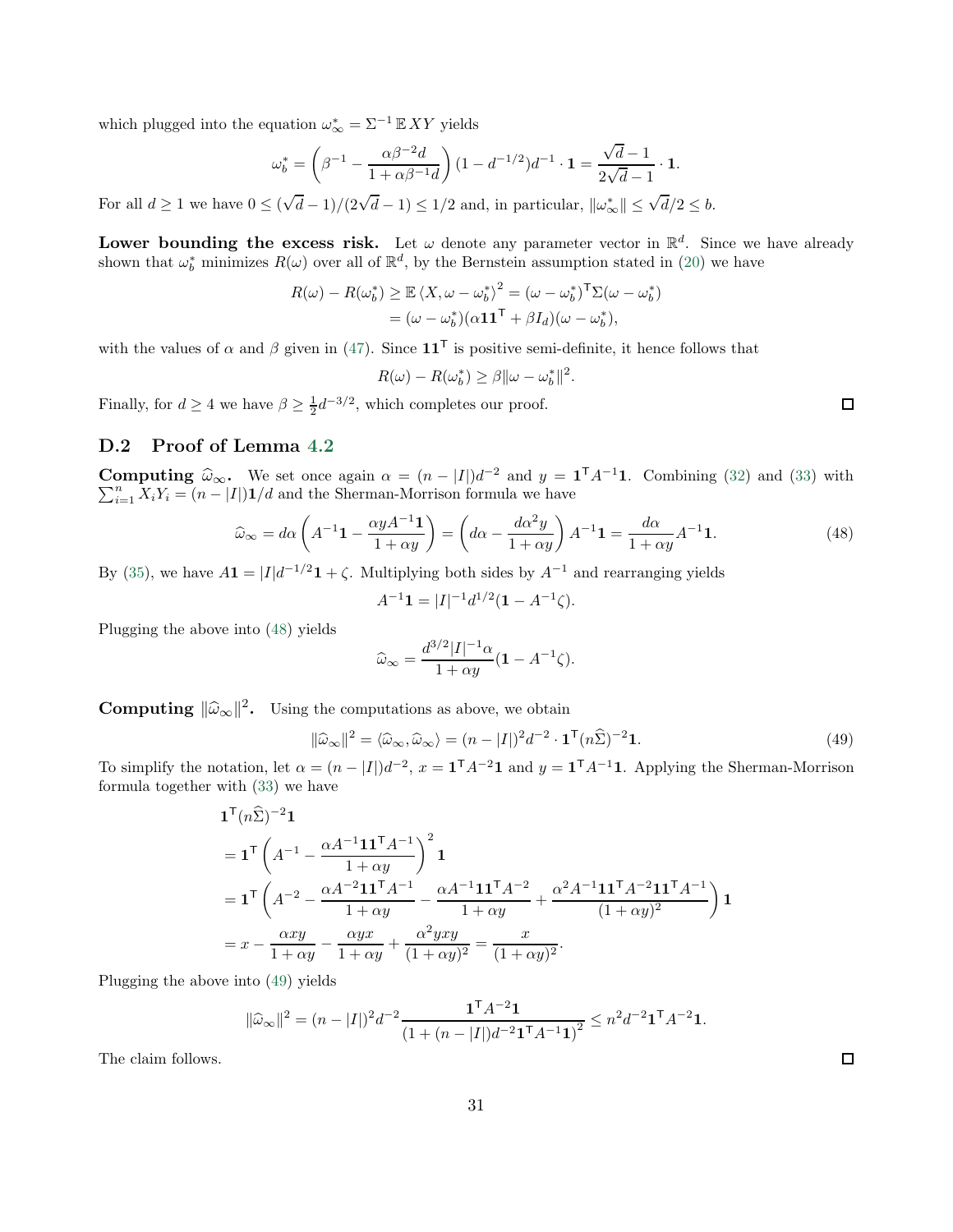which plugged into the equation  $\omega_{\infty}^* = \Sigma^{-1} \mathbb{E} XY$  yields

$$
\omega_b^* = \left(\beta^{-1} - \frac{\alpha \beta^{-2} d}{1 + \alpha \beta^{-1} d}\right) (1 - d^{-1/2}) d^{-1} \cdot \mathbf{1} = \frac{\sqrt{d} - 1}{2 \sqrt{d} - 1} \cdot \mathbf{1}.
$$

For all  $d \ge 1$  we have  $0 \le (\sqrt{d}-1)/(2\sqrt{d}-1) \le 1/2$  and, in particular,  $\|\omega^*_{\infty}\| \le \sqrt{d}/2 \le b$ .

Lower bounding the excess risk. Let  $\omega$  denote any parameter vector in  $\mathbb{R}^d$ . Since we have already shown that  $\omega_b^*$  minimizes  $R(\omega)$  over all of  $\mathbb{R}^d$ , by the Bernstein assumption stated in [\(20\)](#page-13-3) we have

$$
R(\omega) - R(\omega_b^*) \ge \mathbb{E} \langle X, \omega - \omega_b^* \rangle^2 = (\omega - \omega_b^*)^T \Sigma(\omega - \omega_b^*)
$$
  
=  $(\omega - \omega_b^*)(\alpha \mathbf{1} \mathbf{1}^T + \beta I_d)(\omega - \omega_b^*),$ 

with the values of  $\alpha$  and  $\beta$  given in [\(47\)](#page-29-3). Since  $11^{\mathsf{T}}$  is positive semi-definite, it hence follows that

$$
R(\omega) - R(\omega_b^*) \ge \beta \|\omega - \omega_b^*\|^2.
$$

Finally, for  $d \ge 4$  we have  $\beta \ge \frac{1}{2}d^{-3/2}$ , which completes our proof.

## <span id="page-30-0"></span>D.2 Proof of Lemma [4.2](#page-19-4)

**Computing**  $\widehat{\omega}_{\infty}$ . We set once again  $\alpha = (n - |I|)d^{-2}$  and  $y = \mathbf{1}^{T}A^{-1}$  $\sum$ **omputing**  $\widehat{\omega}_{\infty}$ . We set once again  $\alpha = (n - |I|)d^{-2}$  and  $y = \mathbf{1}^{\dagger}A^{-1}\mathbf{1}$ . Combining [\(32\)](#page-19-1) and [\(33\)](#page-19-2) with  $\sum_{i=1}^{n} X_i Y_i = (n - |I|)\mathbf{1}/d$  and the Sherman-Morrison formula we have

$$
\widehat{\omega}_{\infty} = d\alpha \left( A^{-1} \mathbf{1} - \frac{\alpha y A^{-1} \mathbf{1}}{1 + \alpha y} \right) = \left( d\alpha - \frac{d\alpha^2 y}{1 + \alpha y} \right) A^{-1} \mathbf{1} = \frac{d\alpha}{1 + \alpha y} A^{-1} \mathbf{1}.
$$
\n(48)

By [\(35\)](#page-19-5), we have  $A\mathbf{1} = |I|d^{-1/2}\mathbf{1} + \zeta$ . Multiplying both sides by  $A^{-1}$  and rearranging yields

$$
A^{-1}\mathbf{1} = |I|^{-1}d^{1/2}(\mathbf{1} - A^{-1}\zeta).
$$

Plugging the above into [\(48\)](#page-30-1) yields

$$
\widehat{\omega}_{\infty} = \frac{d^{3/2}|I|^{-1}\alpha}{1+\alpha y}(\mathbf{1} - A^{-1}\zeta).
$$

**Computing**  $\|\widehat{\omega}_{\infty}\|^2$ . Using the computations as above, we obtain

$$
\|\widehat{\omega}_{\infty}\|^2 = \langle \widehat{\omega}_{\infty}, \widehat{\omega}_{\infty} \rangle = (n - |I|)^2 d^{-2} \cdot \mathbf{1}^{\mathsf{T}} (n \widehat{\Sigma})^{-2} \mathbf{1}.
$$
 (49)

To simplify the notation, let  $\alpha = (n - |I|)d^{-2}$ ,  $x = \mathbf{1}^{\mathsf{T}}A^{-2}\mathbf{1}$  and  $y = \mathbf{1}^{\mathsf{T}}A^{-1}\mathbf{1}$ . Applying the Sherman-Morrison formula together with [\(33\)](#page-19-2) we have

$$
\begin{split} &\mathbf{1}^{\mathsf{T}}(n\widehat{\Sigma})^{-2}\mathbf{1} \\ &=\mathbf{1}^{\mathsf{T}}\left(A^{-1}-\frac{\alpha A^{-1}\mathbf{1}\mathbf{1}^{\mathsf{T}}A^{-1}}{1+\alpha y}\right)^{2}\mathbf{1} \\ &=\mathbf{1}^{\mathsf{T}}\left(A^{-2}-\frac{\alpha A^{-2}\mathbf{1}\mathbf{1}^{\mathsf{T}}A^{-1}}{1+\alpha y}-\frac{\alpha A^{-1}\mathbf{1}\mathbf{1}^{\mathsf{T}}A^{-2}}{1+\alpha y}+\frac{\alpha^{2}A^{-1}\mathbf{1}\mathbf{1}^{\mathsf{T}}A^{-2}\mathbf{1}\mathbf{1}^{\mathsf{T}}A^{-1}}{(1+\alpha y)^{2}}\right)\mathbf{1} \\ &=x-\frac{\alpha xy}{1+\alpha y}-\frac{\alpha yx}{1+\alpha y}+\frac{\alpha^{2}yxy}{(1+\alpha y)^{2}}=\frac{x}{(1+\alpha y)^{2}}. \end{split}
$$

Plugging the above into [\(49\)](#page-30-2) yields

$$
\|\widehat{\omega}_{\infty}\|^2 = (n-|I|)^2 d^{-2} \frac{\mathbf{1}^{\mathsf{T}} A^{-2} \mathbf{1}}{(1+(n-|I|)d^{-2} \mathbf{1}^{\mathsf{T}} A^{-1} \mathbf{1})^2} \le n^2 d^{-2} \mathbf{1}^{\mathsf{T}} A^{-2} \mathbf{1}.
$$

The claim follows.

<span id="page-30-2"></span> $\Box$ 

<span id="page-30-1"></span> $\Box$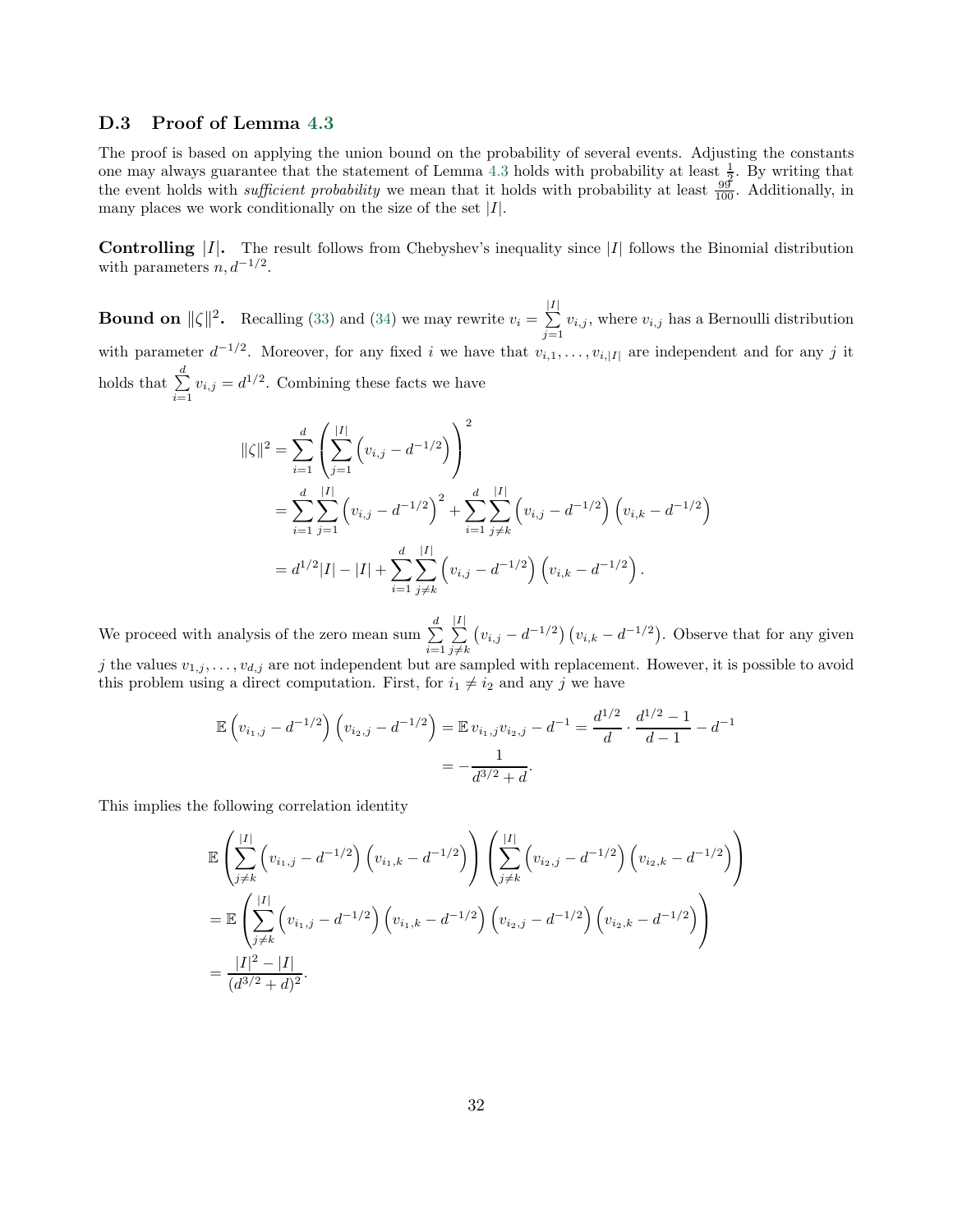#### <span id="page-31-0"></span>D.3 Proof of Lemma [4.3](#page-19-6)

The proof is based on applying the union bound on the probability of several events. Adjusting the constants one may always guarantee that the statement of Lemma [4.3](#page-19-6) holds with probability at least  $\frac{1}{2}$ . By writing that the event holds with *sufficient probability* we mean that it holds with probability at least  $\frac{99}{100}$ . Additionally, in many places we work conditionally on the size of the set  $|I|$ .

**Controlling**  $|I|$ . The result follows from Chebyshev's inequality since  $|I|$  follows the Binomial distribution with parameters  $n, d^{-1/2}$ .

**Bound on**  $\|\zeta\|^2$ . Recalling [\(33\)](#page-19-2) and [\(34\)](#page-19-7) we may rewrite  $v_i = \sum_{i=1}^{|I|}$  $\sum_{j=1} v_{i,j}$ , where  $v_{i,j}$  has a Bernoulli distribution with parameter  $d^{-1/2}$ . Moreover, for any fixed i we have that  $v_{i,1},\ldots,v_{i,|I|}$  are independent and for any j it holds that  $\sum_{ }^{d}$  $\sum_{i=1} v_{i,j} = d^{1/2}$ . Combining these facts we have

$$
\|\zeta\|^2 = \sum_{i=1}^d \left( \sum_{j=1}^{|I|} \left( v_{i,j} - d^{-1/2} \right) \right)^2
$$
  
= 
$$
\sum_{i=1}^d \sum_{j=1}^{|I|} \left( v_{i,j} - d^{-1/2} \right)^2 + \sum_{i=1}^d \sum_{j \neq k}^{|I|} \left( v_{i,j} - d^{-1/2} \right) \left( v_{i,k} - d^{-1/2} \right)
$$
  
= 
$$
d^{1/2} |I| - |I| + \sum_{i=1}^d \sum_{j \neq k}^{|I|} \left( v_{i,j} - d^{-1/2} \right) \left( v_{i,k} - d^{-1/2} \right).
$$

We proceed with analysis of the zero mean sum  $\sum_{n=1}^{d}$  $i=1$  $\frac{|I|}{\sum}$  $j \neq k$  $(v_{i,j} - d^{-1/2}) (v_{i,k} - d^{-1/2})$ . Observe that for any given j the values  $v_{1,j}, \ldots, v_{d,j}$  are not independent but are sampled with replacement. However, it is possible to avoid this problem using a direct computation. First, for  $i_1 \neq i_2$  and any j we have

$$
\mathbb{E}\left(v_{i_1,j} - d^{-1/2}\right)\left(v_{i_2,j} - d^{-1/2}\right) = \mathbb{E}\,v_{i_1,j}v_{i_2,j} - d^{-1} = \frac{d^{1/2}}{d} \cdot \frac{d^{1/2} - 1}{d-1} - d^{-1}
$$
\n
$$
= -\frac{1}{d^{3/2} + d}.
$$

This implies the following correlation identity

$$
\mathbb{E}\left(\sum_{j\neq k}^{|I|} \left(v_{i_1,j} - d^{-1/2}\right) \left(v_{i_1,k} - d^{-1/2}\right)\right) \left(\sum_{j\neq k}^{|I|} \left(v_{i_2,j} - d^{-1/2}\right) \left(v_{i_2,k} - d^{-1/2}\right)\right)
$$
\n
$$
= \mathbb{E}\left(\sum_{j\neq k}^{|I|} \left(v_{i_1,j} - d^{-1/2}\right) \left(v_{i_1,k} - d^{-1/2}\right) \left(v_{i_2,j} - d^{-1/2}\right) \left(v_{i_2,k} - d^{-1/2}\right)\right)
$$
\n
$$
= \frac{|I|^2 - |I|}{(d^{3/2} + d)^2}.
$$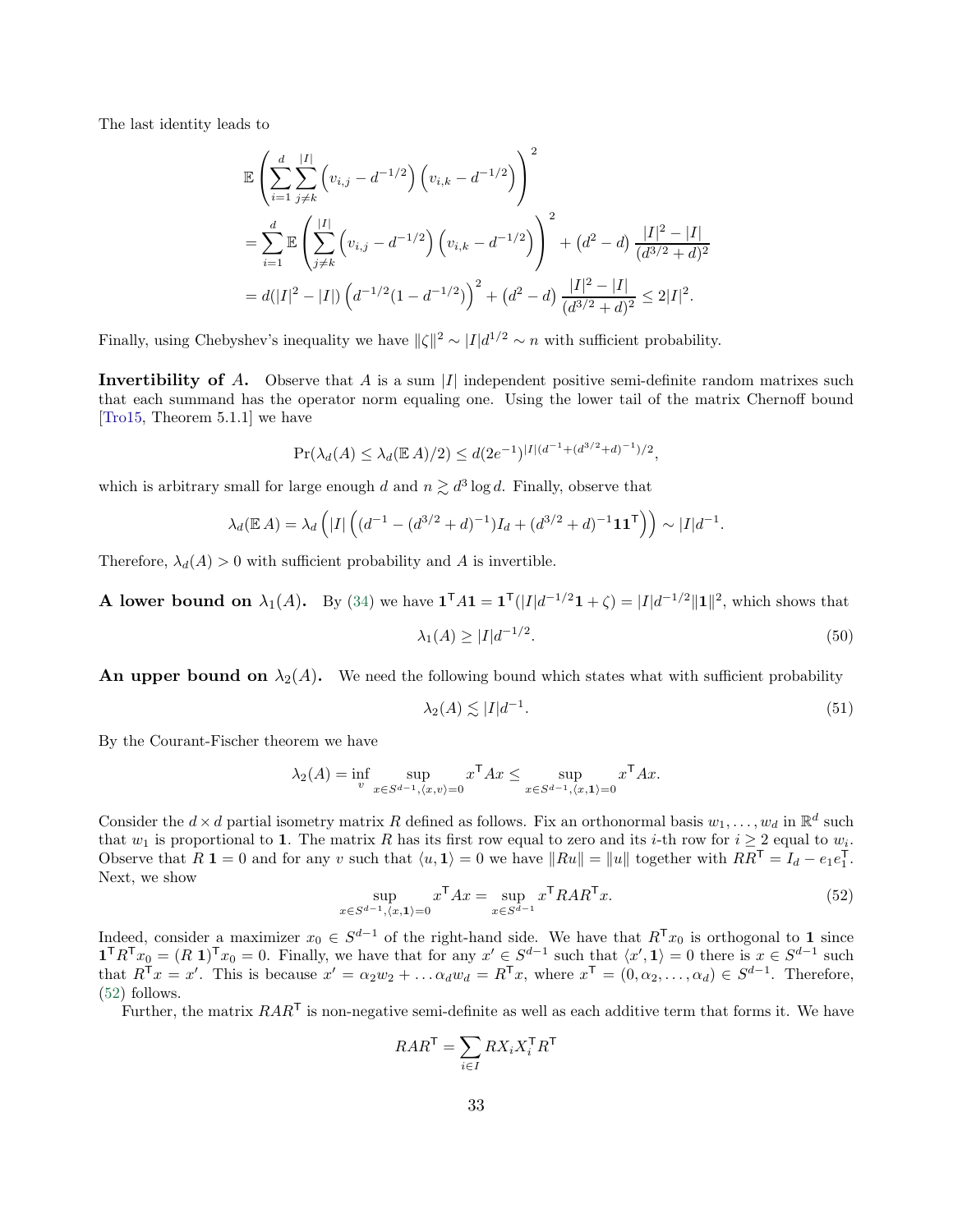The last identity leads to

$$
\mathbb{E}\left(\sum_{i=1}^{d}\sum_{j\neq k}^{|I|} \left(v_{i,j} - d^{-1/2}\right) \left(v_{i,k} - d^{-1/2}\right)\right)^{2}
$$
\n
$$
= \sum_{i=1}^{d} \mathbb{E}\left(\sum_{j\neq k}^{|I|} \left(v_{i,j} - d^{-1/2}\right) \left(v_{i,k} - d^{-1/2}\right)\right)^{2} + (d^{2} - d)\frac{|I|^{2} - |I|}{(d^{3/2} + d)^{2}}
$$
\n
$$
= d(|I|^{2} - |I|) \left(d^{-1/2}(1 - d^{-1/2})\right)^{2} + (d^{2} - d)\frac{|I|^{2} - |I|}{(d^{3/2} + d)^{2}} \le 2|I|^{2}.
$$

Finally, using Chebyshev's inequality we have  $\|\zeta\|^2 \sim |I| d^{1/2} \sim n$  with sufficient probability.

**Invertibility of A.** Observe that A is a sum |I| independent positive semi-definite random matrixes such that each summand has the operator norm equaling one. Using the lower tail of the matrix Chernoff bound [\[Tro15](#page-24-5), Theorem 5.1.1] we have

$$
\Pr(\lambda_d(A) \le \lambda_d(\mathbb{E} A)/2) \le d(2e^{-1})^{|I|(d^{-1} + (d^{3/2} + d)^{-1})/2},
$$

which is arbitrary small for large enough d and  $n \gtrsim d^3 \log d$ . Finally, observe that

$$
\lambda_d(\mathbb{E} A) = \lambda_d\left(|I| \left( (d^{-1} - (d^{3/2} + d)^{-1})I_d + (d^{3/2} + d)^{-1} \mathbf{1} \mathbf{1}^\mathsf{T} \right) \right) \sim |I| d^{-1}.
$$

Therefore,  $\lambda_d(A) > 0$  with sufficient probability and A is invertible.

**A lower bound on**  $\lambda_1(A)$ . By [\(34\)](#page-19-7) we have  $\mathbf{1}^{\mathsf{T}} A \mathbf{1} = \mathbf{1}^{\mathsf{T}}(|I|d^{-1/2}\mathbf{1} + \zeta) = |I|d^{-1/2}||\mathbf{1}||^2$ , which shows that

<span id="page-32-2"></span>
$$
\lambda_1(A) \ge |I|d^{-1/2}.\tag{50}
$$

An upper bound on  $\lambda_2(A)$ . We need the following bound which states what with sufficient probability

<span id="page-32-1"></span><span id="page-32-0"></span>
$$
\lambda_2(A) \lesssim |I|d^{-1}.\tag{51}
$$

By the Courant-Fischer theorem we have

$$
\lambda_2(A) = \inf_{v} \sup_{x \in S^{d-1}, \langle x, v \rangle = 0} x^{\mathsf{T}} A x \le \sup_{x \in S^{d-1}, \langle x, \mathbf{1} \rangle = 0} x^{\mathsf{T}} A x.
$$

Consider the  $d \times d$  partial isometry matrix R defined as follows. Fix an orthonormal basis  $w_1, \ldots, w_d$  in  $\mathbb{R}^d$  such that  $w_1$  is proportional to 1. The matrix R has its first row equal to zero and its i-th row for  $i \geq 2$  equal to  $w_i$ . Observe that  $R \mathbf{1} = 0$  and for any v such that  $\langle u, \mathbf{1} \rangle = 0$  we have  $||Ru|| = ||u||$  together with  $RR^{\mathsf{T}} = I_d - e_1 e_1^{\mathsf{T}}$ . Next, we show

$$
\sup_{x \in S^{d-1}, \langle x, \mathbf{1} \rangle = 0} x^{\mathsf{T}} A x = \sup_{x \in S^{d-1}} x^{\mathsf{T}} R A R^{\mathsf{T}} x. \tag{52}
$$

Indeed, consider a maximizer  $x_0 \in S^{d-1}$  of the right-hand side. We have that  $R^Tx_0$  is orthogonal to 1 since  $\mathbf{1}^\mathsf{T} R^\mathsf{T} x_0 = (R \; \mathbf{1})^\mathsf{T} x_0 = 0.$  Finally, we have that for any  $x' \in S^{d-1}$  such that  $\langle x', \mathbf{1} \rangle = 0$  there is  $x \in S^{d-1}$  such that  $R^{\mathsf{T}} x = x'$ . This is because  $x' = \alpha_2 w_2 + \dots \alpha_d w_d = R^{\mathsf{T}} x$ , where  $x^{\mathsf{T}} = (0, \alpha_2, \dots, \alpha_d) \in S^{d-1}$ . Therefore, [\(52\)](#page-32-0) follows.

Further, the matrix  $RAR^{\mathsf{T}}$  is non-negative semi-definite as well as each additive term that forms it. We have

$$
RAR^{\mathsf{T}} = \sum_{i \in I} RX_i X_i^{\mathsf{T}} R^{\mathsf{T}}
$$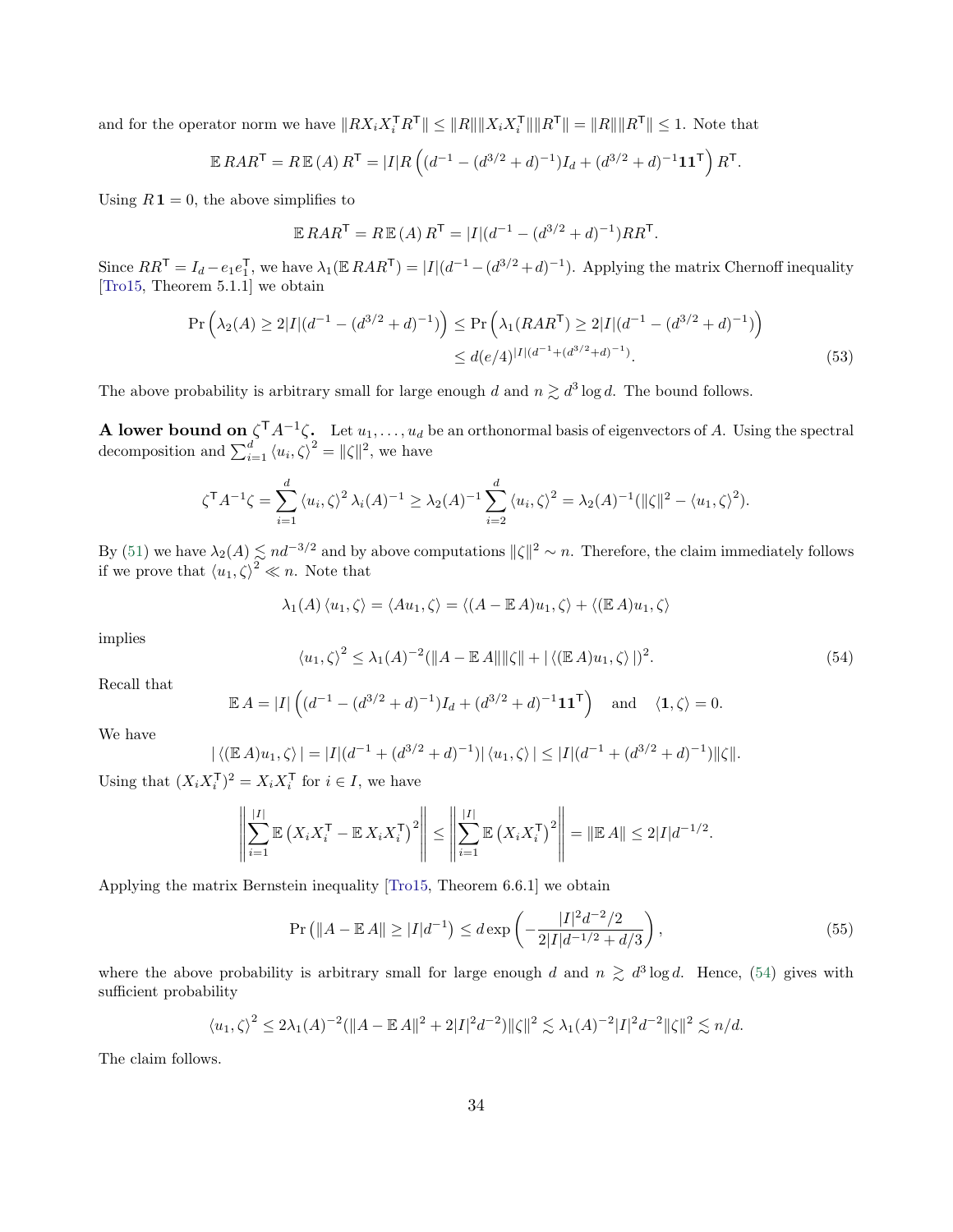and for the operator norm we have  $||RX_iX_i^{\mathsf{T}}R^{\mathsf{T}}|| \leq ||R|| ||X_iX_i^{\mathsf{T}}|| ||R^{\mathsf{T}}|| = ||R|| ||R^{\mathsf{T}}|| \leq 1$ . Note that

$$
\mathbb{E} \, R A R^{\mathsf{T}} = R \, \mathbb{E} \left( A \right) R^{\mathsf{T}} = |I| R \left( (d^{-1} - (d^{3/2} + d)^{-1}) I_d + (d^{3/2} + d)^{-1} \mathbf{1} \mathbf{1}^{\mathsf{T}} \right) R^{\mathsf{T}}.
$$

Using  $R\mathbf{1}=0$ , the above simplifies to

<span id="page-33-1"></span>
$$
\mathbb{E} \, R A R^{\mathsf{T}} = R \, \mathbb{E} \left( A \right) R^{\mathsf{T}} = |I| (d^{-1} - (d^{3/2} + d)^{-1}) R R^{\mathsf{T}}.
$$

Since  $RR^{\mathsf{T}} = I_d - e_1e_1^{\mathsf{T}}$ , we have  $\lambda_1(\mathbb{E} \, RAR^{\mathsf{T}}) = |I|(d^{-1} - (d^{3/2} + d)^{-1})$ . Applying the matrix Chernoff inequality [\[Tro15](#page-24-5), Theorem 5.1.1] we obtain

$$
\Pr\left(\lambda_2(A) \ge 2|I|(d^{-1} - (d^{3/2} + d)^{-1})\right) \le \Pr\left(\lambda_1(RAR^{\mathsf{T}}) \ge 2|I|(d^{-1} - (d^{3/2} + d)^{-1})\right)
$$
  

$$
\le d(e/4)^{|I|(d^{-1} + (d^{3/2} + d)^{-1})}.
$$
 (53)

The above probability is arbitrary small for large enough d and  $n \gtrsim d^3 \log d$ . The bound follows.

**A lower bound on**  $\zeta^T A^{-1} \zeta$ . Let  $u_1, \ldots, u_d$  be an orthonormal basis of eigenvectors of A. Using the spectral decomposition and  $\sum_{i=1}^{d} \langle u_i, \zeta \rangle^2 = ||\zeta||^2$ , we have

$$
\zeta^{\mathsf{T}}A^{-1}\zeta = \sum_{i=1}^d \langle u_i, \zeta \rangle^2 \lambda_i(A)^{-1} \geq \lambda_2(A)^{-1} \sum_{i=2}^d \langle u_i, \zeta \rangle^2 = \lambda_2(A)^{-1} (\|\zeta\|^2 - \langle u_1, \zeta \rangle^2).
$$

By [\(51\)](#page-32-1) we have  $\lambda_2(A) \leq nd^{-3/2}$  and by above computations  $\|\zeta\|^2 \sim n$ . Therefore, the claim immediately follows if we prove that  $\langle u_1, \zeta \rangle^2 \ll n$ . Note that

$$
\lambda_1(A) \langle u_1, \zeta \rangle = \langle Au_1, \zeta \rangle = \langle (A - \mathbb{E} A)u_1, \zeta \rangle + \langle (\mathbb{E} A)u_1, \zeta \rangle
$$

implies

<span id="page-33-0"></span>
$$
\langle u_1, \zeta \rangle^2 \le \lambda_1(A)^{-2} (\|A - \mathbb{E}A\| \|\zeta\| + |\langle (\mathbb{E}A)u_1, \zeta \rangle|)^2. \tag{54}
$$

Recall that

$$
\mathbb{E} |A| = |I| \left( (d^{-1} - (d^{3/2} + d)^{-1}) I_d + (d^{3/2} + d)^{-1} \mathbf{1} \mathbf{1}^\mathsf{T} \right) \quad \text{and} \quad \langle \mathbf{1}, \zeta \rangle = 0.
$$

We have

$$
|\langle (\mathbb{E} A)u_1, \zeta \rangle| = |I|(d^{-1} + (d^{3/2} + d)^{-1}) |\langle u_1, \zeta \rangle| \le |I|(d^{-1} + (d^{3/2} + d)^{-1}) ||\zeta||.
$$

Using that  $(X_i X_i^{\mathsf{T}})^2 = X_i X_i^{\mathsf{T}}$  for  $i \in I$ , we have

$$
\left\| \sum_{i=1}^{|I|} \mathbb{E} \left( X_i X_i^{\mathsf{T}} - \mathbb{E} X_i X_i^{\mathsf{T}} \right)^2 \right\| \le \left\| \sum_{i=1}^{|I|} \mathbb{E} \left( X_i X_i^{\mathsf{T}} \right)^2 \right\| = \|\mathbb{E} A\| \le 2|I| d^{-1/2}.
$$

Applying the matrix Bernstein inequality [\[Tro15,](#page-24-5) Theorem 6.6.1] we obtain

<span id="page-33-2"></span>
$$
\Pr\left(\|A - \mathbb{E}A\| \ge |I|d^{-1}\right) \le d \exp\left(-\frac{|I|^2 d^{-2}/2}{2|I|d^{-1/2} + d/3}\right),\tag{55}
$$

where the above probability is arbitrary small for large enough d and  $n \geq d^3 \log d$ . Hence, [\(54\)](#page-33-0) gives with sufficient probability

$$
\langle u_1, \zeta \rangle^2 \le 2\lambda_1(A)^{-2} (\|A - \mathbb{E}A\|^2 + 2|I|^2 d^{-2}) \|\zeta\|^2 \lesssim \lambda_1(A)^{-2} |I|^2 d^{-2} \|\zeta\|^2 \lesssim n/d.
$$

The claim follows.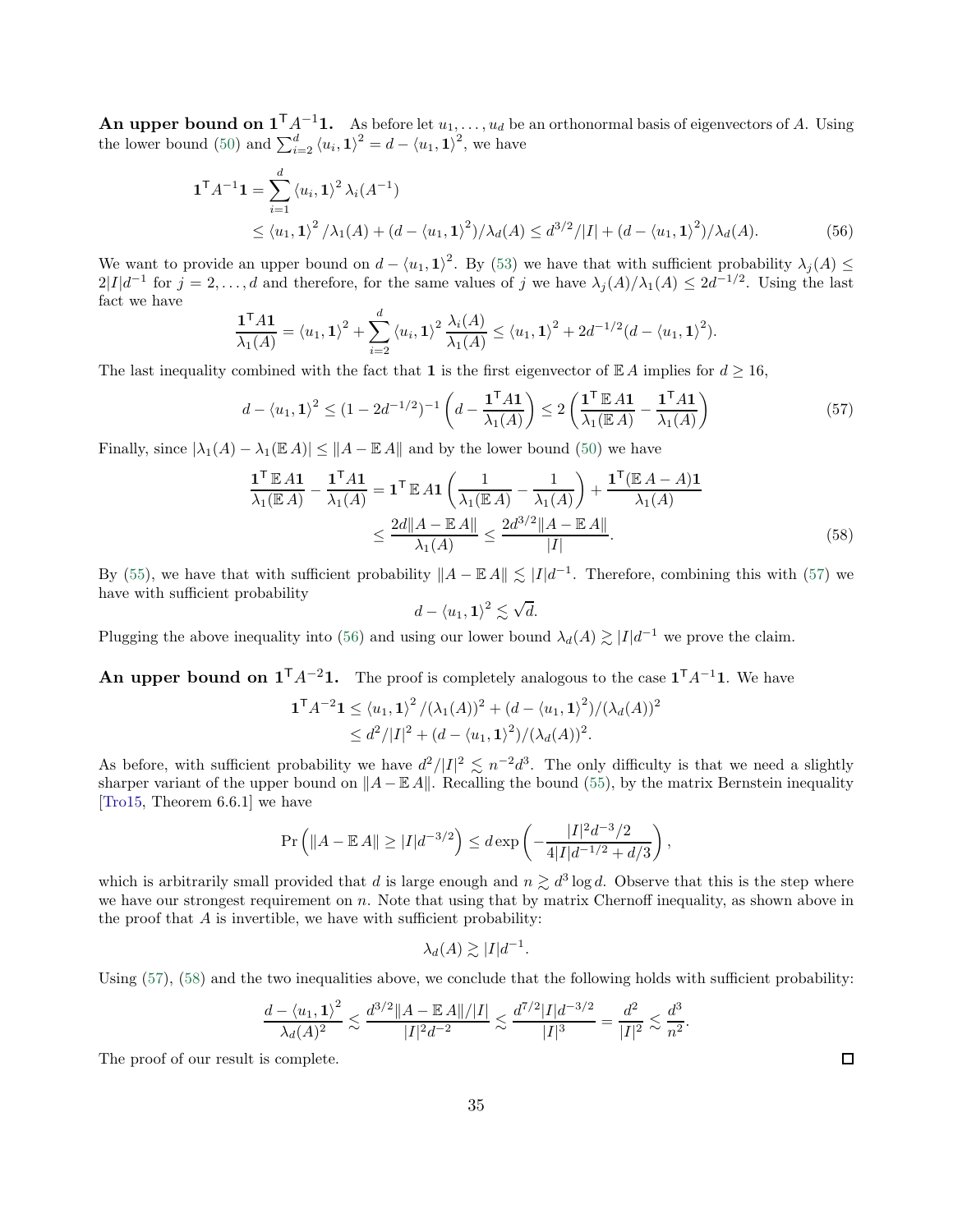**An upper bound on**  $1^TA^{-1}1$ **.** As before let  $u_1, \ldots, u_d$  be an orthonormal basis of eigenvectors of A. Using the lower bound [\(50\)](#page-32-2) and  $\sum_{i=2}^{d} \langle u_i, \mathbf{1} \rangle^2 = d - \langle u_1, \mathbf{1} \rangle^2$ , we have

$$
\mathbf{1}^{\mathsf{T}} A^{-1} \mathbf{1} = \sum_{i=1}^{d} \langle u_i, \mathbf{1} \rangle^2 \lambda_i (A^{-1})
$$
  
 
$$
\leq \langle u_1, \mathbf{1} \rangle^2 / \lambda_1 (A) + (d - \langle u_1, \mathbf{1} \rangle^2) / \lambda_d (A) \leq d^{3/2} / |I| + (d - \langle u_1, \mathbf{1} \rangle^2) / \lambda_d (A).
$$
 (56)

We want to provide an upper bound on  $d - \langle u_1, 1 \rangle^2$ . By [\(53\)](#page-33-1) we have that with sufficient probability  $\lambda_j(A) \le$  $2|I|d^{-1}$  for  $j = 2, ..., d$  and therefore, for the same values of j we have  $\lambda_j(A)/\lambda_1(A) \leq 2d^{-1/2}$ . Using the last fact we have

$$
\frac{\mathbf{1}^{\mathsf{T}} A \mathbf{1}}{\lambda_1(A)} = \langle u_1, \mathbf{1} \rangle^2 + \sum_{i=2}^d \langle u_i, \mathbf{1} \rangle^2 \frac{\lambda_i(A)}{\lambda_1(A)} \leq \langle u_1, \mathbf{1} \rangle^2 + 2d^{-1/2} (d - \langle u_1, \mathbf{1} \rangle^2).
$$

The last inequality combined with the fact that 1 is the first eigenvector of  $\mathbb{E} A$  implies for  $d \geq 16$ ,

$$
d - \langle u_1, \mathbf{1} \rangle^2 \le (1 - 2d^{-1/2})^{-1} \left( d - \frac{\mathbf{1}^\mathsf{T} A \mathbf{1}}{\lambda_1(A)} \right) \le 2 \left( \frac{\mathbf{1}^\mathsf{T} \mathbb{E} A \mathbf{1}}{\lambda_1(\mathbb{E} A)} - \frac{\mathbf{1}^\mathsf{T} A \mathbf{1}}{\lambda_1(A)} \right) \tag{57}
$$

Finally, since  $|\lambda_1(A) - \lambda_1(\mathbb{E} A)| \leq ||A - \mathbb{E} A||$  and by the lower bound [\(50\)](#page-32-2) we have

$$
\frac{\mathbf{1}^{\mathsf{T}}\mathbb{E}A\mathbf{1}}{\lambda_{1}(\mathbb{E}A)} - \frac{\mathbf{1}^{\mathsf{T}}A\mathbf{1}}{\lambda_{1}(A)} = \mathbf{1}^{\mathsf{T}}\mathbb{E}A\mathbf{1}\left(\frac{1}{\lambda_{1}(\mathbb{E}A)} - \frac{1}{\lambda_{1}(A)}\right) + \frac{\mathbf{1}^{\mathsf{T}}(\mathbb{E}A - A)\mathbf{1}}{\lambda_{1}(A)}
$$

$$
\leq \frac{2d\|A - \mathbb{E}A\|}{\lambda_{1}(A)} \leq \frac{2d^{3/2}\|A - \mathbb{E}A\|}{|I|}. \tag{58}
$$

By [\(55\)](#page-33-2), we have that with sufficient probability  $||A - \mathbb{E} A|| \lesssim |I| d^{-1}$ . Therefore, combining this with [\(57\)](#page-34-0) we have with sufficient probability

<span id="page-34-2"></span><span id="page-34-1"></span><span id="page-34-0"></span>
$$
d - \langle u_1, \mathbf{1} \rangle^2 \lesssim \sqrt{d}.
$$

Plugging the above inequality into [\(56\)](#page-34-1) and using our lower bound  $\lambda_d(A) \gtrsim |I| d^{-1}$  we prove the claim.

# An upper bound on  $1^TA^{-2}1$ . The proof is completely analogous to the case  $1^TA^{-1}1$ . We have

$$
\mathbf{1}^{\mathsf{T}}A^{-2}\mathbf{1} \le \langle u_1, \mathbf{1}\rangle^2 / (\lambda_1(A))^2 + (d - \langle u_1, \mathbf{1}\rangle^2) / (\lambda_d(A))^2
$$
  
 
$$
\le d^2 / |I|^2 + (d - \langle u_1, \mathbf{1}\rangle^2) / (\lambda_d(A))^2.
$$

As before, with sufficient probability we have  $d^2/|I|^2 \lesssim n^{-2}d^3$ . The only difficulty is that we need a slightly sharper variant of the upper bound on  $||A - \mathbb{E} A||$ . Recalling the bound [\(55\)](#page-33-2), by the matrix Bernstein inequality [\[Tro15](#page-24-5), Theorem 6.6.1] we have

$$
\Pr\left(\|A - \mathbb{E}A\| \ge |I|d^{-3/2}\right) \le d \exp\left(-\frac{|I|^2 d^{-3/2}}{4|I|d^{-1/2} + d/3}\right),\,
$$

which is arbitrarily small provided that d is large enough and  $n \gtrsim d^3 \log d$ . Observe that this is the step where we have our strongest requirement on  $n$ . Note that using that by matrix Chernoff inequality, as shown above in the proof that  $A$  is invertible, we have with sufficient probability:

$$
\lambda_d(A) \gtrsim |I|d^{-1}.
$$

Using  $(57)$ ,  $(58)$  and the two inequalities above, we conclude that the following holds with sufficient probability:

$$
\frac{d - \langle u_1, 1 \rangle^2}{\lambda_d(A)^2} \lesssim \frac{d^{3/2} ||A - \mathbb{E}[A||/|I||}{|I|^2 d^{-2}} \lesssim \frac{d^{7/2} |I| d^{-3/2}}{|I|^3} = \frac{d^2}{|I|^2} \lesssim \frac{d^3}{n^2}.
$$

The proof of our result is complete.

 $\Box$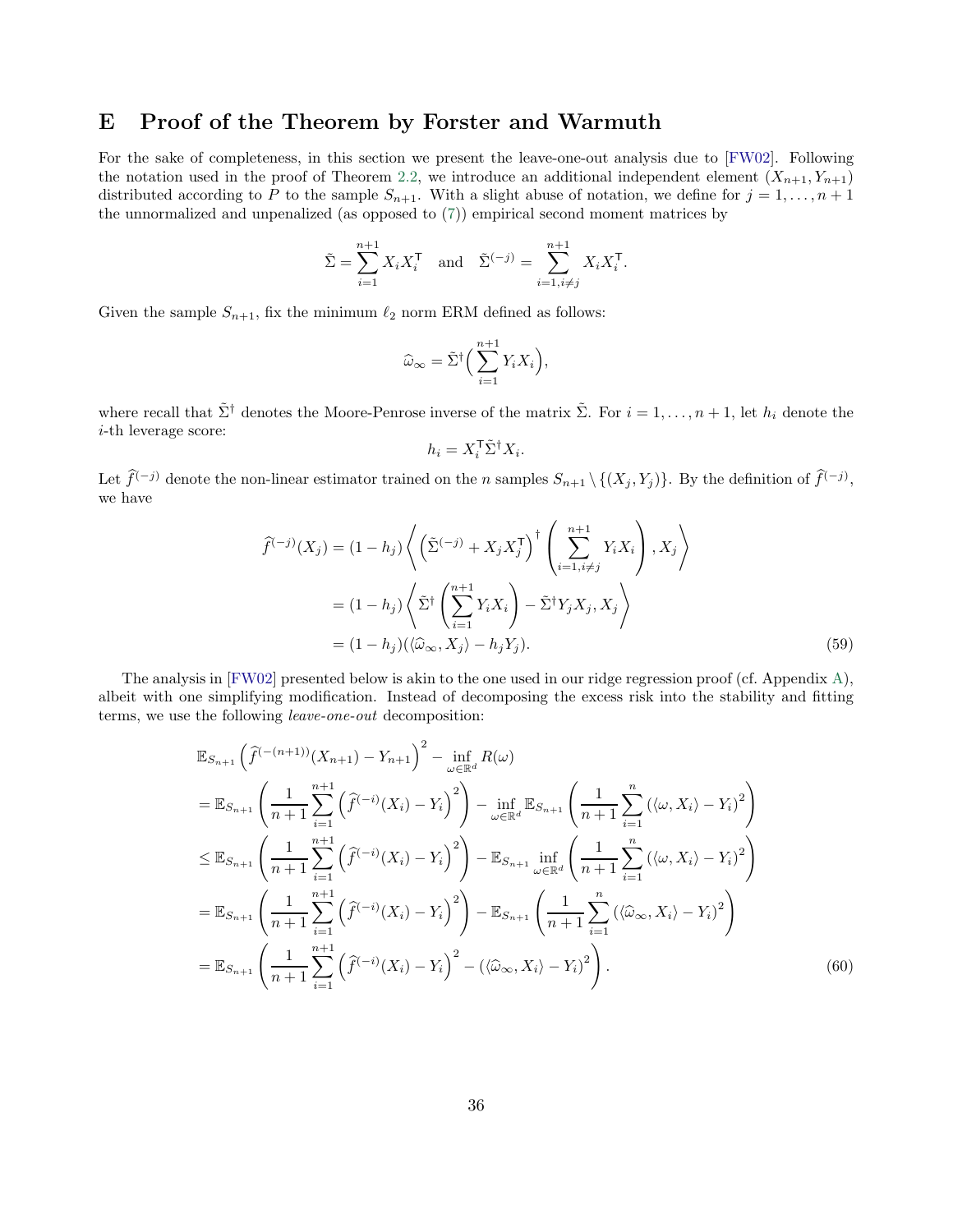## <span id="page-35-0"></span>E Proof of the Theorem by Forster and Warmuth

For the sake of completeness, in this section we present the leave-one-out analysis due to [\[FW02](#page-22-8)]. Following the notation used in the proof of Theorem [2.2,](#page-7-1) we introduce an additional independent element  $(X_{n+1}, Y_{n+1})$ distributed according to P to the sample  $S_{n+1}$ . With a slight abuse of notation, we define for  $j = 1, ..., n + 1$ the unnormalized and unpenalized (as opposed to [\(7\)](#page-5-1)) empirical second moment matrices by

$$
\tilde{\Sigma} = \sum_{i=1}^{n+1} X_i X_i^{\mathsf{T}} \quad \text{and} \quad \tilde{\Sigma}^{(-j)} = \sum_{i=1, i \neq j}^{n+1} X_i X_i^{\mathsf{T}}.
$$

Given the sample  $S_{n+1}$ , fix the minimum  $\ell_2$  norm ERM defined as follows:

$$
\widehat{\omega}_{\infty} = \tilde{\Sigma}^{\dagger} \Big( \sum_{i=1}^{n+1} Y_i X_i \Big),
$$

where recall that  $\tilde{\Sigma}^{\dagger}$  denotes the Moore-Penrose inverse of the matrix  $\tilde{\Sigma}$ . For  $i = 1, \ldots, n + 1$ , let  $h_i$  denote the i-th leverage score:

<span id="page-35-2"></span><span id="page-35-1"></span>
$$
h_i = X_i^{\mathsf{T}} \tilde{\Sigma}^{\dagger} X_i.
$$

Let  $\tilde{f}^{(-j)}$  denote the non-linear estimator trained on the n samples  $S_{n+1} \setminus \{(X_j, Y_j)\}$ . By the definition of  $\tilde{f}^{(-j)}$ , we have

$$
\widehat{f}^{(-j)}(X_j) = (1 - h_j) \left\langle \left( \tilde{\Sigma}^{(-j)} + X_j X_j^{\mathsf{T}} \right)^{\dagger} \left( \sum_{i=1, i \neq j}^{n+1} Y_i X_i \right), X_j \right\rangle
$$

$$
= (1 - h_j) \left\langle \tilde{\Sigma}^{\dagger} \left( \sum_{i=1}^{n+1} Y_i X_i \right) - \tilde{\Sigma}^{\dagger} Y_j X_j, X_j \right\rangle
$$

$$
= (1 - h_j) (\langle \widehat{\omega}_{\infty}, X_j \rangle - h_j Y_j).
$$
(59)

The analysis in [\[FW02](#page-22-8)] presented below is akin to the one used in our ridge regression proof (cf. Appendix [A\)](#page-24-6), albeit with one simplifying modification. Instead of decomposing the excess risk into the stability and fitting terms, we use the following leave-one-out decomposition:

$$
\mathbb{E}_{S_{n+1}}\left(\hat{f}^{(-n+1)}(X_{n+1}) - Y_{n+1}\right)^2 - \inf_{\omega \in \mathbb{R}^d} R(\omega)
$$
\n
$$
= \mathbb{E}_{S_{n+1}}\left(\frac{1}{n+1}\sum_{i=1}^{n+1} \left(\hat{f}^{(-i)}(X_i) - Y_i\right)^2\right) - \inf_{\omega \in \mathbb{R}^d} \mathbb{E}_{S_{n+1}}\left(\frac{1}{n+1}\sum_{i=1}^n \left(\langle \omega, X_i \rangle - Y_i\right)^2\right)
$$
\n
$$
\leq \mathbb{E}_{S_{n+1}}\left(\frac{1}{n+1}\sum_{i=1}^{n+1} \left(\hat{f}^{(-i)}(X_i) - Y_i\right)^2\right) - \mathbb{E}_{S_{n+1}}\inf_{\omega \in \mathbb{R}^d} \left(\frac{1}{n+1}\sum_{i=1}^n \left(\langle \omega, X_i \rangle - Y_i\right)^2\right)
$$
\n
$$
= \mathbb{E}_{S_{n+1}}\left(\frac{1}{n+1}\sum_{i=1}^{n+1} \left(\hat{f}^{(-i)}(X_i) - Y_i\right)^2\right) - \mathbb{E}_{S_{n+1}}\left(\frac{1}{n+1}\sum_{i=1}^n \left(\langle \hat{\omega}_{\infty}, X_i \rangle - Y_i\right)^2\right)
$$
\n
$$
= \mathbb{E}_{S_{n+1}}\left(\frac{1}{n+1}\sum_{i=1}^{n+1} \left(\hat{f}^{(-i)}(X_i) - Y_i\right)^2 - \left(\langle \hat{\omega}_{\infty}, X_i \rangle - Y_i\right)^2\right).
$$
\n(60)